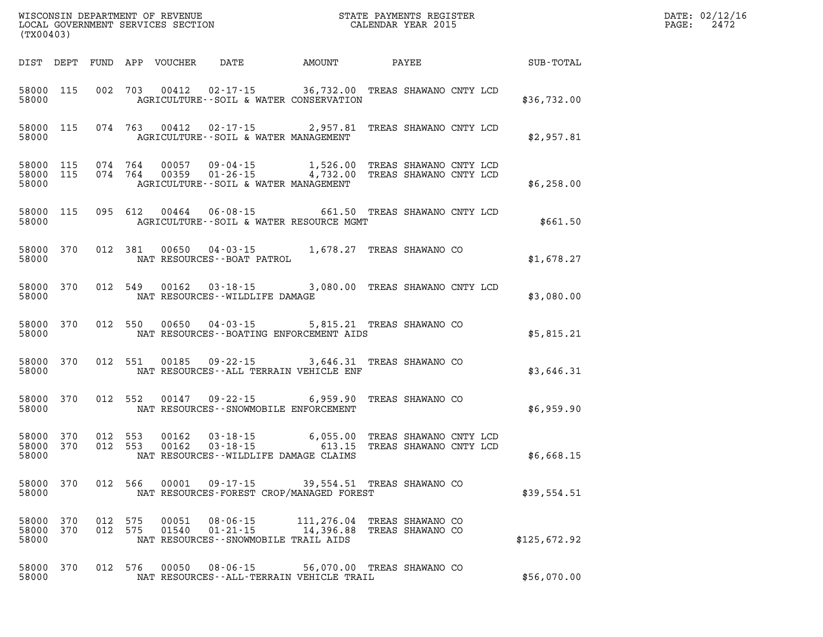| WISCONSIN DEPARTMENT OF REVENUE<br>LOCAL GOVERNMENT SERVICES SECTION TERMS CONSINUES CALENDAR YEAR 2015<br>(TX00403) |            |  |                    |                |                                                                                                                                                                                                                                                                                                                                                                                                |                            |                                      | <b>TER EXECUTE:</b>                                    | DATE: 02/12/16<br>$\mathtt{PAGE:}$<br>2472 |
|----------------------------------------------------------------------------------------------------------------------|------------|--|--------------------|----------------|------------------------------------------------------------------------------------------------------------------------------------------------------------------------------------------------------------------------------------------------------------------------------------------------------------------------------------------------------------------------------------------------|----------------------------|--------------------------------------|--------------------------------------------------------|--------------------------------------------|
|                                                                                                                      |            |  |                    |                |                                                                                                                                                                                                                                                                                                                                                                                                |                            |                                      | DIST DEPT FUND APP VOUCHER DATE AMOUNT PAYEE SUB-TOTAL |                                            |
|                                                                                                                      |            |  |                    |                | 58000 115 002 703 00412 02-17-15 36,732.00 TREAS SHAWANO CNTY LCD<br>58000 <b>AGRICULTURE--SOIL &amp; WATER CONSERVATION</b>                                                                                                                                                                                                                                                                   |                            |                                      | \$36,732.00                                            |                                            |
|                                                                                                                      |            |  |                    |                | 58000 115 074 763 00412 02-17-15 2,957.81 TREAS SHAWANO CNTY LCD                                                                                                                                                                                                                                                                                                                               |                            |                                      | \$2,957.81                                             |                                            |
|                                                                                                                      | 58000      |  |                    |                | AGRICULTURE--SOIL & WATER MANAGEMENT                                                                                                                                                                                                                                                                                                                                                           |                            |                                      | \$6,258.00                                             |                                            |
|                                                                                                                      |            |  |                    |                | 58000 115 095 612 00464 06-08-15 661.50 TREAS SHAWANO CNTY LCD<br>58000 AGRICULTURE--SOIL & WATER RESOURCE MGMT                                                                                                                                                                                                                                                                                |                            |                                      | \$661.50                                               |                                            |
|                                                                                                                      |            |  |                    |                | $\begin{tabular}{lllllll} 58000& 370& 012& 381& 00650& 04-03-15& 1,678.27 \end{tabular} \begin{tabular}{lllll} 1,678.27 & TREAS SHAWANO CO \\ \hline \end{tabular} \begin{tabular}{lllllll} \multicolumn{3}{lllll} 1,678.27 & TREAS SHAWANO CO \\ \multicolumn{3}{lllll} 1,678.27 & TREAS SHAWANO CO \\ \multicolumn{3}{lllll} 1,678.27 & TREAS SHAWANO CO \\ \multicolumn{3}{lllll} 1,678.27$ |                            |                                      | \$1,678.27                                             |                                            |
|                                                                                                                      |            |  |                    |                | 58000 370 012 549 00162 03-18-15 3,080.00 TREAS SHAWANO CNTY LCD<br>58000 NAT RESOURCES - WILDLIFE DAMAGE                                                                                                                                                                                                                                                                                      |                            |                                      | \$3,080.00                                             |                                            |
|                                                                                                                      |            |  |                    |                | 58000 370 012 550 00650 04-03-15 5,815.21 TREAS SHAWANO CO<br>58000 MAT RESOURCES - BOATING ENFORCEMENT AIDS                                                                                                                                                                                                                                                                                   |                            |                                      | \$5,815.21                                             |                                            |
|                                                                                                                      |            |  |                    |                | 58000 370 012 551 00185 09-22-15 3,646.31 TREAS SHAWANO CO<br>58000 MAT RESOURCES--ALL TERRAIN VEHICLE ENF                                                                                                                                                                                                                                                                                     |                            |                                      | \$3,646.31                                             |                                            |
|                                                                                                                      |            |  |                    |                | 58000 370 012 552 00147 09-22-15 6,959.90 TREAS SHAWANO CO<br>58000 NAT RESOURCES - SNOWMOBILE ENFORCEMENT                                                                                                                                                                                                                                                                                     |                            |                                      | \$6,959.90                                             |                                            |
| 58000 370<br>58000 370<br>58000                                                                                      |            |  |                    |                | 012 553 00162 03-18-15 6,055.00 TREAS SHAWANO CNTY LCD<br>012 553 00162 03-18-15 613.15 TREAS SHAWANO CNTY LCD<br>NAT RESOURCES--WILDLIFE DAMAGE CLAIMS                                                                                                                                                                                                                                        |                            |                                      | \$6,668.15                                             |                                            |
| 58000<br>58000                                                                                                       | 370        |  | 012 566            | 00001          | $09 - 17 - 15$<br>NAT RESOURCES-FOREST CROP/MANAGED FOREST                                                                                                                                                                                                                                                                                                                                     | 39,554.51 TREAS SHAWANO CO |                                      | \$39,554.51                                            |                                            |
| 58000<br>58000<br>58000                                                                                              | 370<br>370 |  | 012 575<br>012 575 | 00051<br>01540 | $08 - 06 - 15$<br>$01 - 21 - 15$<br>NAT RESOURCES - - SNOWMOBILE TRAIL AIDS                                                                                                                                                                                                                                                                                                                    | 111,276.04<br>14,396.88    | TREAS SHAWANO CO<br>TREAS SHAWANO CO | \$125,672.92                                           |                                            |
| 58000<br>58000                                                                                                       | 370        |  | 012 576            | 00050          | $08 - 06 - 15$<br>NAT RESOURCES - - ALL-TERRAIN VEHICLE TRAIL                                                                                                                                                                                                                                                                                                                                  | 56,070.00 TREAS SHAWANO CO |                                      | \$56,070.00                                            |                                            |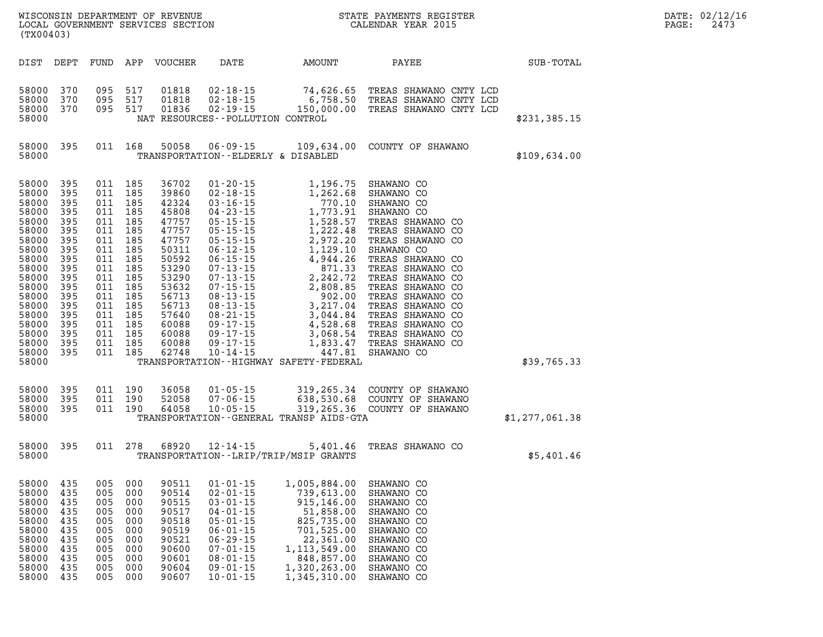| WISCONSIN DEPARTMENT OF REVENUE<br>LOCAL GOVERNMENT SERVICES SECTION<br>(TWO0403)<br>(TX00403)                                                                          |                                                                                                                                         |                                                                           |                                                                                                                                                                                                               |                                                                                                                                                                         |                                                                                                                                                                                                    |                                                                                                                                                                | STATE PAYMENTS REGISTER<br>CALENDAR YEAR 2015                                                                                                          |                  | DATE: 02/12/1<br>PAGE:<br>2473 |
|-------------------------------------------------------------------------------------------------------------------------------------------------------------------------|-----------------------------------------------------------------------------------------------------------------------------------------|---------------------------------------------------------------------------|---------------------------------------------------------------------------------------------------------------------------------------------------------------------------------------------------------------|-------------------------------------------------------------------------------------------------------------------------------------------------------------------------|----------------------------------------------------------------------------------------------------------------------------------------------------------------------------------------------------|----------------------------------------------------------------------------------------------------------------------------------------------------------------|--------------------------------------------------------------------------------------------------------------------------------------------------------|------------------|--------------------------------|
|                                                                                                                                                                         |                                                                                                                                         |                                                                           |                                                                                                                                                                                                               | DIST DEPT FUND APP VOUCHER                                                                                                                                              | <b>DATE</b>                                                                                                                                                                                        | AMOUNT                                                                                                                                                         | PAYEE                                                                                                                                                  | <b>SUB-TOTAL</b> |                                |
| 58000<br>58000<br>58000                                                                                                                                                 | 370<br>370<br>58000 370                                                                                                                 |                                                                           | 095 517<br>095 517                                                                                                                                                                                            | 01818<br>01818<br>095 517 01836                                                                                                                                         | NAT RESOURCES - - POLLUTION CONTROL                                                                                                                                                                |                                                                                                                                                                | 02-18-15 74,626.65 TREAS SHAWANO CNTY LCD<br>02-18-15 6,758.50 TREAS SHAWANO CNTY LCD<br>02-19-15 150,000.00 TREAS SHAWANO CNTY LCD                    | \$231,385.15     |                                |
| 58000                                                                                                                                                                   | 58000 395                                                                                                                               |                                                                           |                                                                                                                                                                                                               | 011 168 50058                                                                                                                                                           | TRANSPORTATION -- ELDERLY & DISABLED                                                                                                                                                               |                                                                                                                                                                | 06-09-15 109,634.00 COUNTY OF SHAWANO                                                                                                                  | \$109,634.00     |                                |
| 58000<br>58000<br>58000<br>58000<br>58000<br>58000<br>58000<br>58000<br>58000<br>58000<br>58000<br>58000<br>58000<br>58000<br>58000<br>58000<br>58000<br>58000<br>58000 | 395<br>395<br>395<br>395<br>395<br>395<br>395<br>395<br>395<br>395<br>395<br>395<br>395<br>395<br>395<br>395<br>395<br>395<br>58000 395 |                                                                           | 011 185<br>011 185<br>011 185<br>011 185<br>011 185<br>011 185<br>011 185<br>011 185<br>011 185<br>011 185<br>011 185<br>011 185<br>011 185<br>011 185<br>011 185<br>011 185<br>011 185<br>011 185<br>011 185 | 36702<br>39860<br>42324<br>45808<br>47757<br>47757<br>47757<br>50311<br>50592<br>53290<br>53290<br>53632<br>56713<br>56713<br>57640<br>60088<br>60088<br>60088<br>62748 | $10 - 14 - 15$                                                                                                                                                                                     | TRANSPORTATION - - HIGHWAY SAFETY - FEDERAL                                                                                                                    |                                                                                                                                                        | \$39,765.33      |                                |
| 58000<br>58000<br>58000<br>58000                                                                                                                                        | 395<br>395<br>395                                                                                                                       |                                                                           | 011 190<br>011 190<br>011 190                                                                                                                                                                                 | 36058<br>52058<br>64058                                                                                                                                                 |                                                                                                                                                                                                    | TRANSPORTATION - - GENERAL TRANSP AIDS - GTA                                                                                                                   | 01-05-15 319,265.34 COUNTY OF SHAWANO<br>07-06-15 638,530.68 COUNTY OF SHAWANO<br>10-05-15 319,265.36 COUNTY OF SHAWANO                                | \$1,277,061.38   |                                |
| 58000<br>58000                                                                                                                                                          | 395                                                                                                                                     |                                                                           |                                                                                                                                                                                                               |                                                                                                                                                                         | 011 278 68920 12-14-15                                                                                                                                                                             | TRANSPORTATION--LRIP/TRIP/MSIP GRANTS                                                                                                                          | 5,401.46 TREAS SHAWANO CO                                                                                                                              | \$5,401.46       |                                |
| 58000<br>58000<br>58000<br>58000<br>58000<br>58000<br>58000<br>58000<br>58000<br>58000<br>58000                                                                         | 435<br>435<br>435<br>435<br>435<br>435<br>435<br>435<br>435<br>435<br>435                                                               | 005<br>005<br>005<br>005<br>005<br>005<br>005<br>005<br>005<br>005<br>005 | 000<br>000<br>000<br>000<br>000<br>000<br>000<br>000<br>000<br>000<br>000                                                                                                                                     | 90511<br>90514<br>90515<br>90517<br>90518<br>90519<br>90521<br>90600<br>90601<br>90604<br>90607                                                                         | $01 - 01 - 15$<br>$02 - 01 - 15$<br>$03 - 01 - 15$<br>$04 - 01 - 15$<br>$05 - 01 - 15$<br>$06 - 01 - 15$<br>$06 - 29 - 15$<br>$07 - 01 - 15$<br>$08 - 01 - 15$<br>$09 - 01 - 15$<br>$10 - 01 - 15$ | 1,005,884.00<br>739,613.00<br>915,146.00<br>51,858.00<br>825,735.00<br>701,525.00<br>22,361.00<br>1, 113, 549.00<br>848,857.00<br>1,320,263.00<br>1,345,310.00 | SHAWANO CO<br>SHAWANO CO<br>SHAWANO CO<br>SHAWANO CO<br>SHAWANO CO<br>SHAWANO CO<br>SHAWANO CO<br>SHAWANO CO<br>SHAWANO CO<br>SHAWANO CO<br>SHAWANO CO |                  |                                |

**DATE: 02/12/16<br>PAGE: 2473**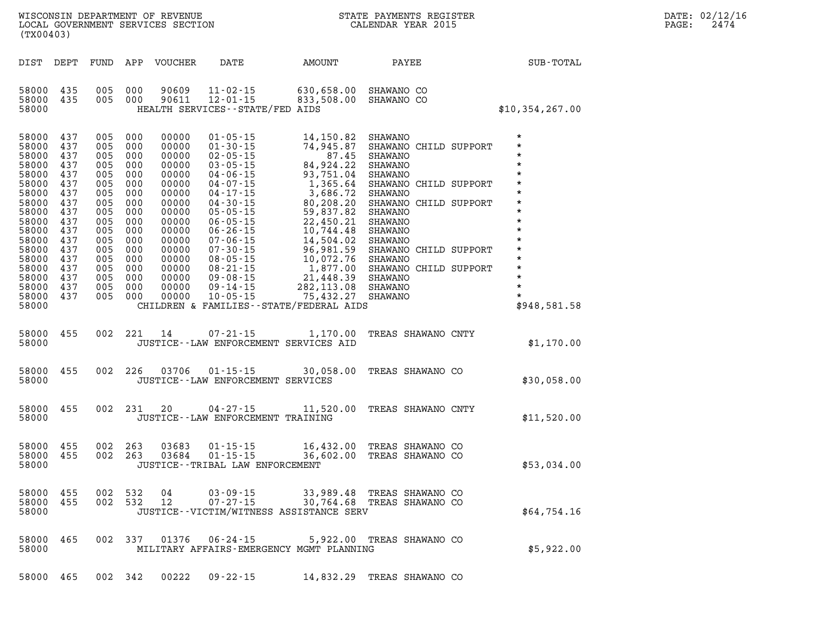| $\mathtt{DATE}$ : | 02/12/16 |
|-------------------|----------|
| PAGE:             | 2474     |

| (TX00403)                                                                                                                                                               |                                                                                                                            |                                                                                                                            |                                                                                                                            |                                                                                                                                                                |                                                                                                                                                                                                                                                                                                                                  |                                                                                                                                                                                                                                                                                |                                                                                                                                                                                                                                                                                                                                  |                                                                                                                                                                                                        |
|-------------------------------------------------------------------------------------------------------------------------------------------------------------------------|----------------------------------------------------------------------------------------------------------------------------|----------------------------------------------------------------------------------------------------------------------------|----------------------------------------------------------------------------------------------------------------------------|----------------------------------------------------------------------------------------------------------------------------------------------------------------|----------------------------------------------------------------------------------------------------------------------------------------------------------------------------------------------------------------------------------------------------------------------------------------------------------------------------------|--------------------------------------------------------------------------------------------------------------------------------------------------------------------------------------------------------------------------------------------------------------------------------|----------------------------------------------------------------------------------------------------------------------------------------------------------------------------------------------------------------------------------------------------------------------------------------------------------------------------------|--------------------------------------------------------------------------------------------------------------------------------------------------------------------------------------------------------|
| DIST                                                                                                                                                                    | DEPT                                                                                                                       | FUND                                                                                                                       | APP                                                                                                                        | <b>VOUCHER</b>                                                                                                                                                 | DATE                                                                                                                                                                                                                                                                                                                             | AMOUNT                                                                                                                                                                                                                                                                         | PAYEE                                                                                                                                                                                                                                                                                                                            | SUB-TOTAL                                                                                                                                                                                              |
| 58000<br>58000<br>58000                                                                                                                                                 | 435<br>435                                                                                                                 | 005<br>005                                                                                                                 | 000<br>000                                                                                                                 | 90609<br>90611                                                                                                                                                 | $11 - 02 - 15$<br>$12 - 01 - 15$<br>HEALTH SERVICES - - STATE/FED AIDS                                                                                                                                                                                                                                                           | 630,658.00<br>833,508.00                                                                                                                                                                                                                                                       | SHAWANO CO<br>SHAWANO CO                                                                                                                                                                                                                                                                                                         | \$10,354,267.00                                                                                                                                                                                        |
| 58000<br>58000<br>58000<br>58000<br>58000<br>58000<br>58000<br>58000<br>58000<br>58000<br>58000<br>58000<br>58000<br>58000<br>58000<br>58000<br>58000<br>58000<br>58000 | 437<br>437<br>437<br>437<br>437<br>437<br>437<br>437<br>437<br>437<br>437<br>437<br>437<br>437<br>437<br>437<br>437<br>437 | 005<br>005<br>005<br>005<br>005<br>005<br>005<br>005<br>005<br>005<br>005<br>005<br>005<br>005<br>005<br>005<br>005<br>005 | 000<br>000<br>000<br>000<br>000<br>000<br>000<br>000<br>000<br>000<br>000<br>000<br>000<br>000<br>000<br>000<br>000<br>000 | 00000<br>00000<br>00000<br>00000<br>00000<br>00000<br>00000<br>00000<br>00000<br>00000<br>00000<br>00000<br>00000<br>00000<br>00000<br>00000<br>00000<br>00000 | $01 - 05 - 15$<br>$01 - 30 - 15$<br>$02 - 05 - 15$<br>$03 - 05 - 15$<br>$04 - 06 - 15$<br>$04 - 07 - 15$<br>$04 - 17 - 15$<br>$04 - 30 - 15$<br>$05 - 05 - 15$<br>$06 - 05 - 15$<br>$06 - 26 - 15$<br>$07 - 06 - 15$<br>$07 - 30 - 15$<br>$08 - 05 - 15$<br>$08 - 21 - 15$<br>$09 - 08 - 15$<br>$09 - 14 - 15$<br>$10 - 05 - 15$ | 14,150.82<br>74,945.87<br>87.45<br>84,924.22<br>93,751.04<br>1,365.64<br>3,686.72<br>80,208.20<br>59,837.82<br>22,450.21<br>10,744.48<br>14,504.02<br>96,981.59<br>10,072.76<br>1,877.00<br>21,448.39<br>282,113.08<br>75,432.27<br>CHILDREN & FAMILIES - - STATE/FEDERAL AIDS | SHAWANO<br>SHAWANO CHILD SUPPORT<br><b>SHAWANO</b><br><b>SHAWANO</b><br><b>SHAWANO</b><br>SHAWANO CHILD SUPPORT<br><b>SHAWANO</b><br>SHAWANO CHILD SUPPORT<br>SHAWANO<br>SHAWANO<br><b>SHAWANO</b><br>SHAWANO<br>SHAWANO CHILD SUPPORT<br><b>SHAWANO</b><br>SHAWANO CHILD SUPPORT<br>SHAWANO<br><b>SHAWANO</b><br><b>SHAWANO</b> | $\star$<br>*<br>*<br>$\star$<br>$\star$<br>$\star$<br>$\star$<br>$\star$<br>$\star$<br>$\star$<br>$\star$<br>$\star$<br>$\star$<br>$\star$<br>$\star$<br>$\star$<br>$\star$<br>$\star$<br>\$948,581.58 |
| 58000<br>58000                                                                                                                                                          | 455                                                                                                                        | 002                                                                                                                        | 221                                                                                                                        | 14                                                                                                                                                             | $07 - 21 - 15$<br>JUSTICE -- LAW ENFORCEMENT SERVICES AID                                                                                                                                                                                                                                                                        | 1,170.00                                                                                                                                                                                                                                                                       | TREAS SHAWANO CNTY                                                                                                                                                                                                                                                                                                               | \$1,170.00                                                                                                                                                                                             |
| 58000<br>58000                                                                                                                                                          | 455                                                                                                                        | 002                                                                                                                        | 226                                                                                                                        | 03706                                                                                                                                                          | $01 - 15 - 15$<br>JUSTICE - - LAW ENFORCEMENT SERVICES                                                                                                                                                                                                                                                                           | 30,058.00                                                                                                                                                                                                                                                                      | TREAS SHAWANO CO                                                                                                                                                                                                                                                                                                                 | \$30,058.00                                                                                                                                                                                            |
| 58000<br>58000                                                                                                                                                          | 455                                                                                                                        | 002                                                                                                                        | 231                                                                                                                        | 20                                                                                                                                                             | $04 - 27 - 15$<br>JUSTICE - - LAW ENFORCEMENT TRAINING                                                                                                                                                                                                                                                                           | 11,520.00                                                                                                                                                                                                                                                                      | TREAS SHAWANO CNTY                                                                                                                                                                                                                                                                                                               | \$11,520.00                                                                                                                                                                                            |
| 58000<br>58000<br>58000                                                                                                                                                 | 455<br>455                                                                                                                 | 002<br>002                                                                                                                 | 263<br>263                                                                                                                 | 03683<br>03684                                                                                                                                                 | $01 - 15 - 15$<br>$01 - 15 - 15$<br>JUSTICE - TRIBAL LAW ENFORCEMENT                                                                                                                                                                                                                                                             | 36,602.00                                                                                                                                                                                                                                                                      | 16,432.00 TREAS SHAWANO CO<br>TREAS SHAWANO CO                                                                                                                                                                                                                                                                                   | \$53,034.00                                                                                                                                                                                            |
| 58000<br>58000<br>58000                                                                                                                                                 | 455<br>455                                                                                                                 | 002<br>002                                                                                                                 | 532<br>532                                                                                                                 | 04<br>12                                                                                                                                                       | $03 - 09 - 15$<br>$07 - 27 - 15$                                                                                                                                                                                                                                                                                                 | 33,989.48<br>30,764.68<br>JUSTICE -- VICTIM/WITNESS ASSISTANCE SERV                                                                                                                                                                                                            | TREAS SHAWANO CO<br>TREAS SHAWANO CO                                                                                                                                                                                                                                                                                             | \$64,754.16                                                                                                                                                                                            |
| 58000<br>58000                                                                                                                                                          | 465                                                                                                                        | 002                                                                                                                        | 337                                                                                                                        | 01376                                                                                                                                                          | $06 - 24 - 15$                                                                                                                                                                                                                                                                                                                   | 5,922.00<br>MILITARY AFFAIRS-EMERGENCY MGMT PLANNING                                                                                                                                                                                                                           | TREAS SHAWANO CO                                                                                                                                                                                                                                                                                                                 | \$5,922.00                                                                                                                                                                                             |

WISCONSIN DEPARTMENT OF REVENUE STATE STATE PAYMENTS REGISTER LOCAL GOVERNMENT SERVICES SECTION

LOCAL GOVERNMENT SERVICES SECTION

**58000 465 002 342 00222 09-22-15 14,832.29 TREAS SHAWANO CO**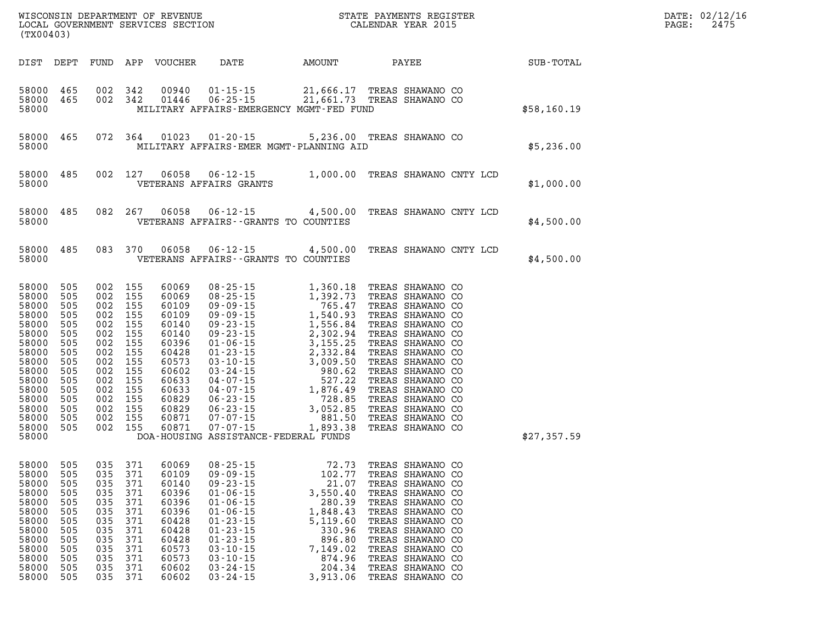| (TX00403)                                                                                                                                             |                                                                                                              |                                                                                                              |                                                                                                              | WISCONSIN DEPARTMENT OF REVENUE<br>LOCAL GOVERNMENT SERVICES SECTION                                                                         | $\mathbf{I}$                                                                                                                                                                                                                                                                                                                     |                                                                                                                                                                                    | STATE PAYMENTS REGISTER<br>CALENDAR YEAR 2015                                                                                                                                                                                                                                                                                |                  |
|-------------------------------------------------------------------------------------------------------------------------------------------------------|--------------------------------------------------------------------------------------------------------------|--------------------------------------------------------------------------------------------------------------|--------------------------------------------------------------------------------------------------------------|----------------------------------------------------------------------------------------------------------------------------------------------|----------------------------------------------------------------------------------------------------------------------------------------------------------------------------------------------------------------------------------------------------------------------------------------------------------------------------------|------------------------------------------------------------------------------------------------------------------------------------------------------------------------------------|------------------------------------------------------------------------------------------------------------------------------------------------------------------------------------------------------------------------------------------------------------------------------------------------------------------------------|------------------|
| DIST                                                                                                                                                  | DEPT                                                                                                         | FUND                                                                                                         | APP                                                                                                          | VOUCHER                                                                                                                                      | DATE                                                                                                                                                                                                                                                                                                                             | AMOUNT                                                                                                                                                                             | PAYEE                                                                                                                                                                                                                                                                                                                        | <b>SUB-TOTAL</b> |
| 58000<br>58000<br>58000                                                                                                                               | 465<br>465                                                                                                   | 002<br>002                                                                                                   | 342<br>342                                                                                                   | 00940<br>01446                                                                                                                               | $01 - 15 - 15$<br>$06 - 25 - 15$<br>MILITARY AFFAIRS-EMERGENCY MGMT-FED FUND                                                                                                                                                                                                                                                     |                                                                                                                                                                                    | 21,666.17 TREAS SHAWANO CO<br>21,661.73 TREAS SHAWANO CO                                                                                                                                                                                                                                                                     | \$58,160.19      |
| 58000<br>58000                                                                                                                                        | 465                                                                                                          | 072                                                                                                          | 364                                                                                                          | 01023                                                                                                                                        | $01 - 20 - 15$<br>MILITARY AFFAIRS-EMER MGMT-PLANNING AID                                                                                                                                                                                                                                                                        |                                                                                                                                                                                    | 5,236.00 TREAS SHAWANO CO                                                                                                                                                                                                                                                                                                    | \$5,236.00       |
| 58000<br>58000                                                                                                                                        | 485                                                                                                          | 002                                                                                                          | 127                                                                                                          | 06058                                                                                                                                        | $06 - 12 - 15$<br>VETERANS AFFAIRS GRANTS                                                                                                                                                                                                                                                                                        | 1,000.00                                                                                                                                                                           | TREAS SHAWANO CNTY LCD                                                                                                                                                                                                                                                                                                       | \$1,000.00       |
| 58000<br>58000                                                                                                                                        | 485                                                                                                          | 082                                                                                                          | 267                                                                                                          | 06058                                                                                                                                        | $06 - 12 - 15$<br>VETERANS AFFAIRS -- GRANTS TO COUNTIES                                                                                                                                                                                                                                                                         | 4,500.00                                                                                                                                                                           | TREAS SHAWANO CNTY LCD                                                                                                                                                                                                                                                                                                       | \$4,500.00       |
| 58000<br>58000                                                                                                                                        | 485                                                                                                          | 083                                                                                                          | 370                                                                                                          | 06058                                                                                                                                        | $06 - 12 - 15$<br>VETERANS AFFAIRS -- GRANTS TO COUNTIES                                                                                                                                                                                                                                                                         | 4,500.00                                                                                                                                                                           | TREAS SHAWANO CNTY LCD                                                                                                                                                                                                                                                                                                       | \$4,500.00       |
| 58000<br>58000<br>58000<br>58000<br>58000<br>58000<br>58000<br>58000<br>58000<br>58000<br>58000<br>58000<br>58000<br>58000<br>58000<br>58000<br>58000 | 505<br>505<br>505<br>505<br>505<br>505<br>505<br>505<br>505<br>505<br>505<br>505<br>505<br>505<br>505<br>505 | 002<br>002<br>002<br>002<br>002<br>002<br>002<br>002<br>002<br>002<br>002<br>002<br>002<br>002<br>002<br>002 | 155<br>155<br>155<br>155<br>155<br>155<br>155<br>155<br>155<br>155<br>155<br>155<br>155<br>155<br>155<br>155 | 60069<br>60069<br>60109<br>60109<br>60140<br>60140<br>60396<br>60428<br>60573<br>60602<br>60633<br>60633<br>60829<br>60829<br>60871<br>60871 | $08 - 25 - 15$<br>$08 - 25 - 15$<br>$09 - 09 - 15$<br>$09 - 09 - 15$<br>$09 - 23 - 15$<br>$09 - 23 - 15$<br>$01 - 06 - 15$<br>$01 - 23 - 15$<br>$03 - 10 - 15$<br>03 - 24 - 15<br>04 - 07 - 15<br>$04 - 07 - 15$<br>$06 - 23 - 15$<br>$06 - 23 - 15$<br>$07 - 07 - 15$<br>$07 - 07 - 15$<br>DOA-HOUSING ASSISTANCE-FEDERAL FUNDS | 1,360.18<br>1,392.73<br>765.47<br>1,540.93<br>1,556.84<br>2,302.94<br>3,155.25<br>2,332.84<br>3,009.50<br>980.62<br>527.22<br>1,876.49<br>728.85<br>3,052.85<br>881.50<br>1,893.38 | TREAS SHAWANO CO<br>TREAS SHAWANO CO<br>TREAS SHAWANO CO<br>TREAS SHAWANO CO<br>TREAS SHAWANO CO<br>TREAS SHAWANO CO<br>TREAS SHAWANO CO<br>TREAS SHAWANO CO<br>TREAS SHAWANO CO<br>TREAS SHAWANO CO<br>TREAS SHAWANO CO<br>TREAS SHAWANO CO<br>TREAS SHAWANO CO<br>TREAS SHAWANO CO<br>TREAS SHAWANO CO<br>TREAS SHAWANO CO | \$27,357.59      |
| 58000<br>58000<br>58000<br>58000<br>58000<br>58000<br>58000<br>58000<br>58000<br>58000<br>58000<br>58000<br>58000                                     | 505<br>505<br>505<br>505<br>505<br>505<br>505<br>505<br>505<br>505<br>505<br>505<br>505                      | 035<br>035<br>035<br>035<br>035<br>035<br>035<br>035<br>035<br>035<br>035<br>035<br>035                      | 371<br>371<br>371<br>371<br>371<br>371<br>371<br>371<br>371<br>371<br>371<br>371<br>371                      | 60069<br>60109<br>60140<br>60396<br>60396<br>60396<br>60428<br>60428<br>60428<br>60573<br>60573<br>60602<br>60602                            | $08 - 25 - 15$<br>$09 - 09 - 15$<br>$09 - 23 - 15$<br>$01 - 06 - 15$<br>$01 - 06 - 15$<br>$01 - 06 - 15$<br>$01 - 23 - 15$<br>$01 - 23 - 15$<br>$01 - 23 - 15$<br>$03 - 10 - 15$<br>$03 - 10 - 15$<br>$03 - 24 - 15$<br>$03 - 24 - 15$                                                                                           | 72.73<br>102.77<br>21.07<br>3,550.40<br>280.39<br>1,848.43<br>5,119.60<br>330.96<br>896.80<br>7,149.02<br>874.96<br>204.34<br>3,913.06                                             | TREAS SHAWANO CO<br>TREAS SHAWANO CO<br>TREAS SHAWANO CO<br>TREAS SHAWANO CO<br>TREAS SHAWANO CO<br>TREAS SHAWANO CO<br>TREAS SHAWANO CO<br>TREAS SHAWANO CO<br>TREAS SHAWANO CO<br>TREAS SHAWANO CO<br>TREAS SHAWANO CO<br>TREAS SHAWANO CO<br>TREAS SHAWANO CO                                                             |                  |

**LOCAL GOVER SERVICE: 02/12/16<br>PAGE: 2475**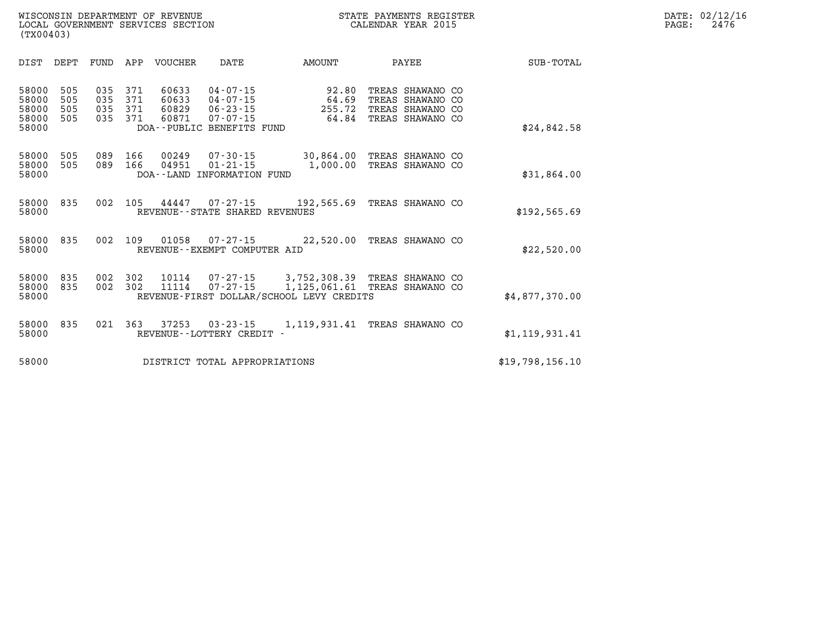| DIST                                      | DEPT                     | FUND                     | APP                      | VOUCHER                          | DATE                                                                      | <b>AMOUNT</b>                                                                     | PAYEE                                                                        | <b>SUB-TOTAL</b> |
|-------------------------------------------|--------------------------|--------------------------|--------------------------|----------------------------------|---------------------------------------------------------------------------|-----------------------------------------------------------------------------------|------------------------------------------------------------------------------|------------------|
| 58000<br>58000<br>58000<br>58000<br>58000 | 505<br>505<br>505<br>505 | 035<br>035<br>035<br>035 | 371<br>371<br>371<br>371 | 60633<br>60633<br>60829<br>60871 | 04-07-15<br>04-07-15<br>06-23-15<br>07-07-15<br>DOA--PUBLIC BENEFITS FUND | 92.80<br>64.69<br>255.72<br>64.84                                                 | TREAS SHAWANO CO<br>TREAS SHAWANO CO<br>TREAS SHAWANO CO<br>TREAS SHAWANO CO | \$24,842.58      |
| 58000<br>58000<br>58000                   | 505<br>505               | 089<br>089               | 166<br>166               | 00249<br>04951                   | 07-30-15<br>$01 - 21 - 15$<br>DOA--LAND INFORMATION FUND                  | 30,864.00<br>1,000.00                                                             | TREAS SHAWANO CO<br>TREAS SHAWANO CO                                         | \$31,864.00      |
| 58000<br>58000                            | 835                      | 002                      | 105                      | 44447                            | REVENUE--STATE SHARED REVENUES                                            | $07 - 27 - 15$ 192,565.69                                                         | TREAS SHAWANO CO                                                             | \$192,565.69     |
| 58000<br>58000                            | 835                      | 002                      | 109                      | 01058                            | REVENUE - - EXEMPT COMPUTER AID                                           | $07 - 27 - 15$ 22,520.00                                                          | TREAS SHAWANO CO                                                             | \$22,520.00      |
| 58000<br>58000<br>58000                   | 835<br>835               | 002<br>002               | 302<br>302               | 10114<br>11114                   | 07-27-15                                                                  | 07-27-15 3,752,308.39<br>1,125,061.61<br>REVENUE-FIRST DOLLAR/SCHOOL LEVY CREDITS | TREAS SHAWANO CO<br>TREAS SHAWANO CO                                         | \$4.877.370.00   |
| 58000<br>58000                            | 835                      | 021                      | 363                      | 37253                            | $03 - 23 - 15$<br>REVENUE - - LOTTERY CREDIT -                            | 1,119,931.41                                                                      | TREAS SHAWANO CO                                                             | \$1,119,931.41   |
| 58000                                     |                          |                          |                          |                                  | DISTRICT TOTAL APPROPRIATIONS                                             |                                                                                   |                                                                              | \$19,798,156.10  |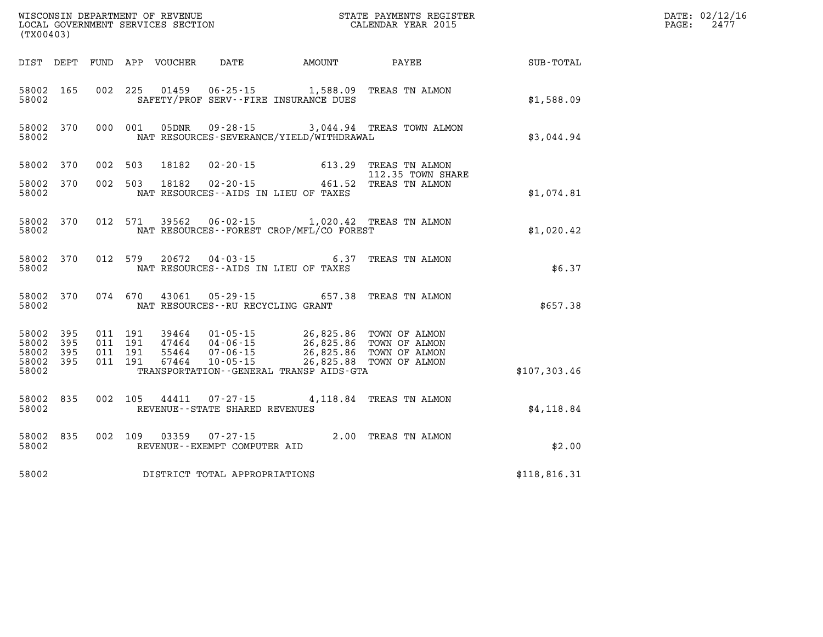| WISCONSIN DEPARTMENT OF REVENUE<br>LOCAL GOVERNMENT SERVICES SECTION<br>(TX00403)<br>(TX00403) |                   |                                          |         |                  |                                                          |                                                                                                                                                                                              | STATE PAYMENTS REGISTER<br>CALENDAR YEAR 2015 |              | DATE: 02/12/16<br>PAGE:<br>2477 |
|------------------------------------------------------------------------------------------------|-------------------|------------------------------------------|---------|------------------|----------------------------------------------------------|----------------------------------------------------------------------------------------------------------------------------------------------------------------------------------------------|-----------------------------------------------|--------------|---------------------------------|
| DIST DEPT                                                                                      |                   |                                          |         | FUND APP VOUCHER | DATE                                                     | AMOUNT                                                                                                                                                                                       | PAYEE                                         | SUB-TOTAL    |                                 |
| 58002 165<br>58002                                                                             |                   |                                          | 002 225 |                  |                                                          | 01459   06-25-15   1,588.09<br>SAFETY/PROF SERV--FIRE INSURANCE DUES                                                                                                                         | TREAS TN ALMON                                | \$1,588.09   |                                 |
| 58002 370<br>58002                                                                             |                   | 000 001                                  |         | 05DNR            | $09 - 28 - 15$                                           | NAT RESOURCES-SEVERANCE/YIELD/WITHDRAWAL                                                                                                                                                     | 3,044.94 TREAS TOWN ALMON                     | \$3,044.94   |                                 |
| 58002                                                                                          | 370               | 002                                      | 503     | 18182            |                                                          | $02 - 20 - 15$ 613.29                                                                                                                                                                        | TREAS TN ALMON<br>112.35 TOWN SHARE           |              |                                 |
| 58002<br>58002                                                                                 | 370               | 002 503                                  |         | 18182            | $02 - 20 - 15$<br>NAT RESOURCES -- AIDS IN LIEU OF TAXES |                                                                                                                                                                                              | 461.52 TREAS TN ALMON                         | \$1,074.81   |                                 |
| 58002 370<br>58002                                                                             |                   | 012 571                                  |         | 39562            | $06 - 02 - 15$                                           | NAT RESOURCES - - FOREST CROP/MFL/CO FOREST                                                                                                                                                  | 1,020.42 TREAS TN ALMON                       | \$1,020.42   |                                 |
| 58002 370<br>58002                                                                             |                   | 012 579                                  |         | 20672            | 04-03-15<br>NAT RESOURCES -- AIDS IN LIEU OF TAXES       | 6.37                                                                                                                                                                                         | TREAS TN ALMON                                | \$6.37       |                                 |
| 58002 370<br>58002                                                                             |                   | 074 670                                  |         | 43061            | 05 - 29 - 15<br>NAT RESOURCES - - RU RECYCLING GRANT     | 657.38                                                                                                                                                                                       | TREAS TN ALMON                                | \$657.38     |                                 |
| 58002<br>58002<br>58002<br>58002 395<br>58002                                                  | 395<br>395<br>395 | 011 191<br>011 191<br>011 191<br>011 191 |         | 55464<br>67464   | 47464 04-06-15<br>$07 - 06 - 15$<br>$10 - 05 - 15$       | 39464  01-05-15  26,825.86  TOWN OF ALMON<br>47464  04-06-15  26,825.86  TOWN OF ALMON<br>26,825.86 TOWN OF ALMON<br>26,825.88 TOWN OF ALMON<br>TRANSPORTATION - - GENERAL TRANSP AIDS - GTA |                                               | \$107,303.46 |                                 |
| 58002 835<br>58002                                                                             |                   | 002 105                                  |         | 44411            | $07 - 27 - 15$<br>REVENUE--STATE SHARED REVENUES         |                                                                                                                                                                                              | 4,118.84 TREAS TN ALMON                       | \$4,118.84   |                                 |
| 58002 835<br>58002                                                                             |                   | 002 109                                  |         | 03359            | $07 - 27 - 15$<br>REVENUE--EXEMPT COMPUTER AID           |                                                                                                                                                                                              | 2.00 TREAS TN ALMON                           | \$2.00       |                                 |
| 58002                                                                                          |                   |                                          |         |                  | DISTRICT TOTAL APPROPRIATIONS                            |                                                                                                                                                                                              |                                               | \$118,816.31 |                                 |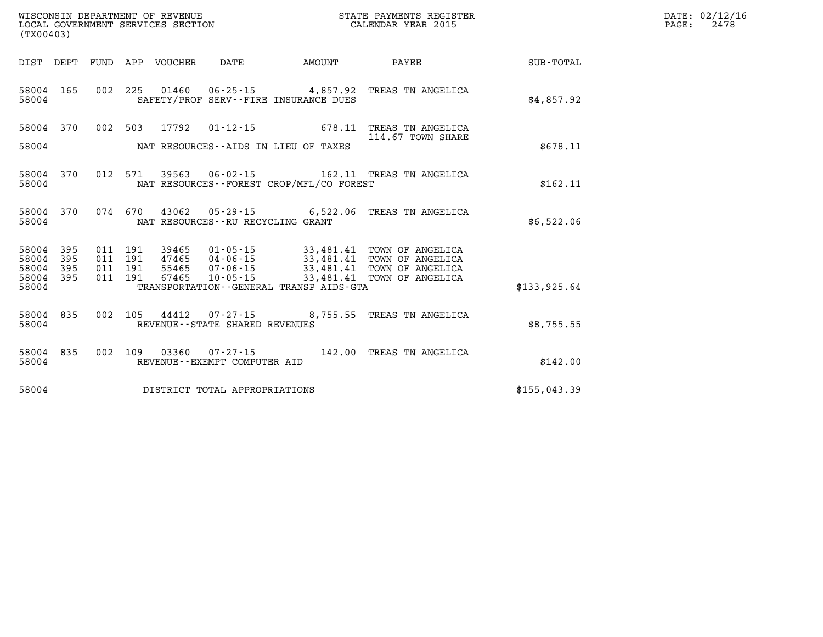| DATE: | 02/12/16 |
|-------|----------|
| PAGE: | 2478     |

| (TX00403)      |            |            | WISCONSIN DEPARTMENT OF REVENUE<br>LOCAL GOVERNMENT SERVICES SECTION |                                                     |                                                   | STATE PAYMENTS REGISTER<br>CALENDAR YEAR 2015 |                  |  |  |
|----------------|------------|------------|----------------------------------------------------------------------|-----------------------------------------------------|---------------------------------------------------|-----------------------------------------------|------------------|--|--|
| DIST           | DEPT       | FUND       | APP<br>VOUCHER                                                       | DATE                                                | AMOUNT                                            | PAYEE                                         | <b>SUB-TOTAL</b> |  |  |
| 58004<br>58004 | 165        | 002        | 225<br>01460                                                         | $06 - 25 - 15$                                      | 4,857.92<br>SAFETY/PROF SERV--FIRE INSURANCE DUES | TREAS TN ANGELICA                             | \$4,857.92       |  |  |
| 58004          | 370        | 002        | 503<br>17792                                                         | $01 - 12 - 15$                                      | 678.11                                            | TREAS TN ANGELICA<br>114.67 TOWN SHARE        |                  |  |  |
| 58004          |            |            |                                                                      | NAT RESOURCES--AIDS IN LIEU OF TAXES                |                                                   |                                               | \$678.11         |  |  |
| 58004<br>58004 | 370        | 012        | 39563<br>571                                                         | $06 - 02 - 15$                                      | NAT RESOURCES - - FOREST CROP/MFL/CO FOREST       | 162.11 TREAS TN ANGELICA                      | \$162.11         |  |  |
| 58004<br>58004 | 370        | 074        | 670<br>43062                                                         | NAT RESOURCES - - RU RECYCLING GRANT                | $05 - 29 - 15$ 6,522.06                           | TREAS TN ANGELICA                             | \$6,522.06       |  |  |
| 58004<br>58004 | 395<br>395 | 011<br>011 | 191<br>39465<br>191<br>47465                                         | $01 - 05 - 15$<br>$04 - 06 - 15$                    | 33,481.41<br>33,481.41                            | TOWN OF ANGELICA<br>TOWN OF ANGELICA          |                  |  |  |
| 58004<br>58004 | 395<br>395 | 011<br>011 | 191<br>55465<br>67465<br>191                                         | $07 - 06 - 15$<br>$10 - 05 - 15$                    | 33,481.41<br>33,481.41                            | TOWN OF ANGELICA<br>TOWN OF ANGELICA          |                  |  |  |
| 58004          |            |            |                                                                      |                                                     | TRANSPORTATION--GENERAL TRANSP AIDS-GTA           |                                               | \$133,925.64     |  |  |
| 58004<br>58004 | 835        | 002        | 105                                                                  | 44412 07-27-15<br>REVENUE - - STATE SHARED REVENUES | 8,755.55                                          | TREAS TN ANGELICA                             | \$8,755.55       |  |  |
| 58004<br>58004 | 835        | 002        | 109<br>03360                                                         | $07 - 27 - 15$<br>REVENUE--EXEMPT COMPUTER AID      | 142.00                                            | TREAS TN ANGELICA                             | \$142.00         |  |  |
| 58004          |            |            |                                                                      | DISTRICT TOTAL APPROPRIATIONS                       |                                                   |                                               | \$155,043.39     |  |  |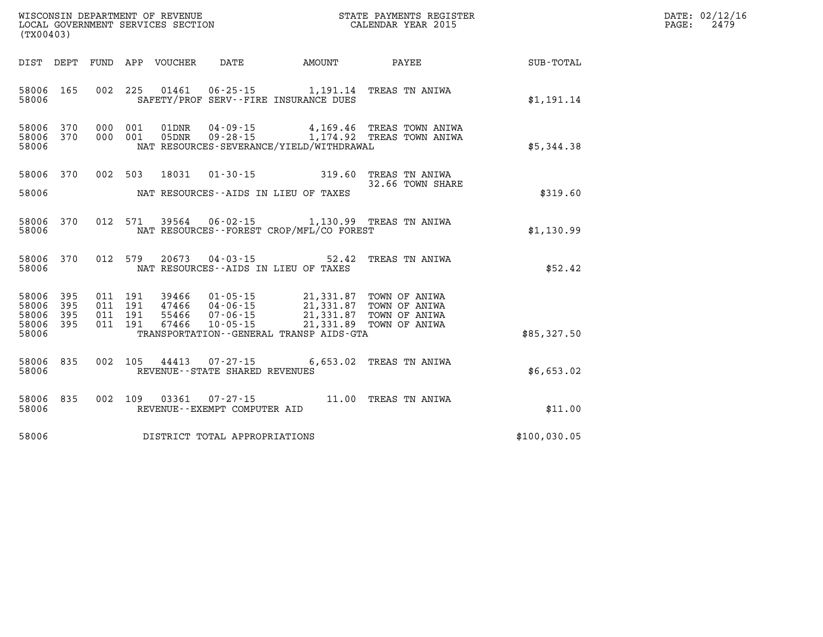| WISCONSIN DEPARTMENT OF REVENUE      | PAYMENTS REGISTER<br>3TATE | DATE: | 02/12/16 |
|--------------------------------------|----------------------------|-------|----------|
| GOVERNMENT SERVICES SECTION<br>LOCAL | CALENDAR YEAR 2015         | PAGE  | 2479     |

| (TX00403)                                             |     |                    | LOCAL GOVERNMENT SERVICES SECTION |                                     |                                                                                                                                                                                                                                                                                                                  | CALENDAR YEAR 2015                                                             |                                                    | PAGE: | 2479 |
|-------------------------------------------------------|-----|--------------------|-----------------------------------|-------------------------------------|------------------------------------------------------------------------------------------------------------------------------------------------------------------------------------------------------------------------------------------------------------------------------------------------------------------|--------------------------------------------------------------------------------|----------------------------------------------------|-------|------|
|                                                       |     |                    |                                   |                                     |                                                                                                                                                                                                                                                                                                                  |                                                                                | DIST DEPT FUND APP VOUCHER DATE AMOUNT PAYEE TOTAL |       |      |
| 58006 165<br>58006                                    |     |                    |                                   |                                     | 002 225 01461 06-25-15 1,191.14 TREAS TN ANIWA<br>SAFETY/PROF SERV--FIRE INSURANCE DUES                                                                                                                                                                                                                          |                                                                                | \$1,191.14                                         |       |      |
| 58006 370<br>58006 370<br>58006                       |     | 000 001<br>000 001 | 01DNR                             |                                     | NAT RESOURCES-SEVERANCE/YIELD/WITHDRAWAL                                                                                                                                                                                                                                                                         | 04-09-15 4,169.46 TREAS TOWN ANIWA<br>05DNR 09-28-15 1,174.92 TREAS TOWN ANIWA | \$5,344.38                                         |       |      |
| 58006 370<br>58006                                    |     |                    |                                   |                                     | 002 503 18031 01-30-15 319.60 TREAS TN ANIWA<br>NAT RESOURCES--AIDS IN LIEU OF TAXES                                                                                                                                                                                                                             | 32.66 TOWN SHARE                                                               | \$319.60                                           |       |      |
| 58006 370<br>58006                                    |     |                    |                                   |                                     | 012 571 39564 06-02-15 1,130.99 TREAS TN ANIWA<br>NAT RESOURCES--FOREST CROP/MFL/CO FOREST                                                                                                                                                                                                                       |                                                                                | \$1,130.99                                         |       |      |
| 58006 370<br>58006                                    |     | 012 579            | 20673                             |                                     | 04-03-15 52.42 TREAS TN ANIWA<br>NAT RESOURCES--AIDS IN LIEU OF TAXES                                                                                                                                                                                                                                            |                                                                                | \$52.42                                            |       |      |
| 58006 395<br>58006 395<br>58006<br>58006 395<br>58006 | 395 | 011 191            | 67466                             | $10 - 05 - 15$                      | $\begin{array}{cccc} 011 & 191 & 39466 & 01\cdot 05\cdot 15 & 21,331.87 & \text{TOWN OF ANIWA} \\ 011 & 191 & 47466 & 04\cdot 06\cdot 15 & 21,331.87 & \text{TOWN OF ANIWA} \\ 011 & 191 & 55466 & 07\cdot 06\cdot 15 & 21,331.87 & \text{TOWN OF ANIWA} \end{array}$<br>TRANSPORTATION--GENERAL TRANSP AIDS-GTA | 21,331.89 TOWN OF ANIWA                                                        | \$85,327.50                                        |       |      |
| 58006 835<br>58006                                    |     |                    |                                   | REVENUE--STATE SHARED REVENUES      | 002 105 44413 07-27-15 6,653.02 TREAS TN ANIWA                                                                                                                                                                                                                                                                   |                                                                                | \$6,653.02                                         |       |      |
| 58006 835<br>58006                                    |     |                    |                                   | REVENUE--EXEMPT COMPUTER AID        | 002 109 03361 07-27-15 11.00 TREAS TN ANIWA                                                                                                                                                                                                                                                                      |                                                                                | \$11.00                                            |       |      |
|                                                       |     |                    |                                   | 58006 DISTRICT TOTAL APPROPRIATIONS |                                                                                                                                                                                                                                                                                                                  |                                                                                | \$100,030.05                                       |       |      |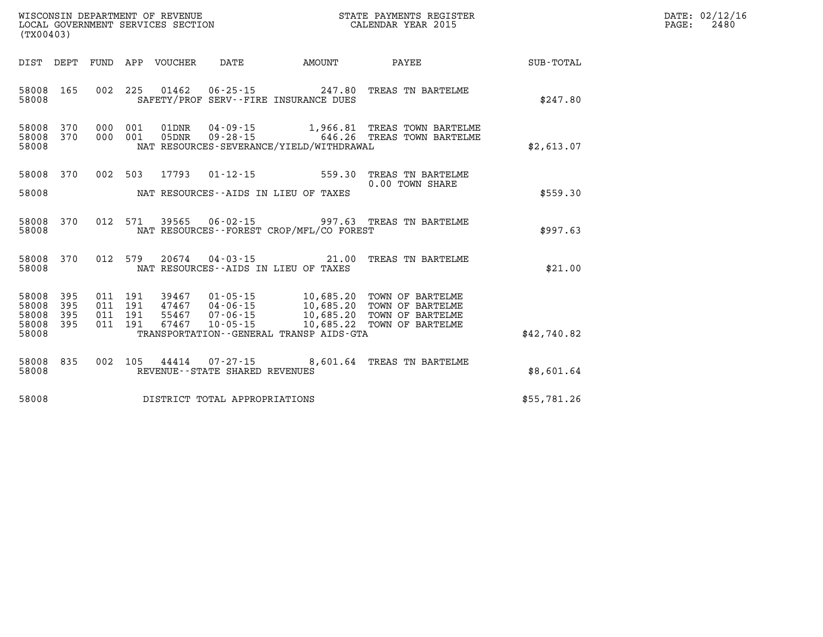| WISCONSIN DEPARTMENT OF REVENUE      | PAYMENTS REGISTER<br>3TATE | DATE: | 02/12/16 |
|--------------------------------------|----------------------------|-------|----------|
| GOVERNMENT SERVICES SECTION<br>LOCAL | CALENDAR YEAR 2015         | PAGE  | 2480     |

| (TX00403)                                     |                   |                    | LOCAL GOVERNMENT SERVICES SECTION |                                   |                                                        | CALENDAR YEAR 2015                                                                                                                                                                         |             | PAGE: | 2480 |
|-----------------------------------------------|-------------------|--------------------|-----------------------------------|-----------------------------------|--------------------------------------------------------|--------------------------------------------------------------------------------------------------------------------------------------------------------------------------------------------|-------------|-------|------|
|                                               |                   |                    |                                   |                                   | DIST DEPT FUND APP VOUCHER DATE      AMOUNT      PAYEE |                                                                                                                                                                                            | SUB-TOTAL   |       |      |
| 58008 165<br>58008                            |                   |                    |                                   |                                   | SAFETY/PROF SERV--FIRE INSURANCE DUES                  | 002  225  01462  06-25-15  247.80 TREAS TN BARTELME                                                                                                                                        | \$247.80    |       |      |
| 58008<br>58008<br>58008                       | 370<br>370        |                    |                                   |                                   | NAT RESOURCES-SEVERANCE/YIELD/WITHDRAWAL               | 000 001 01DNR 04-09-15 1,966.81 TREAS TOWN BARTELME<br>000 001 05DNR 09-28-15 646.26 TREAS TOWN BARTELME                                                                                   | \$2,613.07  |       |      |
| 58008 370<br>58008                            |                   |                    |                                   |                                   | NAT RESOURCES--AIDS IN LIEU OF TAXES                   | 002 503 17793 01-12-15 559.30 TREAS TN BARTELME<br>0.00 TOWN SHARE                                                                                                                         | \$559.30    |       |      |
| 58008<br>58008                                | 370               |                    |                                   |                                   | NAT RESOURCES--FOREST CROP/MFL/CO FOREST               | 012 571 39565 06-02-15 997.63 TREAS TN BARTELME                                                                                                                                            | \$997.63    |       |      |
| 58008 370<br>58008                            |                   |                    |                                   |                                   | NAT RESOURCES--AIDS IN LIEU OF TAXES                   | 012 579 20674 04-03-15 21.00 TREAS TN BARTELME                                                                                                                                             | \$21.00     |       |      |
| 58008<br>58008<br>58008<br>58008 395<br>58008 | 395<br>395<br>395 | 011 191<br>011 191 | 67467                             |                                   | TRANSPORTATION--GENERAL TRANSP AIDS-GTA                | 011 191 39467 01-05-15 10,685.20 TOWN OF BARTELME<br>011 191 47467 04-06-15 10,685.20 TOWN OF BARTELME<br>55467 07-06-15 10,685.20 TOWN OF BARTELME<br>10-05-15 10,685.22 TOWN OF BARTELME | \$42,740.82 |       |      |
| 58008<br>58008                                | 835               |                    |                                   | REVENUE - - STATE SHARED REVENUES |                                                        | 002 105 44414 07-27-15 8,601.64 TREAS TN BARTELME                                                                                                                                          | \$8,601.64  |       |      |
| 58008                                         |                   |                    |                                   | DISTRICT TOTAL APPROPRIATIONS     |                                                        |                                                                                                                                                                                            | \$55,781.26 |       |      |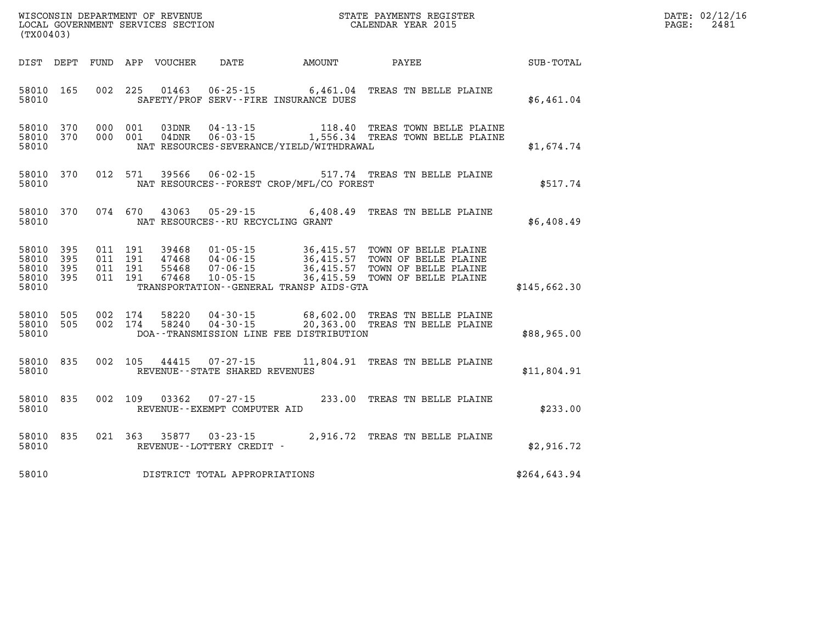| $\texttt{DATE}$ : | 02/12/16 |
|-------------------|----------|
| PAGE:             | 2481     |

| (TX00403)                                                 |            |  |                    |                            |                                   |                                              | STATE PAYMENTS REGISTER                                                                                                                                                                                                          |              | DATE: 02/12/1<br>PAGE:<br>2481 |
|-----------------------------------------------------------|------------|--|--------------------|----------------------------|-----------------------------------|----------------------------------------------|----------------------------------------------------------------------------------------------------------------------------------------------------------------------------------------------------------------------------------|--------------|--------------------------------|
|                                                           |            |  |                    | DIST DEPT FUND APP VOUCHER |                                   |                                              | DATE AMOUNT PAYEE SUB-TOTAL                                                                                                                                                                                                      |              |                                |
| 58010 165<br>58010                                        |            |  |                    |                            |                                   | SAFETY/PROF SERV--FIRE INSURANCE DUES        | 002 225 01463 06-25-15 6,461.04 TREAS TN BELLE PLAINE                                                                                                                                                                            | \$6,461.04   |                                |
| 58010 370<br>58010 370<br>58010                           |            |  |                    |                            |                                   | NAT RESOURCES-SEVERANCE/YIELD/WITHDRAWAL     | 000 001 03DNR 04-13-15 118.40 TREAS TOWN BELLE PLAINE<br>000 001 04DNR 06-03-15 1,556.34 TREAS TOWN BELLE PLAINE                                                                                                                 | \$1,674.74   |                                |
| 58010 370<br>58010                                        |            |  |                    |                            |                                   | NAT RESOURCES--FOREST CROP/MFL/CO FOREST     | 012 571 39566 06-02-15 517.74 TREAS TN BELLE PLAINE                                                                                                                                                                              | \$517.74     |                                |
| 58010 370<br>58010                                        |            |  |                    |                            | NAT RESOURCES--RU RECYCLING GRANT |                                              | 074 670 43063 05-29-15 6,408.49 TREAS TN BELLE PLAINE                                                                                                                                                                            | \$6,408.49   |                                |
| 58010 395<br>58010 395<br>58010 395<br>58010 395<br>58010 |            |  |                    |                            |                                   | TRANSPORTATION - - GENERAL TRANSP AIDS - GTA | 011 191 39468 01-05-15 36,415.57 TOWN OF BELLE PLAINE<br>011 191 47468 04-06-15 36,415.57 TOWN OF BELLE PLAINE<br>011 191 55468 07-06-15 36,415.57 TOWN OF BELLE PLAINE<br>011 191 67468 10-05-15 36,415.59 TOWN OF BELLE PLAINE | \$145,662.30 |                                |
| 58010<br>58010<br>58010                                   | 505<br>505 |  | 002 174<br>002 174 |                            |                                   | DOA--TRANSMISSION LINE FEE DISTRIBUTION      | 58220  04-30-15  68,602.00  TREAS TN BELLE PLAINE<br>58240  04-30-15  20,363.00  TREAS TN BELLE PLAINE                                                                                                                           | \$88,965.00  |                                |
| 58010 835<br>58010                                        |            |  |                    |                            | REVENUE--STATE SHARED REVENUES    |                                              | 002 105 44415 07-27-15 11,804.91 TREAS TN BELLE PLAINE                                                                                                                                                                           | \$11,804.91  |                                |
| 58010<br>58010                                            | 835        |  |                    |                            | REVENUE--EXEMPT COMPUTER AID      |                                              | 002 109 03362 07-27-15 233.00 TREAS TN BELLE PLAINE                                                                                                                                                                              | \$233.00     |                                |
| 58010 835<br>58010                                        |            |  |                    |                            | REVENUE--LOTTERY CREDIT -         |                                              | 021 363 35877 03-23-15 2,916.72 TREAS TN BELLE PLAINE                                                                                                                                                                            | \$2,916.72   |                                |
| 58010                                                     |            |  |                    |                            | DISTRICT TOTAL APPROPRIATIONS     |                                              |                                                                                                                                                                                                                                  | \$264,643.94 |                                |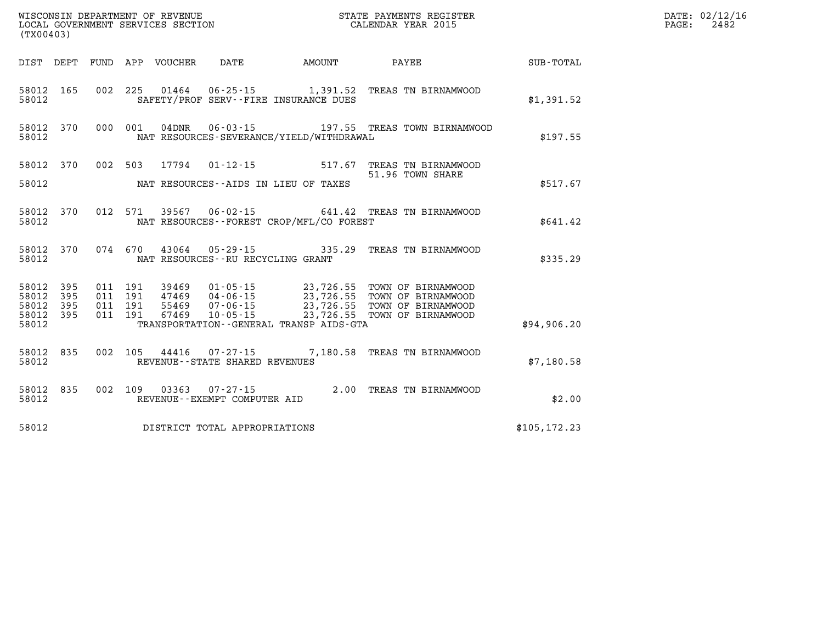| WISCONSIN DEPARTMENT OF REVENUE<br>LOCAL GOVERNMENT SERVICES SECTION<br>CALENDAR YEAR 2015<br>(TX00403) |                        |  |  |  |                                   |                                            |                                                                                                                                                                                                                          |               | DATE: 02/12/16<br>$\mathtt{PAGE:}$<br>2482 |
|---------------------------------------------------------------------------------------------------------|------------------------|--|--|--|-----------------------------------|--------------------------------------------|--------------------------------------------------------------------------------------------------------------------------------------------------------------------------------------------------------------------------|---------------|--------------------------------------------|
|                                                                                                         |                        |  |  |  |                                   |                                            | DIST DEPT FUND APP VOUCHER DATE AMOUNT PAYEE PAYEE SUB-TOTAL                                                                                                                                                             |               |                                            |
| 58012                                                                                                   |                        |  |  |  |                                   | SAFETY/PROF SERV--FIRE INSURANCE DUES      | 58012 165 002 225 01464 06-25-15 1,391.52 TREAS TN BIRNAMWOOD                                                                                                                                                            | \$1,391.52    |                                            |
| 58012                                                                                                   |                        |  |  |  |                                   | NAT RESOURCES-SEVERANCE/YIELD/WITHDRAWAL   | 58012 370 000 001 04DNR 06-03-15 197.55 TREAS TOWN BIRNAMWOOD                                                                                                                                                            | \$197.55      |                                            |
|                                                                                                         |                        |  |  |  |                                   |                                            | 58012 370 002 503 17794 01-12-15 517.67 TREAS TN BIRNAMWOOD                                                                                                                                                              |               |                                            |
|                                                                                                         |                        |  |  |  |                                   | 58012 NAT RESOURCES--AIDS IN LIEU OF TAXES | 51.96 TOWN SHARE                                                                                                                                                                                                         | \$517.67      |                                            |
| 58012                                                                                                   |                        |  |  |  |                                   | NAT RESOURCES--FOREST CROP/MFL/CO FOREST   | 58012 370 012 571 39567 06-02-15 641.42 TREAS TN BIRNAMWOOD                                                                                                                                                              | \$641.42      |                                            |
|                                                                                                         | 58012                  |  |  |  | NAT RESOURCES--RU RECYCLING GRANT |                                            | 58012 370 074 670 43064 05-29-15 335.29 TREAS TN BIRNAMWOOD                                                                                                                                                              | \$335.29      |                                            |
| 58012                                                                                                   | 58012 395<br>395       |  |  |  |                                   |                                            | 011 191 39469 01-05-15 23,726.55 TOWN OF BIRNAMWOOD<br>011 191 47469 04-06-15 23,726.55 TOWN OF BIRNAMWOOD<br>011 191 55469 07-06-15 23,726.55 TOWN OF BIRNAMWOOD<br>011 191 67469 10-05-15 23,726.55 TOWN OF BIRNAMWOOD |               |                                            |
|                                                                                                         | 58012 395<br>58012 395 |  |  |  |                                   |                                            |                                                                                                                                                                                                                          |               |                                            |
| 58012                                                                                                   |                        |  |  |  |                                   | TRANSPORTATION--GENERAL TRANSP AIDS-GTA    |                                                                                                                                                                                                                          | \$94,906.20   |                                            |
| 58012                                                                                                   |                        |  |  |  | REVENUE--STATE SHARED REVENUES    |                                            | 58012 835 002 105 44416 07-27-15 7,180.58 TREAS TN BIRNAMWOOD                                                                                                                                                            | \$7,180.58    |                                            |
| 58012                                                                                                   |                        |  |  |  | REVENUE--EXEMPT COMPUTER AID      |                                            | 58012 835 002 109 03363 07-27-15 2.00 TREAS TN BIRNAMWOOD                                                                                                                                                                | \$2.00        |                                            |
| 58012                                                                                                   |                        |  |  |  | DISTRICT TOTAL APPROPRIATIONS     |                                            |                                                                                                                                                                                                                          | \$105, 172.23 |                                            |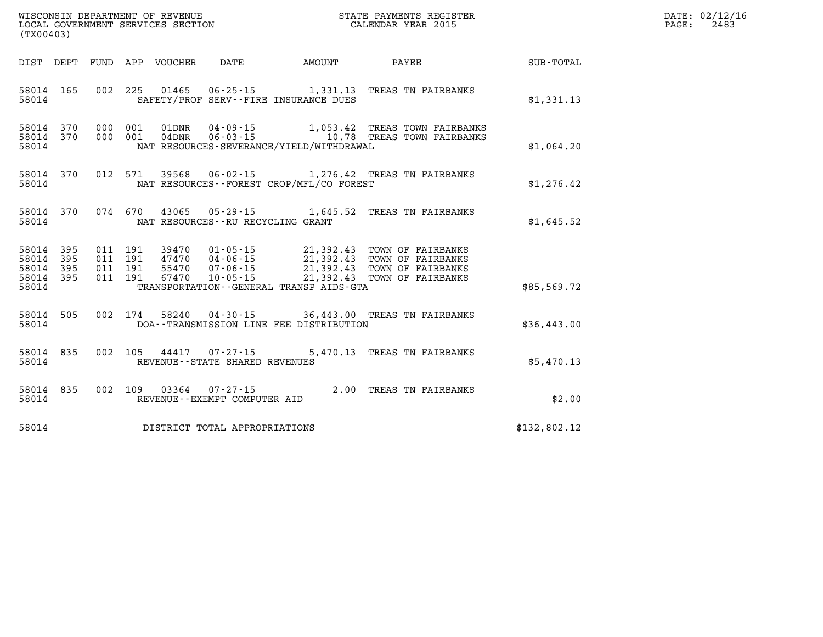| WISCONSIN DEPARTMENT OF REVENUE      | PAYMENTS REGISTER<br>3TATE | DATE: | 02/12/16 |
|--------------------------------------|----------------------------|-------|----------|
| GOVERNMENT SERVICES SECTION<br>LOCAL | CALENDAR YEAR 2015         | PAGE  | 2483     |

| (TX00403)                                                 |           |  | LOCAL GOVERNMENT SERVICES SECTION |                                     |                                          | CALENDAR YEAR 2015                                                                                                                                                                                                   |                                                    | PAGE: | 2483 |
|-----------------------------------------------------------|-----------|--|-----------------------------------|-------------------------------------|------------------------------------------|----------------------------------------------------------------------------------------------------------------------------------------------------------------------------------------------------------------------|----------------------------------------------------|-------|------|
|                                                           |           |  |                                   |                                     |                                          |                                                                                                                                                                                                                      | DIST DEPT FUND APP VOUCHER DATE AMOUNT PAYEE TOTAL |       |      |
| 58014                                                     |           |  |                                   |                                     | SAFETY/PROF SERV--FIRE INSURANCE DUES    | 58014 165 002 225 01465 06-25-15 1,331.13 TREAS TN FAIRBANKS                                                                                                                                                         | \$1,331.13                                         |       |      |
| 58014                                                     |           |  |                                   |                                     | NAT RESOURCES-SEVERANCE/YIELD/WITHDRAWAL | 58014 370 000 001 01DNR 04-09-15 1,053.42 TREAS TOWN FAIRBANKS<br>58014 370 000 001 04DNR 06-03-15 10.78 TREAS TOWN FAIRBANKS                                                                                        | \$1,064.20                                         |       |      |
| 58014                                                     |           |  |                                   |                                     | NAT RESOURCES--FOREST CROP/MFL/CO FOREST | 58014 370 012 571 39568 06-02-15 1,276.42 TREAS TN FAIRBANKS                                                                                                                                                         | \$1,276.42                                         |       |      |
| 58014                                                     |           |  |                                   | NAT RESOURCES--RU RECYCLING GRANT   |                                          | 58014 370 074 670 43065 05-29-15 1,645.52 TREAS TN FAIRBANKS                                                                                                                                                         | \$1,645.52                                         |       |      |
| 58014 395<br>58014 395<br>58014 395<br>58014 395<br>58014 |           |  |                                   |                                     | TRANSPORTATION - GENERAL TRANSP AIDS-GTA | 011 191 39470 01-05-15 21,392.43 TOWN OF FAIRBANKS<br>011 191 47470 04-06-15 21,392.43 TOWN OF FAIRBANKS<br>011 191 55470 07-06-15 21,392.43 TOWN OF FAIRBANKS<br>011 191 67470 10-05-15 21,392.43 TOWN OF FAIRBANKS | \$85,569.72                                        |       |      |
| 58014                                                     |           |  |                                   |                                     |                                          | 58014 505 002 174 58240 04-30-15 36,443.00 TREAS TN FAIRBANKS<br>DOA--TRANSMISSION LINE FEE DISTRIBUTION                                                                                                             | \$36,443.00                                        |       |      |
| 58014                                                     | 58014 835 |  |                                   | REVENUE--STATE SHARED REVENUES      |                                          | 002 105 44417 07-27-15 5,470.13 TREAS TN FAIRBANKS                                                                                                                                                                   | \$5,470.13                                         |       |      |
| 58014                                                     |           |  |                                   |                                     |                                          | $\begin{tabular}{lllllll} 58014 & 835 & 002 & 109 & 03364 & 07-27-15 & & 2.00 \end{tabular} \begin{tabular}{lllll} 58014 & 835 & 002 & 109 & 03364 & 07-27-15 & & 2.00 \end{tabular}$                                | \$2.00                                             |       |      |
|                                                           |           |  |                                   | 58014 DISTRICT TOTAL APPROPRIATIONS |                                          |                                                                                                                                                                                                                      | \$132,802.12                                       |       |      |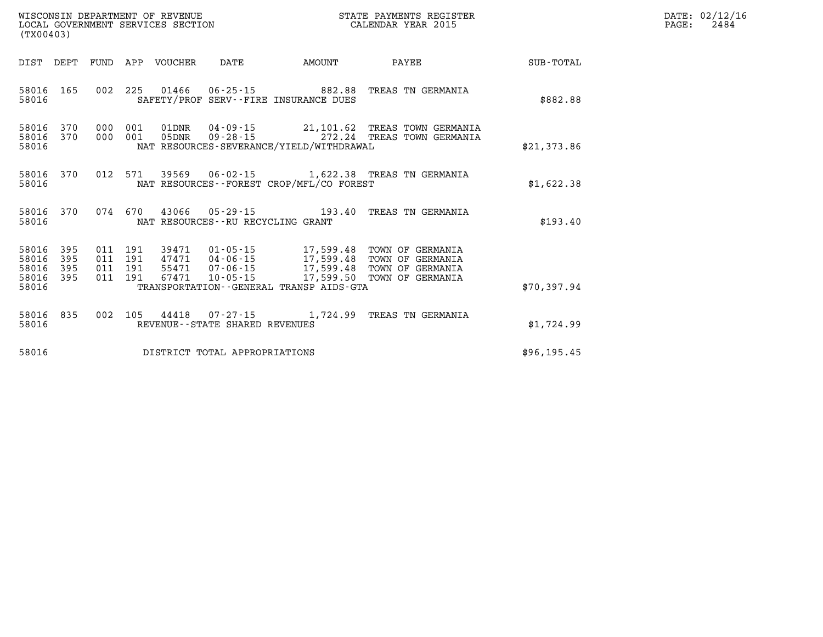| DATE: | 02/12/16 |
|-------|----------|
| PAGE: | 2484     |

| (TX00403)                                 |                          |                          |                          | WISCONSIN DEPARTMENT OF REVENUE<br>LOCAL GOVERNMENT SERVICES SECTION |                                                                      |                                                                                | STATE PAYMENTS REGISTER<br>CALENDAR YEAR 2015                                          |                  |
|-------------------------------------------|--------------------------|--------------------------|--------------------------|----------------------------------------------------------------------|----------------------------------------------------------------------|--------------------------------------------------------------------------------|----------------------------------------------------------------------------------------|------------------|
| DIST                                      | DEPT                     | FUND                     | APP                      | VOUCHER                                                              | DATE                                                                 | AMOUNT                                                                         | <b>PAYEE</b>                                                                           | <b>SUB-TOTAL</b> |
| 58016<br>58016                            | 165                      | 002                      | 225                      |                                                                      |                                                                      | 01466 06-25-15 882.88<br>SAFETY/PROF SERV--FIRE INSURANCE DUES                 | TREAS TN GERMANIA                                                                      | \$882.88         |
| 58016<br>58016<br>58016                   | 370<br>370               | 000<br>000               | 001<br>001               | 01DNR<br>05DNR                                                       | $09 - 28 - 15$                                                       | 272.24<br>NAT RESOURCES-SEVERANCE/YIELD/WITHDRAWAL                             | 04-09-15 21,101.62 TREAS TOWN GERMANIA<br>TREAS TOWN GERMANIA                          | \$21,373.86      |
| 58016<br>58016                            | 370                      | 012                      | 571                      |                                                                      |                                                                      | NAT RESOURCES - - FOREST CROP/MFL/CO FOREST                                    | 39569  06-02-15  1,622.38  TREAS TN GERMANIA                                           | \$1,622.38       |
| 58016<br>58016                            | 370                      |                          | 074 670                  |                                                                      | 43066 05-29-15<br>NAT RESOURCES - - RU RECYCLING GRANT               | 193.40                                                                         | TREAS TN GERMANIA                                                                      | \$193.40         |
| 58016<br>58016<br>58016<br>58016<br>58016 | 395<br>395<br>395<br>395 | 011<br>011<br>011<br>011 | 191<br>191<br>191<br>191 | 55471<br>67471                                                       | 39471 01-05-15<br>47471 04-06-15<br>$07 - 06 - 15$<br>$10 - 05 - 15$ | 17,599.48<br>17,599.48<br>17,599.50<br>TRANSPORTATION--GENERAL TRANSP AIDS-GTA | 17,599.48 TOWN OF GERMANIA<br>TOWN OF GERMANIA<br>TOWN OF GERMANIA<br>TOWN OF GERMANIA | \$70,397.94      |
| 58016<br>58016                            | 835                      | 002                      | 105                      | 44418                                                                | REVENUE - - STATE SHARED REVENUES                                    | $07 - 27 - 15$ 1, 724.99                                                       | TREAS TN GERMANIA                                                                      | \$1,724.99       |
| 58016                                     |                          |                          |                          |                                                                      | DISTRICT TOTAL APPROPRIATIONS                                        |                                                                                |                                                                                        | \$96, 195.45     |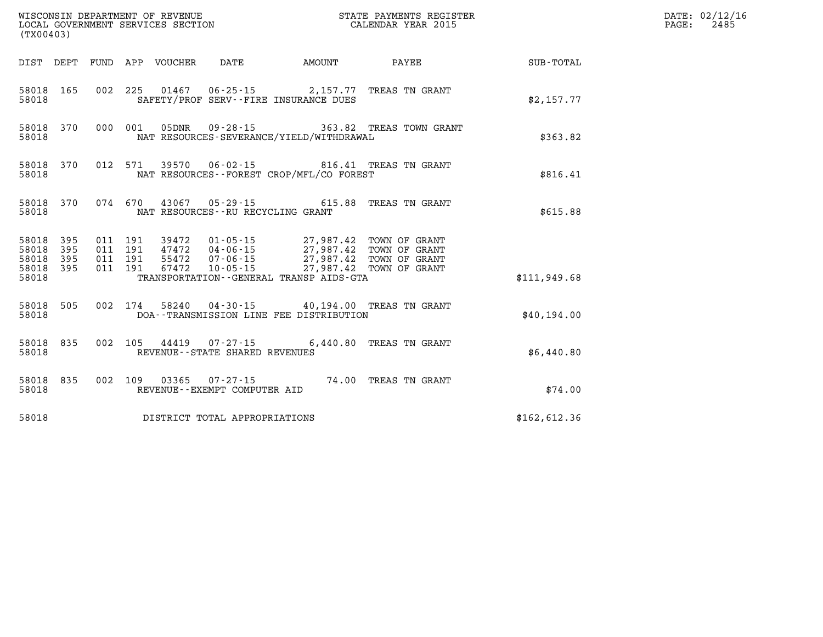| WISCONSIN DEPARTMENT OF REVENUE<br>LOCAL GOVERNMENT SERVICES SECTION<br>(TX00403) |           |                    |  |  |                                                             |                                                                                                  | STATE PAYMENTS REGISTER<br>CALENDAR YEAR 2015  |              | DATE: 02/12/16<br>PAGE:<br>2485 |
|-----------------------------------------------------------------------------------|-----------|--------------------|--|--|-------------------------------------------------------------|--------------------------------------------------------------------------------------------------|------------------------------------------------|--------------|---------------------------------|
|                                                                                   |           |                    |  |  |                                                             | DIST DEPT FUND APP VOUCHER DATE AMOUNT                                                           | <b>PAYEE</b>                                   | SUB-TOTAL    |                                 |
| 58018                                                                             | 58018 165 |                    |  |  |                                                             | 002 225 01467 06-25-15 2,157.77 TREAS TN GRANT<br>SAFETY/PROF SERV--FIRE INSURANCE DUES          |                                                | \$2,157.77   |                                 |
| 58018                                                                             | 58018 370 |                    |  |  |                                                             | NAT RESOURCES-SEVERANCE/YIELD/WITHDRAWAL                                                         | 000 001 05DNR 09-28-15 363.82 TREAS TOWN GRANT | \$363.82     |                                 |
| 58018                                                                             | 58018 370 |                    |  |  |                                                             | 012 571 39570 06-02-15 816.41 TREAS TN GRANT<br>NAT RESOURCES - - FOREST CROP/MFL/CO FOREST      |                                                | \$816.41     |                                 |
| 58018                                                                             | 58018 370 |                    |  |  |                                                             | 074 670 43067 05-29-15 615.88 TREAS TN GRANT<br>NAT RESOURCES--RU RECYCLING GRANT                |                                                | \$615.88     |                                 |
| 58018 395                                                                         | 58018 395 |                    |  |  |                                                             | 011 191 39472 01-05-15 27,987.42 TOWN OF GRANT<br>011 191 47472 04-06-15 27,987.42 TOWN OF GRANT |                                                |              |                                 |
| 58018 395<br>58018 395<br>58018                                                   |           | 011 191<br>011 191 |  |  |                                                             | TRANSPORTATION--GENERAL TRANSP AIDS-GTA                                                          |                                                | \$111.949.68 |                                 |
| 58018                                                                             | 58018 505 |                    |  |  |                                                             | 002 174 58240 04-30-15 40,194.00 TREAS TN GRANT<br>DOA--TRANSMISSION LINE FEE DISTRIBUTION       |                                                | \$40.194.00  |                                 |
| 58018                                                                             | 58018 835 |                    |  |  | 002 105 44419 07-27-15<br>REVENUE - - STATE SHARED REVENUES |                                                                                                  | 6,440.80 TREAS TN GRANT                        | \$6,440.80   |                                 |
| 58018                                                                             | 58018 835 |                    |  |  | REVENUE--EXEMPT COMPUTER AID                                | 002 109 03365 07-27-15 74.00 TREAS TN GRANT                                                      |                                                | \$74.00      |                                 |
| 58018                                                                             |           |                    |  |  | DISTRICT TOTAL APPROPRIATIONS                               |                                                                                                  |                                                | \$162,612.36 |                                 |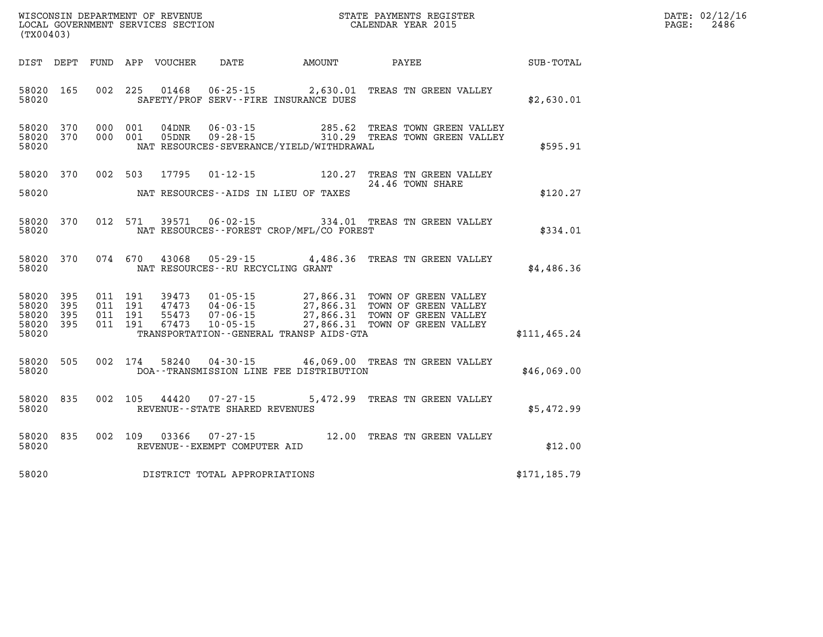| WISCONSIN DEPARTMENT OF REVENUE   | STATE PAYMENTS REGISTER |       | DATE: 02/12/16 |
|-----------------------------------|-------------------------|-------|----------------|
| LOCAL GOVERNMENT SERVICES SECTION | CALENDAR YEAR 2015      | PAGE: | 2486           |

| (TX00403) |                                                  |         |       |                                                          |                                                                                                                                                                                                                                                                             | LOCAL GOVERNMENT SERVICES SECTION CALENDAR YEAR 2015 |                                |               | PAGE: | 2486 |
|-----------|--------------------------------------------------|---------|-------|----------------------------------------------------------|-----------------------------------------------------------------------------------------------------------------------------------------------------------------------------------------------------------------------------------------------------------------------------|------------------------------------------------------|--------------------------------|---------------|-------|------|
|           |                                                  |         |       |                                                          | DIST DEPT FUND APP VOUCHER DATE AMOUNT PAYEE PAYEE SUB-TOTAL                                                                                                                                                                                                                |                                                      |                                |               |       |      |
| 58020     | 58020 165                                        |         |       |                                                          | 002 225 01468 06-25-15 2,630.01 TREAS TN GREEN VALLEY<br>SAFETY/PROF SERV--FIRE INSURANCE DUES                                                                                                                                                                              |                                                      |                                | \$2,630.01    |       |      |
| 58020     | 58020 370<br>58020 370                           |         |       |                                                          | 000 001 04DNR 06-03-15 285.62 TREAS TOWN GREEN VALLEY<br>000 001 05DNR 09-28-15 310.29 TREAS TOWN GREEN VALLEY<br>NAT RESOURCES-SEVERANCE/YIELD/WITHDRAWAL                                                                                                                  |                                                      |                                | \$595.91      |       |      |
| 58020     | 58020 370                                        |         |       |                                                          | 002 503 17795 01-12-15 120.27 TREAS TN GREEN VALLEY<br>NAT RESOURCES--AIDS IN LIEU OF TAXES                                                                                                                                                                                 | 24.46 TOWN SHARE                                     |                                | \$120.27      |       |      |
| 58020     | 58020 370                                        |         |       |                                                          | 012 571 39571 06-02-15 334.01 TREAS TN GREEN VALLEY<br>NAT RESOURCES--FOREST CROP/MFL/CO FOREST                                                                                                                                                                             |                                                      |                                | \$334.01      |       |      |
| 58020     |                                                  |         |       |                                                          | 58020 370 074 670 43068 05-29-15 4,486.36 TREAS TN GREEN VALLEY<br>NAT RESOURCES--RU RECYCLING GRANT                                                                                                                                                                        |                                                      |                                | \$4,486.36    |       |      |
| 58020     | 58020 395<br>58020 395<br>58020 395<br>58020 395 |         |       |                                                          | 011 191 39473 01-05-15 27,866.31 TOWN OF GREEN VALLEY<br>011 191 47473 04-06-15 27,866.31 TOWN OF GREEN VALLEY<br>011 191 55473 07-06-15 27,866.31 TOWN OF GREEN VALLEY<br>011 191 67473 10-05-15 27,866.31 TOWN OF GREEN VALLEY<br>TRANSPORTATION--GENERAL TRANSP AIDS-GTA |                                                      |                                | \$111, 465.24 |       |      |
| 58020     | 58020 505                                        | 002 174 | 58240 |                                                          | 04-30-15 46,069.00 TREAS TN GREEN VALLEY<br>DOA--TRANSMISSION LINE FEE DISTRIBUTION                                                                                                                                                                                         |                                                      |                                | \$46,069.00   |       |      |
| 58020     | 58020 835                                        |         |       | 002 105 44420 07-27-15<br>REVENUE--STATE SHARED REVENUES |                                                                                                                                                                                                                                                                             |                                                      | 5,472.99 TREAS TN GREEN VALLEY | \$5,472.99    |       |      |
| 58020     |                                                  |         |       | REVENUE--EXEMPT COMPUTER AID                             | 58020 835 002 109 03366 07-27-15 12.00 TREAS TN GREEN VALLEY                                                                                                                                                                                                                |                                                      |                                | \$12.00       |       |      |
| 58020     |                                                  |         |       | DISTRICT TOTAL APPROPRIATIONS                            |                                                                                                                                                                                                                                                                             |                                                      |                                | \$171, 185.79 |       |      |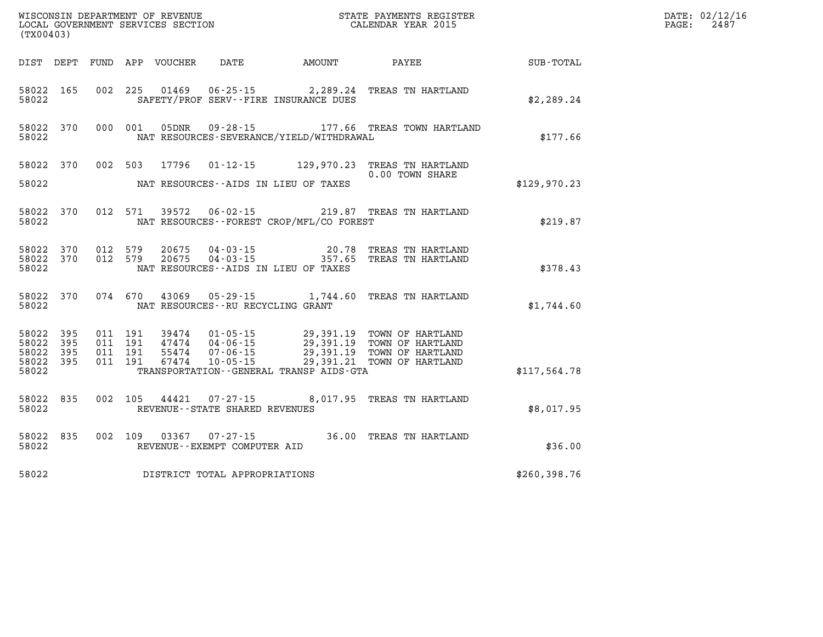| (TX00403)                            |                         |                   |         |                         |                                   |                                          | WISCONSIN DEPARTMENT OF REVENUE<br>LOCAL GOVERNMENT SERVICES SECTION<br>(TYO0403)                                                                                                                                |               | DATE: 02/12/16<br>$\mathtt{PAGE}$ :<br>2487 |
|--------------------------------------|-------------------------|-------------------|---------|-------------------------|-----------------------------------|------------------------------------------|------------------------------------------------------------------------------------------------------------------------------------------------------------------------------------------------------------------|---------------|---------------------------------------------|
|                                      |                         |                   |         |                         |                                   |                                          |                                                                                                                                                                                                                  |               |                                             |
| 58022                                | 58022 165               |                   |         |                         |                                   | SAFETY/PROF SERV--FIRE INSURANCE DUES    | 002 225 01469 06-25-15 2,289.24 TREAS TN HARTLAND                                                                                                                                                                | \$2,289.24    |                                             |
| 58022                                | 58022 370               |                   |         |                         |                                   | NAT RESOURCES-SEVERANCE/YIELD/WITHDRAWAL | 000 001 05DNR 09-28-15 177.66 TREAS TOWN HARTLAND                                                                                                                                                                | \$177.66      |                                             |
|                                      |                         |                   |         | 58022 370 002 503 17796 |                                   |                                          | 01-12-15 129,970.23 TREAS TN HARTLAND<br>0.00 TOWN SHARE                                                                                                                                                         |               |                                             |
| 58022                                |                         |                   |         |                         |                                   | NAT RESOURCES--AIDS IN LIEU OF TAXES     |                                                                                                                                                                                                                  | \$129,970.23  |                                             |
| 58022                                | 58022 370               |                   |         |                         |                                   | NAT RESOURCES--FOREST CROP/MFL/CO FOREST | 012 571 39572 06-02-15 219.87 TREAS TN HARTLAND                                                                                                                                                                  | \$219.87      |                                             |
| 58022                                | 58022 370               | 58022 370 012 579 | 012 579 |                         |                                   | NAT RESOURCES--AIDS IN LIEU OF TAXES     | 20675  04-03-15  20.78  TREAS TN HARTLAND<br>20675  04-03-15  2057.65  TREAS TN HARTLAND                                                                                                                         | \$378.43      |                                             |
| 58022                                | 58022 370               |                   |         |                         | NAT RESOURCES--RU RECYCLING GRANT |                                          | 074 670 43069 05-29-15 1,744.60 TREAS TN HARTLAND                                                                                                                                                                | \$1,744.60    |                                             |
| 58022<br>58022<br>58022 395<br>58022 | 58022 395<br>395<br>395 |                   |         |                         |                                   | TRANSPORTATION--GENERAL TRANSP AIDS-GTA  | 011 191 39474 01-05-15 29,391.19 TOWN OF HARTLAND<br>011 191 47474 04-06-15 29,391.19 TOWN OF HARTLAND<br>011 191 55474 07-06-15 29,391.19 TOWN OF HARTLAND<br>011 191 67474 10-05-15 29,391.21 TOWN OF HARTLAND | \$117,564.78  |                                             |
| 58022 835<br>58022                   |                         |                   |         |                         | REVENUE - - STATE SHARED REVENUES |                                          | 002 105 44421 07-27-15 8,017.95 TREAS TN HARTLAND                                                                                                                                                                | \$8,017.95    |                                             |
| 58022                                | 58022 835               |                   |         |                         | REVENUE--EXEMPT COMPUTER AID      |                                          | 002 109 03367 07-27-15 36.00 TREAS TN HARTLAND                                                                                                                                                                   | \$36.00       |                                             |
| 58022                                |                         |                   |         |                         | DISTRICT TOTAL APPROPRIATIONS     |                                          |                                                                                                                                                                                                                  | \$260, 398.76 |                                             |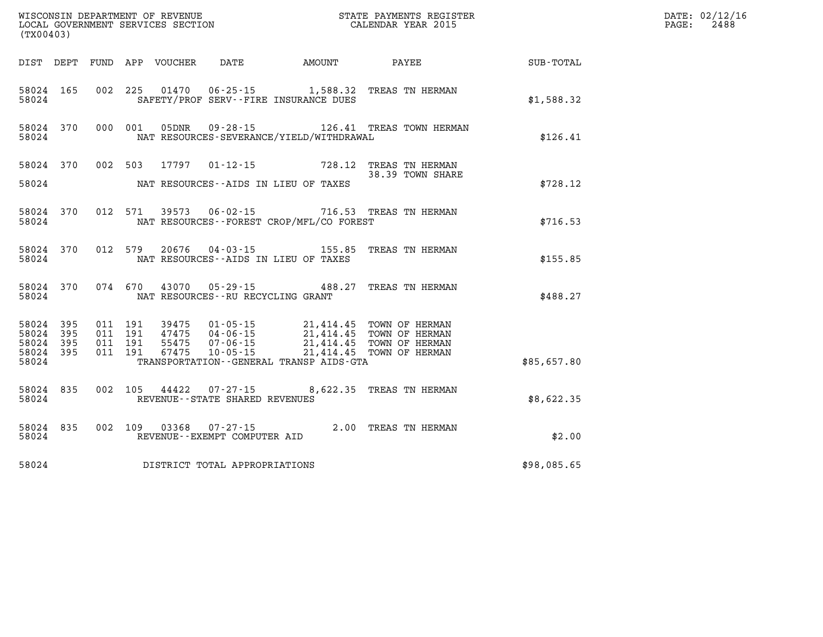| (TX00403)                                             |           |                                          |         |                            |                                          |                                                                                                                                                                                                                                 |                                                           |             | DATE: 02/12/16<br>2488<br>$\mathtt{PAGE}$ : |
|-------------------------------------------------------|-----------|------------------------------------------|---------|----------------------------|------------------------------------------|---------------------------------------------------------------------------------------------------------------------------------------------------------------------------------------------------------------------------------|-----------------------------------------------------------|-------------|---------------------------------------------|
|                                                       |           |                                          |         | DIST DEPT FUND APP VOUCHER | DATE                                     | <b>AMOUNT</b>                                                                                                                                                                                                                   | PAYEE                                                     | SUB-TOTAL   |                                             |
| 58024                                                 | 58024 165 |                                          |         |                            |                                          | SAFETY/PROF SERV--FIRE INSURANCE DUES                                                                                                                                                                                           | 002 225 01470 06-25-15 1,588.32 TREAS TN HERMAN           | \$1,588.32  |                                             |
| 58024                                                 |           | 58024 370 000 001                        |         |                            |                                          | NAT RESOURCES-SEVERANCE/YIELD/WITHDRAWAL                                                                                                                                                                                        | 05DNR  09-28-15  126.41 TREAS TOWN HERMAN                 | \$126.41    |                                             |
| 58024                                                 |           | 58024 370 002 503                        |         |                            |                                          | NAT RESOURCES--AIDS IN LIEU OF TAXES                                                                                                                                                                                            | 17797 01-12-15 728.12 TREAS TN HERMAN<br>38.39 TOWN SHARE | \$728.12    |                                             |
| 58024                                                 | 58024 370 |                                          |         |                            |                                          | NAT RESOURCES - - FOREST CROP/MFL/CO FOREST                                                                                                                                                                                     | 012 571 39573 06-02-15 716.53 TREAS TN HERMAN             | \$716.53    |                                             |
| 58024                                                 | 58024 370 |                                          | 012 579 |                            |                                          | NAT RESOURCES--AIDS IN LIEU OF TAXES                                                                                                                                                                                            | 20676  04-03-15   155.85   TREAS TN HERMAN                | \$155.85    |                                             |
| 58024                                                 | 58024 370 |                                          |         |                            | NAT RESOURCES--RU RECYCLING GRANT        |                                                                                                                                                                                                                                 | 074 670 43070 05-29-15 488.27 TREAS TN HERMAN             | \$488.27    |                                             |
| 58024 395<br>58024<br>58024 395<br>58024 395<br>58024 | 395       | 011 191<br>011 191<br>011 191<br>011 191 |         |                            |                                          | 39475  01-05-15  21,414.45  TOWN OF HERMAN<br>47475  04-06-15  21,414.45  TOWN OF HERMAN<br>55475  07-06-15  21,414.45  TOWN OF HERMAN<br>67475  10-05-15  21,414.45  TOWN OF HERMAN<br>TRANSPORTATION--GENERAL TRANSP AIDS-GTA | 21,414.45 TOWN OF HERMAN                                  | \$85,657.80 |                                             |
| 58024                                                 | 58024 835 | 002 105                                  |         |                            | REVENUE - - STATE SHARED REVENUES        |                                                                                                                                                                                                                                 | 44422  07-27-15  8,622.35  TREAS TN HERMAN                | \$8,622.35  |                                             |
| 58024                                                 | 58024 835 |                                          |         | 002 109 03368              | 07-27-15<br>REVENUE--EXEMPT COMPUTER AID |                                                                                                                                                                                                                                 | 2.00 TREAS TN HERMAN                                      | \$2.00      |                                             |
|                                                       |           |                                          |         |                            | 58024 DISTRICT TOTAL APPROPRIATIONS      |                                                                                                                                                                                                                                 |                                                           | \$98,085.65 |                                             |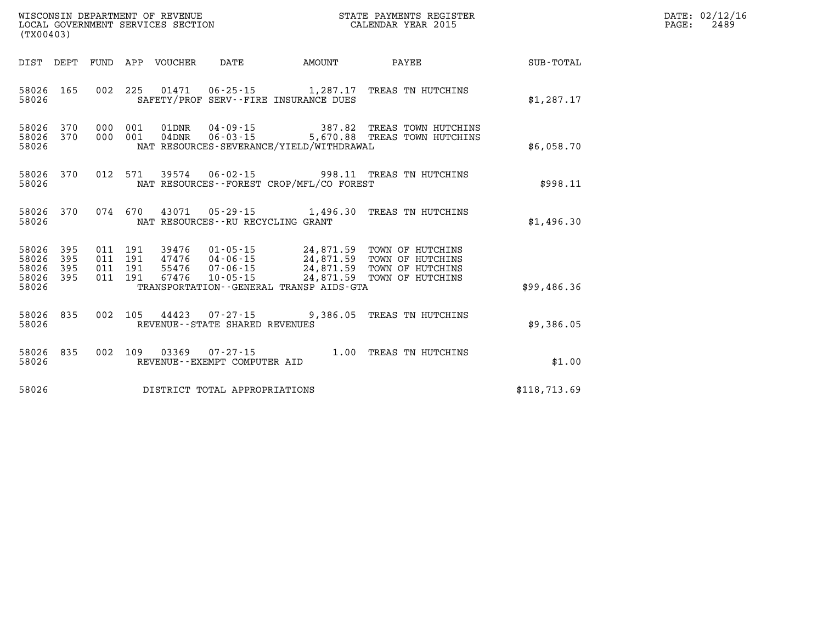| WISCONSIN DEPARTMENT OF REVENUE      | PAYMENTS REGISTER<br>3TATE | DATE: | 02/12/16 |
|--------------------------------------|----------------------------|-------|----------|
| GOVERNMENT SERVICES SECTION<br>LOCAL | CALENDAR YEAR 2015         | PAGE  | 2489     |

| (TX00403)                                                       | LOCAL GOVERNMENT SERVICES SECTION                                                                                                                    | CALENDAR YEAR 2015 |              | PAGE: | 2489 |
|-----------------------------------------------------------------|------------------------------------------------------------------------------------------------------------------------------------------------------|--------------------|--------------|-------|------|
|                                                                 | DIST DEPT FUND APP VOUCHER DATE AMOUNT                                                                                                               | PAYEE SUB-TOTAL    |              |       |      |
| 58026 165<br>58026                                              | 002 225 01471 06-25-15 1,287.17 TREAS TN HUTCHINS<br>SAFETY/PROF SERV--FIRE INSURANCE DUES                                                           |                    | \$1,287.17   |       |      |
| 58026 370<br>58026 370<br>58026                                 | 000 001 01DNR 04-09-15 387.82 TREAS TOWN HUTCHINS<br>000 001 04DNR 06-03-15 5,670.88 TREAS TOWN HUTCHINS<br>NAT RESOURCES-SEVERANCE/YIELD/WITHDRAWAL |                    | \$6,058.70   |       |      |
| 58026 370<br>58026                                              | 012 571 39574 06-02-15 998.11 TREAS TN HUTCHINS<br>NAT RESOURCES--FOREST CROP/MFL/CO FOREST                                                          |                    | \$998.11     |       |      |
| 58026 370<br>58026                                              | 074  670  43071  05-29-15  1,496.30  TREAS TN HUTCHINS<br>NAT RESOURCES--RU RECYCLING GRANT                                                          |                    | \$1,496.30   |       |      |
| 58026<br>395<br>58026<br>395<br>58026 395<br>58026 395<br>58026 | TRANSPORTATION--GENERAL TRANSP AIDS-GTA                                                                                                              |                    | \$99,486.36  |       |      |
|                                                                 |                                                                                                                                                      |                    |              |       |      |
| 58026 835<br>58026                                              | 002 105 44423 07-27-15 9,386.05 TREAS TN HUTCHINS<br>REVENUE--STATE SHARED REVENUES                                                                  |                    | \$9,386.05   |       |      |
| 58026 835<br>58026                                              | 002 109 03369 07-27-15 1.00 TREAS TN HUTCHINS<br>REVENUE--EXEMPT COMPUTER AID                                                                        |                    | \$1.00       |       |      |
| 58026                                                           | DISTRICT TOTAL APPROPRIATIONS                                                                                                                        |                    | \$118.713.69 |       |      |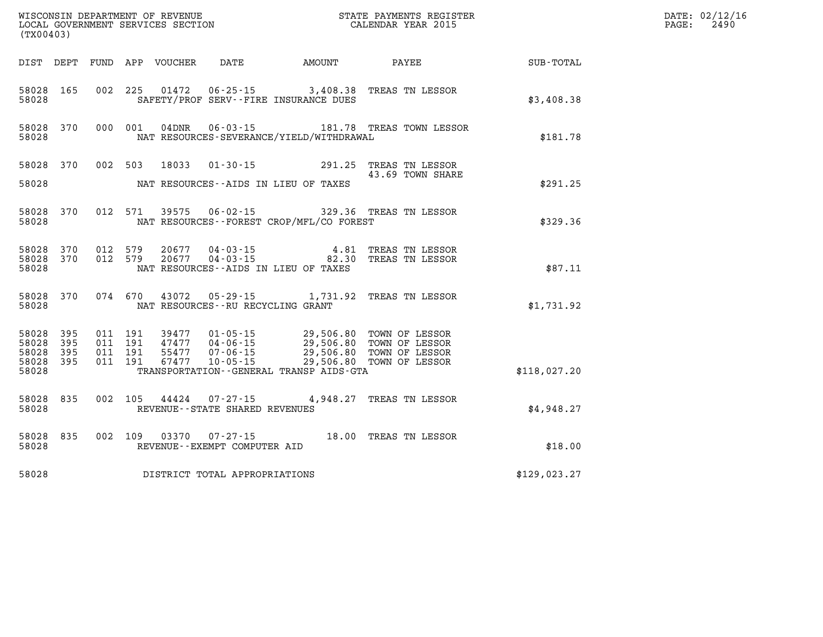| (TX00403)                                |            |                                          |         |                                 |                                      |                                              |                                                                                                                                                                                  |              | DATE: 02/12/16<br>$\mathtt{PAGE}$ :<br>2490 |
|------------------------------------------|------------|------------------------------------------|---------|---------------------------------|--------------------------------------|----------------------------------------------|----------------------------------------------------------------------------------------------------------------------------------------------------------------------------------|--------------|---------------------------------------------|
|                                          |            |                                          |         | DIST DEPT FUND APP VOUCHER DATE |                                      | AMOUNT                                       | PAYEE                                                                                                                                                                            | SUB-TOTAL    |                                             |
| 58028 165<br>58028                       |            |                                          |         |                                 |                                      | SAFETY/PROF SERV--FIRE INSURANCE DUES        | 002 225 01472 06-25-15 3,408.38 TREAS TN LESSOR                                                                                                                                  | \$3,408.38   |                                             |
| 58028 370<br>58028                       |            | 000 001                                  |         |                                 |                                      | NAT RESOURCES-SEVERANCE/YIELD/WITHDRAWAL     | 04DNR  06-03-15   181.78   TREAS TOWN LESSOR                                                                                                                                     | \$181.78     |                                             |
| 58028 370                                |            | 002 503                                  |         | 18033                           |                                      |                                              | 01-30-15 291.25 TREAS TN LESSOR<br>43.69 TOWN SHARE                                                                                                                              |              |                                             |
| 58028                                    |            |                                          |         |                                 |                                      | NAT RESOURCES--AIDS IN LIEU OF TAXES         |                                                                                                                                                                                  | \$291.25     |                                             |
| 58028                                    | 58028 370  |                                          |         |                                 |                                      | NAT RESOURCES - - FOREST CROP/MFL/CO FOREST  | 012 571 39575 06-02-15 329.36 TREAS TN LESSOR                                                                                                                                    | \$329.36     |                                             |
| 58028 370<br>58028                       | 58028 370  | 012 579<br>012 579                       |         | 20677<br>20677                  |                                      | NAT RESOURCES--AIDS IN LIEU OF TAXES         | 04-03-15<br>04-03-15<br>04-03-15<br>02.30 TREAS TN LESSOR                                                                                                                        | \$87.11      |                                             |
| 58028                                    | 58028 370  |                                          | 074 670 |                                 | NAT RESOURCES - - RU RECYCLING GRANT |                                              | 43072  05-29-15  1,731.92  TREAS TN LESSOR                                                                                                                                       | \$1,731.92   |                                             |
| 58028 395<br>58028<br>58028<br>58028 395 | 395<br>395 | 011 191<br>011 191<br>011 191<br>011 191 |         |                                 |                                      |                                              | 39477  01-05-15  29,506.80 TOWN OF LESSOR<br>47477  04-06-15  29,506.80 TOWN OF LESSOR<br>55477  07-06-15  29,506.80 TOWN OF LESSOR<br>67477  10-05-15  29,506.80 TOWN OF LESSOR |              |                                             |
| 58028                                    |            |                                          |         |                                 |                                      | TRANSPORTATION - - GENERAL TRANSP AIDS - GTA |                                                                                                                                                                                  | \$118,027.20 |                                             |
| 58028 835<br>58028                       |            | 002 105                                  |         | 44424                           | REVENUE--STATE SHARED REVENUES       |                                              | 07-27-15 4,948.27 TREAS TN LESSOR                                                                                                                                                | \$4,948.27   |                                             |
| 58028                                    | 58028 835  | 002 109                                  |         |                                 | REVENUE--EXEMPT COMPUTER AID         |                                              | 03370  07-27-15  18.00 TREAS TN LESSOR                                                                                                                                           | \$18.00      |                                             |
| 58028                                    |            |                                          |         |                                 | DISTRICT TOTAL APPROPRIATIONS        |                                              |                                                                                                                                                                                  | \$129,023.27 |                                             |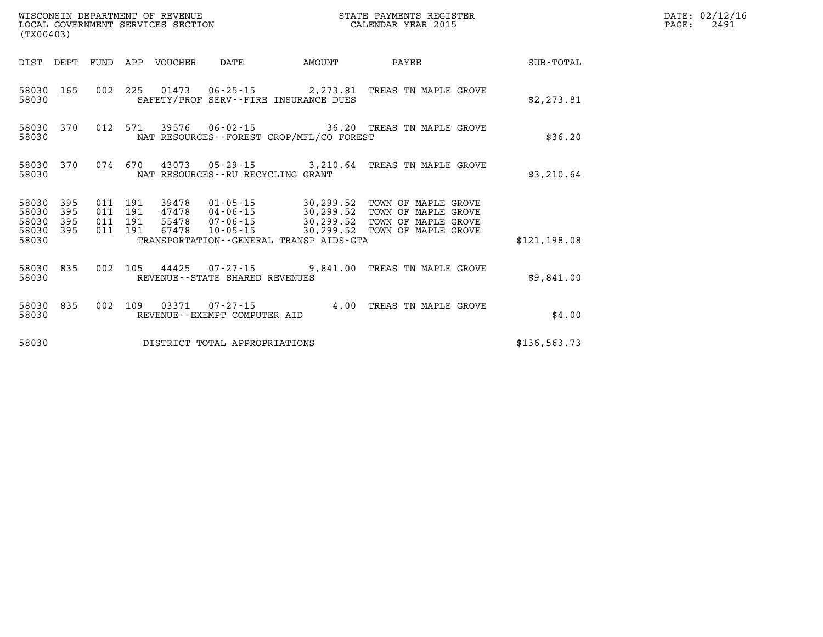|                                          | WISCONSIN DEPARTMENT OF REVENUE<br>LOCAL GOVERNMENT SERVICES SECTION<br>(TX00403) |                    |                    |                            |                                      | STATE PAYMENTS REGISTER<br>CALENDAR YEAR 2015 |                                                                                                                                                                                                 | DATE: 02/12/16<br>$\mathtt{PAGE}$ :<br>2491 |  |
|------------------------------------------|-----------------------------------------------------------------------------------|--------------------|--------------------|----------------------------|--------------------------------------|-----------------------------------------------|-------------------------------------------------------------------------------------------------------------------------------------------------------------------------------------------------|---------------------------------------------|--|
|                                          |                                                                                   |                    |                    | DIST DEPT FUND APP VOUCHER | DATE                                 | AMOUNT                                        | PAYEE                                                                                                                                                                                           | SUB-TOTAL                                   |  |
| 58030                                    | 58030 165                                                                         |                    |                    |                            |                                      | SAFETY/PROF SERV--FIRE INSURANCE DUES         | 002 225 01473 06-25-15 2,273.81 TREAS TN MAPLE GROVE                                                                                                                                            | \$2,273.81                                  |  |
| 58030                                    | 58030 370                                                                         |                    |                    |                            |                                      | NAT RESOURCES - - FOREST CROP/MFL/CO FOREST   | 012 571 39576 06-02-15 36.20 TREAS TN MAPLE GROVE                                                                                                                                               | \$36.20                                     |  |
| 58030                                    | 58030 370                                                                         |                    | 074 670            |                            | NAT RESOURCES - - RU RECYCLING GRANT |                                               | 43073  05-29-15  3,210.64  TREAS TN MAPLE GROVE                                                                                                                                                 | \$3,210.64                                  |  |
| 58030 395<br>58030<br>58030<br>58030 395 | 395<br>395                                                                        | 011 191<br>011 191 | 011 191<br>011 191 |                            |                                      |                                               | 39478  01-05-15  30,299.52  TOWN OF MAPLE GROVE<br>47478 04-06-15 30,299.52 TOWN OF MAPLE GROVE<br>55478 07-06-15 30,299.52 TOWN OF MAPLE GROVE<br>67478 10-05-15 30,299.52 TOWN OF MAPLE GROVE |                                             |  |
| 58030                                    |                                                                                   |                    |                    |                            |                                      | TRANSPORTATION - - GENERAL TRANSP AIDS - GTA  |                                                                                                                                                                                                 | \$121,198.08                                |  |
| 58030                                    | 58030 835                                                                         |                    |                    |                            | REVENUE--STATE SHARED REVENUES       |                                               | 002 105 44425 07-27-15 9,841.00 TREAS TN MAPLE GROVE                                                                                                                                            | \$9.841.00                                  |  |
| 58030                                    | 58030 835                                                                         |                    |                    |                            | REVENUE--EXEMPT COMPUTER AID         |                                               | 002 109 03371 07-27-15 4.00 TREAS TN MAPLE GROVE                                                                                                                                                | \$4.00                                      |  |
| 58030                                    |                                                                                   |                    |                    |                            | DISTRICT TOTAL APPROPRIATIONS        |                                               |                                                                                                                                                                                                 | \$136.563.73                                |  |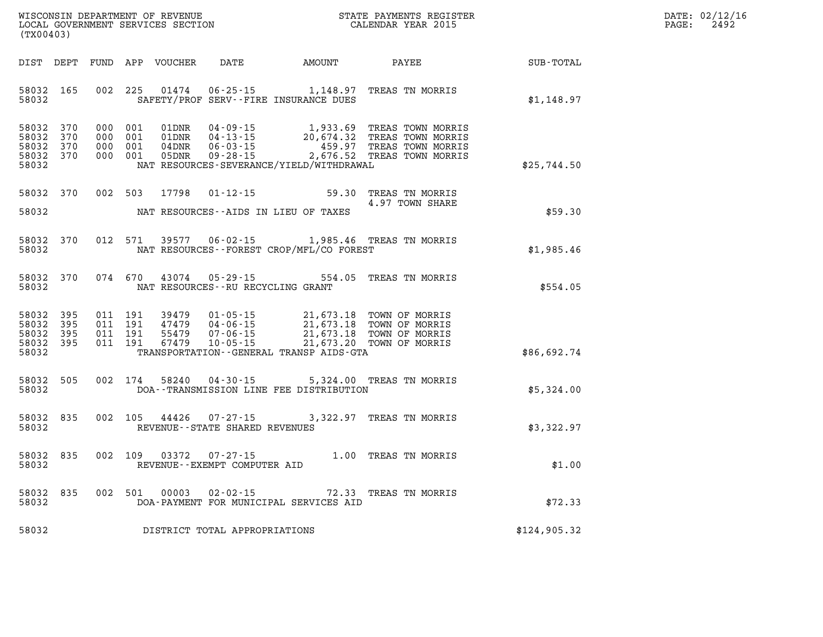| WISCONSIN DEPARTMENT OF REVENUE   | STATE PAYMENTS REGISTER | DATE: 02/12/16 |
|-----------------------------------|-------------------------|----------------|
| LOCAL GOVERNMENT SERVICES SECTION | CALENDAR YEAR 2015      | 2492<br>PAGE:  |

| LOCAL GOVERNMENT SERVICES SECTION<br>(TX00403)                                                                                                                                                                                                                                                                                              | CALENDAR YEAR 2015            |              | PAGE: | 2492 |
|---------------------------------------------------------------------------------------------------------------------------------------------------------------------------------------------------------------------------------------------------------------------------------------------------------------------------------------------|-------------------------------|--------------|-------|------|
|                                                                                                                                                                                                                                                                                                                                             |                               |              |       |      |
| 58032 165<br>002 225<br>01474   06-25-15   1,148.97   TREAS TN MORRIS<br>58032<br>SAFETY/PROF SERV--FIRE INSURANCE DUES                                                                                                                                                                                                                     |                               | \$1,148.97   |       |      |
| 58032 370<br>000 001<br>58032 370<br>000 001<br>58032<br>370<br>000 001<br>58032 370<br>000 001<br>58032<br>NAT RESOURCES-SEVERANCE/YIELD/WITHDRAWAL                                                                                                                                                                                        |                               | \$25,744.50  |       |      |
| 17798  01-12-15  59.30  TREAS TN MORRIS<br>58032 370<br>002 503                                                                                                                                                                                                                                                                             | 4.97 TOWN SHARE               |              |       |      |
| 58032<br>NAT RESOURCES--AIDS IN LIEU OF TAXES                                                                                                                                                                                                                                                                                               |                               | \$59.30      |       |      |
| $06 - 02 - 15$<br>58032 370<br>012 571<br>39577<br>58032<br>NAT RESOURCES--FOREST CROP/MFL/CO FOREST                                                                                                                                                                                                                                        | 1,985.46 TREAS TN MORRIS      | \$1,985.46   |       |      |
| 074 670<br>43074  05-29-15  554.05  TREAS TN MORRIS<br>58032 370<br>58032<br>NAT RESOURCES--RU RECYCLING GRANT                                                                                                                                                                                                                              |                               | \$554.05     |       |      |
| 395<br>011 191<br>58032<br>39479  01-05-15  21,673.18  TOWN OF MORRIS<br>47479  04-06-15  21,673.18  TOWN OF MORRIS<br>55479  07-06-15  21,673.18  TOWN OF MORRIS<br>67479  10-05-15  21,673.20  TOWN OF MORRIS<br>58032 395<br>011 191<br>58032 395<br>011 191<br>58032 395<br>011 191<br>58032<br>TRANSPORTATION--GENERAL TRANSP AIDS-GTA |                               | \$86,692.74  |       |      |
| 58032 505<br>002 174<br>58240<br>$04 - 30 - 15$<br>58032<br>DOA--TRANSMISSION LINE FEE DISTRIBUTION                                                                                                                                                                                                                                         | 5,324.00 TREAS TN MORRIS      | \$5,324.00   |       |      |
| 44426 07-27-15 3,322.97 TREAS TN MORRIS<br>58032 835<br>002 105<br>58032<br>REVENUE - - STATE SHARED REVENUES                                                                                                                                                                                                                               |                               | \$3,322.97   |       |      |
| 58032<br>835<br>002 109<br>03372<br>58032<br>REVENUE--EXEMPT COMPUTER AID                                                                                                                                                                                                                                                                   | 07-27-15 1.00 TREAS TN MORRIS | \$1.00       |       |      |
| 002 501 00003 02-02-15 72.33 TREAS TN MORRIS<br>58032 835<br>58032<br>DOA-PAYMENT FOR MUNICIPAL SERVICES AID                                                                                                                                                                                                                                |                               | \$72.33      |       |      |
| DISTRICT TOTAL APPROPRIATIONS<br>58032                                                                                                                                                                                                                                                                                                      |                               | \$124,905.32 |       |      |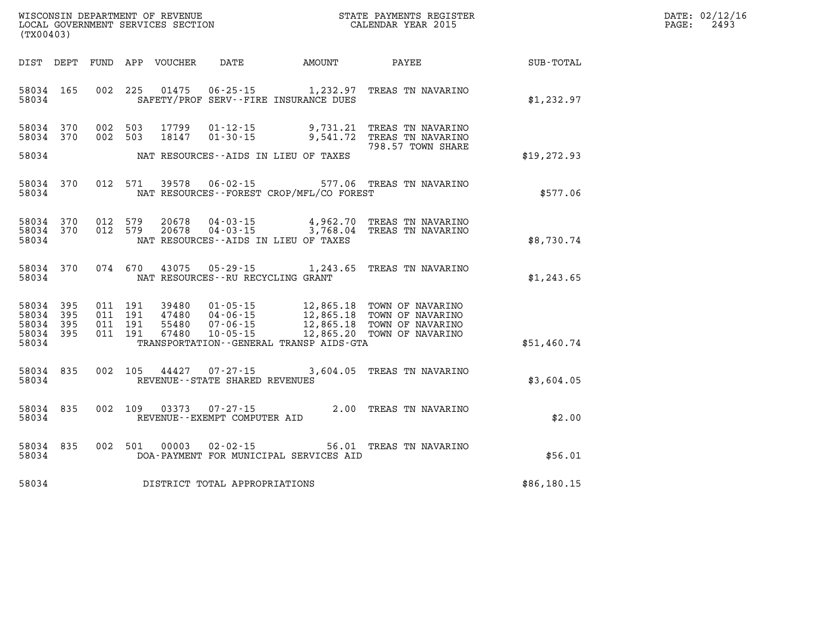| WISCONSIN DEPARTMENT OF REVENUE   | ' PAYMENTS REGISTER<br>STATE | 02/12/16<br>DATE: |  |
|-----------------------------------|------------------------------|-------------------|--|
| LOCAL GOVERNMENT SERVICES SECTION | CALENDAR YEAR 2015           | 249<br>PAGE:      |  |

| (TX00403)                                 |                          |                          |                          |                                  |                                                                      |                                                                                             |                                                                              |             |
|-------------------------------------------|--------------------------|--------------------------|--------------------------|----------------------------------|----------------------------------------------------------------------|---------------------------------------------------------------------------------------------|------------------------------------------------------------------------------|-------------|
| DIST                                      | DEPT                     | FUND                     | APP                      | VOUCHER                          | DATE                                                                 | AMOUNT                                                                                      | PAYEE                                                                        | SUB-TOTAL   |
| 58034<br>58034                            | 165                      | 002                      | 225                      | 01475                            | $06 - 25 - 15$                                                       | 1,232.97<br>SAFETY/PROF SERV--FIRE INSURANCE DUES                                           | TREAS TN NAVARINO                                                            | \$1,232.97  |
| 58034<br>58034                            | 370<br>370               | 002<br>002               | 503<br>503               | 17799<br>18147                   | $01 - 12 - 15$<br>$01 - 30 - 15$                                     | 9,731.21<br>9,541.72                                                                        | TREAS TN NAVARINO<br>TREAS TN NAVARINO<br>798.57 TOWN SHARE                  |             |
| 58034                                     |                          |                          |                          |                                  |                                                                      | NAT RESOURCES--AIDS IN LIEU OF TAXES                                                        |                                                                              | \$19,272.93 |
| 58034<br>58034                            | 370                      | 012                      | 571                      | 39578                            | $06 - 02 - 15$                                                       | NAT RESOURCES - - FOREST CROP/MFL/CO FOREST                                                 | 577.06 TREAS TN NAVARINO                                                     | \$577.06    |
| 58034<br>58034<br>58034                   | 370<br>370               | 012<br>012               | 579<br>579               | 20678<br>20678                   | $04 - 03 - 15$<br>$04 - 03 - 15$                                     | 4,962.70<br>3,768.04<br>NAT RESOURCES -- AIDS IN LIEU OF TAXES                              | TREAS TN NAVARINO<br>TREAS TN NAVARINO                                       | \$8,730.74  |
| 58034<br>58034                            | 370                      | 074                      | 670                      | 43075                            | 05 - 29 - 15<br>NAT RESOURCES - - RU RECYCLING GRANT                 | 1,243.65                                                                                    | TREAS TN NAVARINO                                                            | \$1,243.65  |
| 58034<br>58034<br>58034<br>58034<br>58034 | 395<br>395<br>395<br>395 | 011<br>011<br>011<br>011 | 191<br>191<br>191<br>191 | 39480<br>47480<br>55480<br>67480 | $01 - 05 - 15$<br>$04 - 06 - 15$<br>$07 - 06 - 15$<br>$10 - 05 - 15$ | 12,865.18<br>12,865.18<br>12,865.18<br>12,865.20<br>TRANSPORTATION--GENERAL TRANSP AIDS-GTA | TOWN OF NAVARINO<br>TOWN OF NAVARINO<br>TOWN OF NAVARINO<br>TOWN OF NAVARINO | \$51,460.74 |
| 58034<br>58034                            | 835                      | 002                      | 105                      | 44427                            | $07 - 27 - 15$<br>REVENUE - - STATE SHARED REVENUES                  | 3,604.05                                                                                    | TREAS TN NAVARINO                                                            | \$3,604.05  |
| 58034<br>58034                            | 835                      | 002                      | 109                      | 03373                            | $07 - 27 - 15$<br>REVENUE - - EXEMPT COMPUTER AID                    | 2.00                                                                                        | TREAS TN NAVARINO                                                            | \$2.00      |
| 58034<br>58034                            | 835                      | 002                      | 501                      | 00003                            | $02 - 02 - 15$                                                       | 56.01<br>DOA-PAYMENT FOR MUNICIPAL SERVICES AID                                             | TREAS TN NAVARINO                                                            | \$56.01     |
| 58034                                     |                          |                          |                          |                                  | DISTRICT TOTAL APPROPRIATIONS                                        |                                                                                             |                                                                              | \$86,180.15 |

WISCONSIN DEPARTMENT OF REVENUE **STATE PAYMENTS REGISTER**<br>LOCAL GOVERNMENT SERVICES SECTION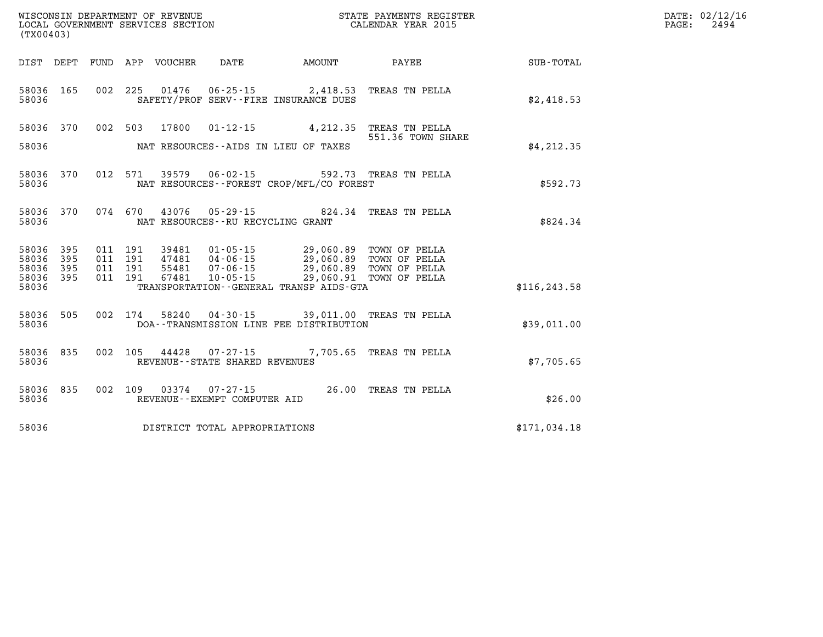| (TX00403)      |                  |         |                    |                                 |                                   |                                                                                            |                                                        |               | DATE: 02/12/16<br>2494<br>$\mathtt{PAGE}$ : |
|----------------|------------------|---------|--------------------|---------------------------------|-----------------------------------|--------------------------------------------------------------------------------------------|--------------------------------------------------------|---------------|---------------------------------------------|
|                |                  |         |                    | DIST DEPT FUND APP VOUCHER DATE |                                   | AMOUNT                                                                                     | <b>PAYEE</b> PAYEE                                     | SUB-TOTAL     |                                             |
| 58036          | 58036 165        |         |                    |                                 |                                   | 002 225 01476 06-25-15 2,418.53 TREAS TN PELLA<br>SAFETY/PROF SERV--FIRE INSURANCE DUES    |                                                        | \$2,418.53    |                                             |
|                |                  |         |                    |                                 |                                   | 58036 370 002 503 17800 01-12-15 4,212.35 TREAS TN PELLA                                   | 551.36 TOWN SHARE                                      |               |                                             |
| 58036          |                  |         |                    |                                 |                                   | NAT RESOURCES--AIDS IN LIEU OF TAXES                                                       |                                                        | \$4, 212.35   |                                             |
| 58036          |                  |         |                    |                                 |                                   | NAT RESOURCES - - FOREST CROP/MFL/CO FOREST                                                | 58036 370 012 571 39579 06-02-15 592.73 TREAS TN PELLA | \$592.73      |                                             |
| 58036          |                  |         |                    |                                 | NAT RESOURCES--RU RECYCLING GRANT | 58036 370 074 670 43076 05-29-15 824.34 TREAS TN PELLA                                     |                                                        | \$824.34      |                                             |
| 58036          | 58036 395<br>395 |         | 011 191<br>011 191 |                                 |                                   |                                                                                            |                                                        |               |                                             |
| 58036<br>58036 | 395<br>395       | 011 191 | 011 191            | 67481                           |                                   | 55481  07-06-15  29,060.89  TOWN OF PELLA<br>10-05-15 29,060.91 TOWN OF PELLA              |                                                        |               |                                             |
| 58036          |                  |         |                    |                                 |                                   | TRANSPORTATION--GENERAL TRANSP AIDS-GTA                                                    |                                                        | \$116, 243.58 |                                             |
| 58036          | 58036 505        |         |                    |                                 |                                   | 002 174 58240 04-30-15 39,011.00 TREAS TN PELLA<br>DOA--TRANSMISSION LINE FEE DISTRIBUTION |                                                        | \$39.011.00   |                                             |
| 58036          | 58036 835        |         |                    |                                 | REVENUE - - STATE SHARED REVENUES | 002 105 44428 07-27-15 7,705.65 TREAS TN PELLA                                             |                                                        | \$7,705.65    |                                             |
| 58036          |                  |         |                    |                                 | REVENUE--EXEMPT COMPUTER AID      | 58036 835 002 109 03374 07-27-15 26.00 TREAS TN PELLA                                      |                                                        | \$26.00       |                                             |
| 58036          |                  |         |                    |                                 | DISTRICT TOTAL APPROPRIATIONS     |                                                                                            |                                                        | \$171,034.18  |                                             |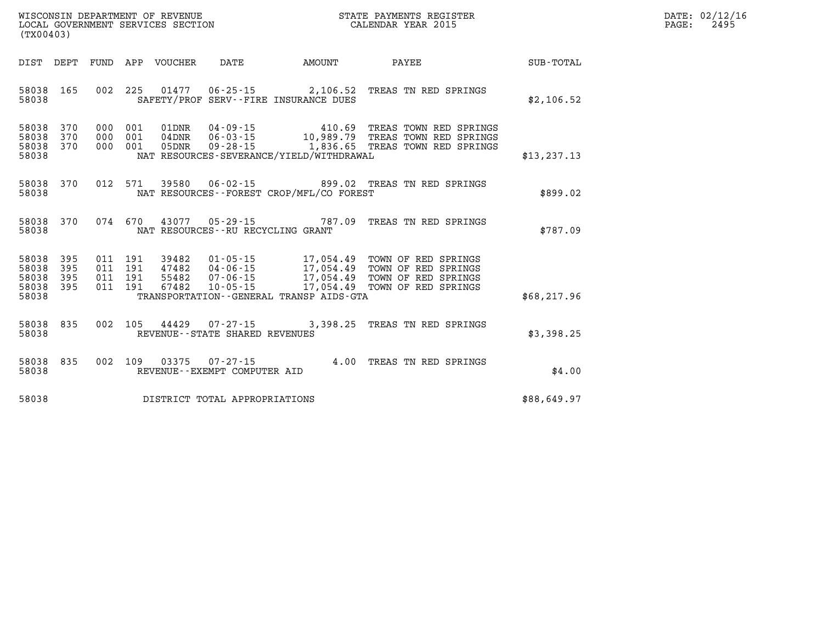| DATE: | 02/12/16 |
|-------|----------|
| PAGE: | 2495     |

| WISCONSIN DEPARTMENT OF REVENUE<br>LOCAL GOVERNMENT SERVICES SECTION<br>(TX00403)                 |                                                                                                                                                                                      |                                     | STATE PAYMENTS REGISTER<br>CALENDAR YEAR 2015                                                      |              |
|---------------------------------------------------------------------------------------------------|--------------------------------------------------------------------------------------------------------------------------------------------------------------------------------------|-------------------------------------|----------------------------------------------------------------------------------------------------|--------------|
| FUND<br>DIST<br>DEPT                                                                              | APP<br>VOUCHER<br>DATE                                                                                                                                                               | AMOUNT                              | PAYEE                                                                                              | SUB-TOTAL    |
| 58038<br>165<br>002<br>58038                                                                      | 225<br>01477<br>$06 - 25 - 15$<br>SAFETY/PROF SERV--FIRE INSURANCE DUES                                                                                                              | 2,106.52                            | TREAS TN RED SPRINGS                                                                               | \$2,106.52   |
| 58038<br>370<br>000<br>370<br>58038<br>000<br>58038<br>370<br>000<br>58038                        | 001<br>01DNR<br>$04 - 09 - 15$<br>$06 - 03 - 15$<br>001<br>04DNR<br>001<br>05DNR<br>$09 - 28 - 15$<br>NAT RESOURCES-SEVERANCE/YIELD/WITHDRAWAL                                       | 410.69<br>1,836.65                  | TREAS TOWN RED SPRINGS<br>10,989.79 TREAS TOWN RED SPRINGS<br>TREAS TOWN RED SPRINGS               | \$13, 237.13 |
| 370<br>012<br>58038<br>58038                                                                      | 571<br>39580<br>$06 - 02 - 15$<br>NAT RESOURCES - - FOREST CROP/MFL/CO FOREST                                                                                                        | 899.02                              | TREAS TN RED SPRINGS                                                                               | \$899.02     |
| 58038<br>370<br>074<br>58038                                                                      | 670<br>43077<br>$05 - 29 - 15$<br>NAT RESOURCES - - RU RECYCLING GRANT                                                                                                               | 787.09                              | TREAS TN RED SPRINGS                                                                               | \$787.09     |
| 58038<br>395<br>011<br>395<br>58038<br>011<br>58038<br>395<br>011<br>58038<br>395<br>011<br>58038 | 191<br>39482<br>$01 - 05 - 15$<br>191<br>47482<br>$04 - 06 - 15$<br>191<br>55482<br>$07 - 06 - 15$<br>191<br>67482<br>$10 - 05 - 15$<br>TRANSPORTATION - - GENERAL TRANSP AIDS - GTA | 17,054.49<br>17,054.49<br>17,054.49 | TOWN OF RED SPRINGS<br>TOWN OF RED SPRINGS<br>17,054.49 TOWN OF RED SPRINGS<br>TOWN OF RED SPRINGS | \$68, 217.96 |
| 835<br>002<br>58038<br>58038                                                                      | 105<br>44429<br>07-27-15<br>REVENUE - - STATE SHARED REVENUES                                                                                                                        | 3,398.25                            | TREAS TN RED SPRINGS                                                                               | \$3,398.25   |
| 835<br>002<br>58038<br>58038                                                                      | 109<br>03375<br>$07 - 27 - 15$<br>REVENUE--EXEMPT COMPUTER AID                                                                                                                       | 4.00                                | TREAS TN RED SPRINGS                                                                               | \$4.00       |
| 58038                                                                                             | DISTRICT TOTAL APPROPRIATIONS                                                                                                                                                        |                                     |                                                                                                    | \$88,649.97  |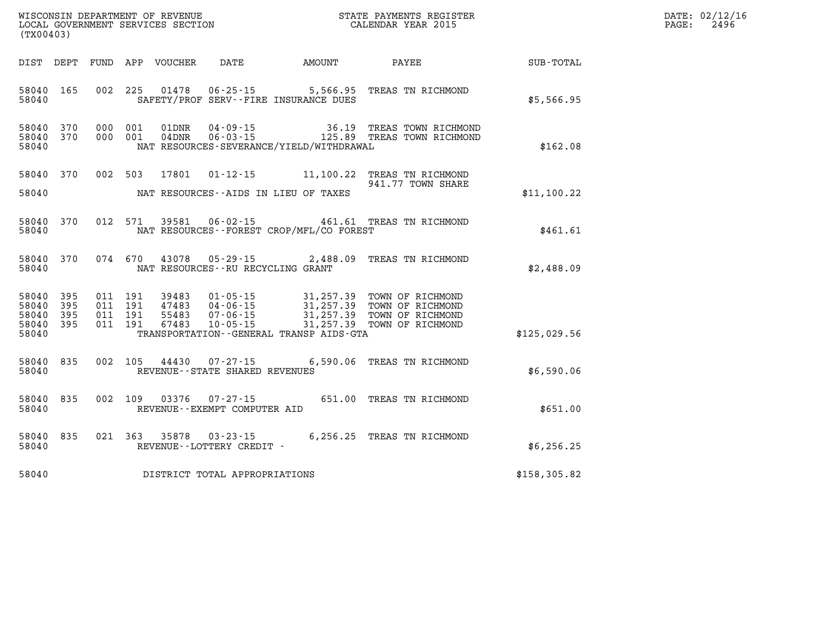| %WISCONSIN DEPARTMENT OF REVENUE $$\tt STATE~PAYMENTS~REGISTER$ LOCAL GOVERNMENT SERVICES SECTION $$\tt CALENDAR~YEAR~2015$<br>(TX00403) |           |  |  |  |                                   |                                              |                                                                                                                                                                                                                  |               | DATE: 02/12/16<br>PAGE:<br>2496 |
|------------------------------------------------------------------------------------------------------------------------------------------|-----------|--|--|--|-----------------------------------|----------------------------------------------|------------------------------------------------------------------------------------------------------------------------------------------------------------------------------------------------------------------|---------------|---------------------------------|
|                                                                                                                                          |           |  |  |  |                                   |                                              | DIST DEPT FUND APP VOUCHER DATE AMOUNT PAYEE PAYER SUB-TOTAL                                                                                                                                                     |               |                                 |
| 58040 165<br>58040                                                                                                                       |           |  |  |  |                                   | SAFETY/PROF SERV--FIRE INSURANCE DUES        | 002 225 01478 06-25-15 5,566.95 TREAS TN RICHMOND                                                                                                                                                                | \$5,566.95    |                                 |
| 58040 370<br>58040 370<br>58040                                                                                                          |           |  |  |  |                                   | NAT RESOURCES-SEVERANCE/YIELD/WITHDRAWAL     | 000 001 01DNR 04-09-15 36.19 TREAS TOWN RICHMOND<br>000 001 04DNR 06-03-15 125.89 TREAS TOWN RICHMOND                                                                                                            | \$162.08      |                                 |
| 58040                                                                                                                                    | 58040 370 |  |  |  |                                   | NAT RESOURCES--AIDS IN LIEU OF TAXES         | 002 503 17801 01-12-15 11,100.22 TREAS TN RICHMOND<br>941.77 TOWN SHARE                                                                                                                                          | \$11,100.22   |                                 |
| 58040                                                                                                                                    | 58040 370 |  |  |  |                                   | NAT RESOURCES--FOREST CROP/MFL/CO FOREST     | 012 571 39581 06-02-15 461.61 TREAS TN RICHMOND                                                                                                                                                                  | \$461.61      |                                 |
| 58040                                                                                                                                    |           |  |  |  | NAT RESOURCES--RU RECYCLING GRANT |                                              | 58040 370 074 670 43078 05-29-15 2,488.09 TREAS TN RICHMOND                                                                                                                                                      | \$2,488.09    |                                 |
| 58040 395<br>58040<br>58040 395<br>58040 395<br>58040                                                                                    | 395       |  |  |  |                                   | TRANSPORTATION - - GENERAL TRANSP AIDS - GTA | 011 191 39483 01-05-15 31,257.39 TOWN OF RICHMOND<br>011 191 47483 04-06-15 31,257.39 TOWN OF RICHMOND<br>011 191 55483 07-06-15 31,257.39 TOWN OF RICHMOND<br>011 191 67483 10-05-15 31,257.39 TOWN OF RICHMOND | \$125,029.56  |                                 |
| 58040 835<br>58040                                                                                                                       |           |  |  |  | REVENUE--STATE SHARED REVENUES    |                                              | 002 105 44430 07-27-15 6,590.06 TREAS TN RICHMOND                                                                                                                                                                | \$6,590.06    |                                 |
| 58040                                                                                                                                    | 58040 835 |  |  |  | REVENUE--EXEMPT COMPUTER AID      |                                              | 002 109 03376 07-27-15 651.00 TREAS TN RICHMOND                                                                                                                                                                  | \$651.00      |                                 |
| 58040                                                                                                                                    | 58040 835 |  |  |  | REVENUE--LOTTERY CREDIT -         |                                              | 021 363 35878 03-23-15 6,256.25 TREAS TN RICHMOND                                                                                                                                                                | \$6,256.25    |                                 |
| 58040                                                                                                                                    |           |  |  |  | DISTRICT TOTAL APPROPRIATIONS     |                                              |                                                                                                                                                                                                                  | \$158, 305.82 |                                 |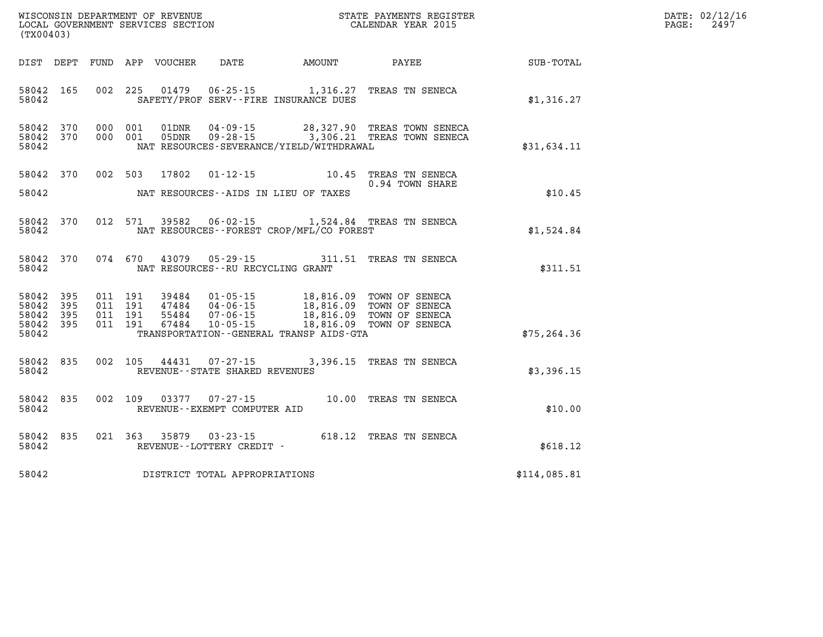| WISCONSIN DEPARTMENT OF REVENUE      | PAYMENTS REGISTER<br>3TATE | DATE: | 02/12/16 |
|--------------------------------------|----------------------------|-------|----------|
| GOVERNMENT SERVICES SECTION<br>LOCAL | CALENDAR YEAR 2015         | PAGE  | 2495     |

| LOCAL GOVERNMENT SERVICES SECTION CALENDAR YEAR 2015<br>(TX00403)                                                                                                                                                                                                                                                             |                          |              | PAGE: | 2497 |
|-------------------------------------------------------------------------------------------------------------------------------------------------------------------------------------------------------------------------------------------------------------------------------------------------------------------------------|--------------------------|--------------|-------|------|
| DIST DEPT                                                                                                                                                                                                                                                                                                                     |                          |              |       |      |
| 002 225 01479 06-25-15 1,316.27 TREAS TN SENECA<br>58042 165<br>58042<br>SAFETY/PROF SERV--FIRE INSURANCE DUES                                                                                                                                                                                                                |                          | \$1,316.27   |       |      |
| 58042 370<br>000 001<br>01DNR  04-09-15  28,327.90 TREAS TOWN SENECA<br>05DNR  09-28-15  3,306.21 TREAS TOWN SENECA<br>58042 370<br>000 001<br>58042<br>NAT RESOURCES-SEVERANCE/YIELD/WITHDRAWAL                                                                                                                              |                          | \$31,634.11  |       |      |
| 58042 370<br>002 503<br>17802  01-12-15  10.45  TREAS TN SENECA<br>58042<br>NAT RESOURCES--AIDS IN LIEU OF TAXES                                                                                                                                                                                                              | 0.94 TOWN SHARE          | \$10.45      |       |      |
| 012 571 39582 06-02-15 1,524.84 TREAS TN SENECA<br>58042<br>370<br>58042<br>NAT RESOURCES--FOREST CROP/MFL/CO FOREST                                                                                                                                                                                                          |                          | \$1,524.84   |       |      |
| 43079  05-29-15  311.51  TREAS TN SENECA<br>58042 370<br>074 670<br>58042<br>NAT RESOURCES--RU RECYCLING GRANT                                                                                                                                                                                                                |                          | \$311.51     |       |      |
| 58042 395<br>011 191<br>39484  01-05-15  18,816.09 TOWN OF SENECA<br>47484  04-06-15  18,816.09 TOWN OF SENECA<br>55484  07-06-15  18,816.09 TOWN OF SENECA<br>58042<br>395<br>011 191<br>58042<br>395<br>011 191<br>58042 395<br>011 191<br>$10 - 05 - 15$<br>67484<br>58042<br>TRANSPORTATION - - GENERAL TRANSP AIDS - GTA | 18,816.09 TOWN OF SENECA | \$75, 264.36 |       |      |
| 58042 835<br>002 105 44431 07-27-15 3,396.15 TREAS TN SENECA<br>REVENUE--STATE SHARED REVENUES<br>58042                                                                                                                                                                                                                       |                          | \$3,396.15   |       |      |
| $03377$ 07-27-15 $10.00$ TREAS TN SENECA<br>58042 835<br>002 109<br>58042<br>REVENUE--EXEMPT COMPUTER AID                                                                                                                                                                                                                     |                          | \$10.00      |       |      |
| 58042 835<br>021 363 35879 03-23-15 618.12 TREAS TN SENECA<br>58042<br>REVENUE--LOTTERY CREDIT -                                                                                                                                                                                                                              |                          | \$618.12     |       |      |
| DISTRICT TOTAL APPROPRIATIONS<br>58042                                                                                                                                                                                                                                                                                        |                          | \$114,085.81 |       |      |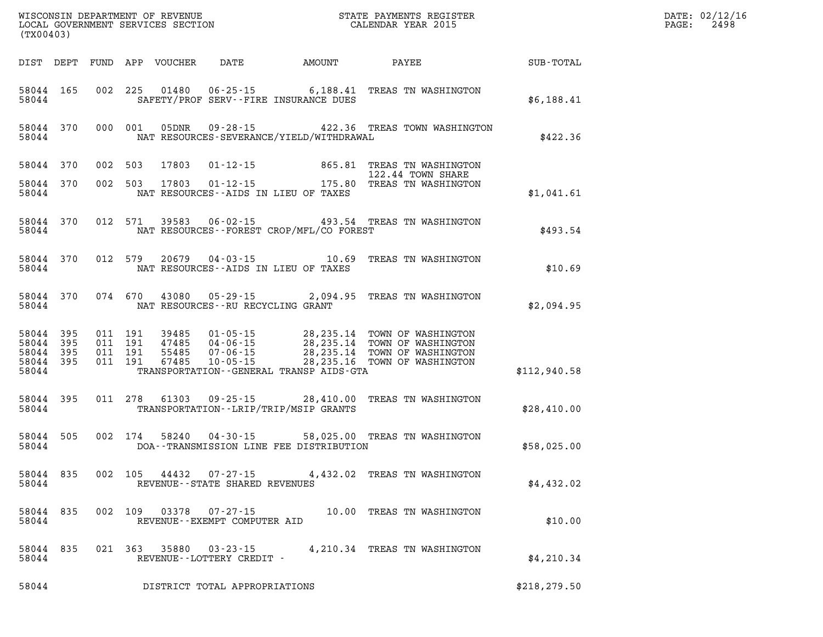| (TX00403)                                                 |  |               |                                                        | WISCONSIN DEPARTMENT OF REVENUE<br>LOCAL GOVERNMENT SERVICES SECTION<br>(TYO0402)                                                                                                                                                                                   |                           |               | $\mathtt{PAGE}$ : | DATE: 02/12/16<br>2498 |
|-----------------------------------------------------------|--|---------------|--------------------------------------------------------|---------------------------------------------------------------------------------------------------------------------------------------------------------------------------------------------------------------------------------------------------------------------|---------------------------|---------------|-------------------|------------------------|
|                                                           |  |               |                                                        | DIST DEPT FUND APP VOUCHER DATE AMOUNT PAYEE PATE SUB-TOTAL                                                                                                                                                                                                         |                           |               |                   |                        |
| 58044 165<br>58044                                        |  |               |                                                        | 002 225 01480 06-25-15 6,188.41 TREAS TN WASHINGTON<br>SAFETY/PROF SERV--FIRE INSURANCE DUES                                                                                                                                                                        |                           | \$6,188.41    |                   |                        |
| 58044 370<br>58044                                        |  |               |                                                        | 000 001 05DNR 09-28-15 422.36 TREAS TOWN WASHINGTON<br>NAT RESOURCES-SEVERANCE/YIELD/WITHDRAWAL                                                                                                                                                                     |                           | \$422.36      |                   |                        |
| 58044 370                                                 |  |               |                                                        | 002 503 17803 01-12-15 865.81 TREAS TN WASHINGTON<br>002 503 17803 01-12-15 175.80 TREAS TN WASHINGTON                                                                                                                                                              |                           |               |                   |                        |
| 58044 370<br>58044                                        |  |               |                                                        | NAT RESOURCES--AIDS IN LIEU OF TAXES                                                                                                                                                                                                                                |                           | \$1,041.61    |                   |                        |
| 58044 370<br>58044                                        |  |               |                                                        | 012 571 39583 06-02-15 493.54 TREAS TN WASHINGTON<br>NAT RESOURCES -- FOREST CROP/MFL/CO FOREST                                                                                                                                                                     |                           | \$493.54      |                   |                        |
| 58044                                                     |  |               |                                                        | 58044 370 012 579 20679 04-03-15 10.69 TREAS TN WASHINGTON<br>NAT RESOURCES--AIDS IN LIEU OF TAXES                                                                                                                                                                  |                           | \$10.69       |                   |                        |
|                                                           |  |               | 58044 NAT RESOURCES--RU RECYCLING GRANT                | 58044 370 074 670 43080 05-29-15 2,094.95 TREAS TN WASHINGTON                                                                                                                                                                                                       |                           | \$2,094.95    |                   |                        |
| 58044 395<br>58044 395<br>58044 395<br>58044 395<br>58044 |  |               |                                                        | 011 191 39485 01-05-15 28,235.14 TOWN OF WASHINGTON<br>011 191 47485 04-06-15 28,235.14 TOWN OF WASHINGTON<br>011 191 67485 07-06-15 28,235.14 TOWN OF WASHINGTON<br>011 191 67485 10-05-15 28,235.16 TOWN OF WASHINGTON<br>TRANSPORTATION--GENERAL TRANSP AIDS-GTA |                           | \$112,940.58  |                   |                        |
| 58044 395<br>58044                                        |  |               |                                                        | 011 278 61303 09-25-15 28,410.00 TREAS TN WASHINGTON<br>TRANSPORTATION--LRIP/TRIP/MSIP GRANTS                                                                                                                                                                       |                           | \$28,410.00   |                   |                        |
| 58044                                                     |  |               |                                                        | 58044 505 002 174 58240 04-30-15 58,025.00 TREAS TN WASHINGTON<br>DOA--TRANSMISSION LINE FEE DISTRIBUTION                                                                                                                                                           |                           | \$58,025.00   |                   |                        |
| 58044                                                     |  |               | REVENUE--STATE SHARED REVENUES                         | 58044 835 002 105 44432 07-27-15 4,432.02 TREAS TN WASHINGTON                                                                                                                                                                                                       |                           | \$4,432.02    |                   |                        |
| 58044 835<br>58044                                        |  |               | 002 109 03378 07-27-15<br>REVENUE--EXEMPT COMPUTER AID |                                                                                                                                                                                                                                                                     | 10.00 TREAS TN WASHINGTON | \$10.00       |                   |                        |
| 58044 835<br>58044                                        |  | 021 363 35880 | 03-23-15<br>REVENUE--LOTTERY CREDIT -                  | 4,210.34 TREAS TN WASHINGTON                                                                                                                                                                                                                                        |                           | \$4,210.34    |                   |                        |
| 58044                                                     |  |               | DISTRICT TOTAL APPROPRIATIONS                          |                                                                                                                                                                                                                                                                     |                           | \$218, 279.50 |                   |                        |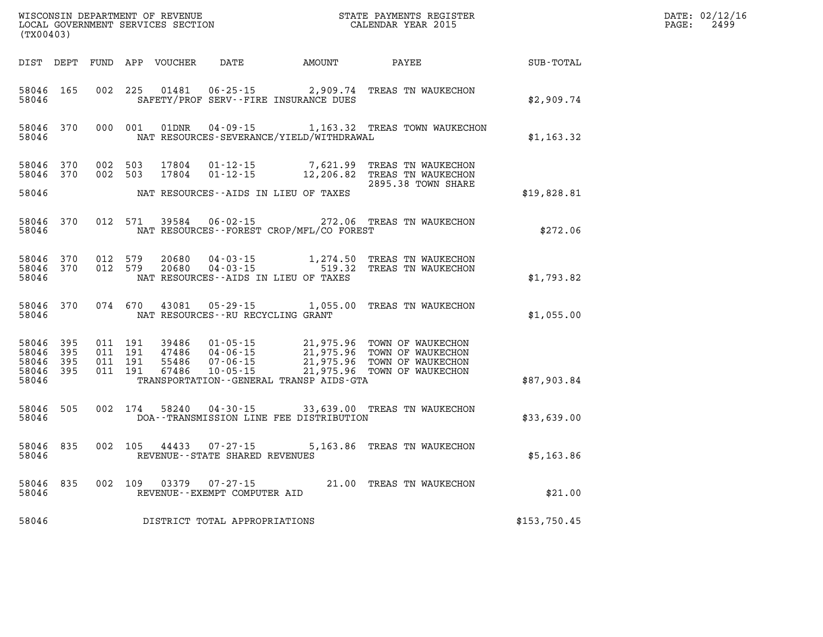| (TX00403)                                |              |                                          |         | WISCONSIN DEPARTMENT OF REVENUE<br>LOCAL GOVERNMENT SERVICES SECTION |                                                        | STATE PAYMENTS REGISTER<br>CALENDAR YEAR 2015                    |                                                                                                                                  | DATE: 02/12/16<br>$\mathtt{PAGE:}$<br>2499 |  |
|------------------------------------------|--------------|------------------------------------------|---------|----------------------------------------------------------------------|--------------------------------------------------------|------------------------------------------------------------------|----------------------------------------------------------------------------------------------------------------------------------|--------------------------------------------|--|
|                                          |              |                                          |         |                                                                      | DIST DEPT FUND APP VOUCHER DATE AMOUNT                 |                                                                  | <b>PAYEE</b>                                                                                                                     | SUB-TOTAL                                  |  |
| 58046 165<br>58046                       |              | 002 225                                  |         | 01481                                                                |                                                        | $06 - 25 - 15$ 2,909.74<br>SAFETY/PROF SERV--FIRE INSURANCE DUES | TREAS TN WAUKECHON                                                                                                               | \$2,909.74                                 |  |
| 58046                                    | 58046 370    |                                          |         |                                                                      |                                                        | NAT RESOURCES-SEVERANCE/YIELD/WITHDRAWAL                         | 000 001 01DNR 04-09-15 1,163.32 TREAS TOWN WAUKECHON                                                                             | \$1,163.32                                 |  |
| 58046 370<br>58046 370                   |              | 002 503<br>002 503                       |         | 17804<br>17804                                                       |                                                        |                                                                  | 01-12-15 7,621.99 TREAS TN WAUKECHON<br>01-12-15 12,206.82 TREAS TN WAUKECHON<br>2895.38 TOWN SHARE                              |                                            |  |
| 58046                                    |              |                                          |         |                                                                      |                                                        | NAT RESOURCES--AIDS IN LIEU OF TAXES                             |                                                                                                                                  | \$19,828.81                                |  |
| 58046                                    | 58046 370    |                                          | 012 571 | 39584                                                                |                                                        | NAT RESOURCES--FOREST CROP/MFL/CO FOREST                         | 06-02-15 272.06 TREAS TN WAUKECHON                                                                                               | \$272.06                                   |  |
| 58046 370<br>58046                       | 58046 370    | 012 579<br>012 579                       |         | 20680<br>20680                                                       |                                                        | NAT RESOURCES -- AIDS IN LIEU OF TAXES                           | 04-03-15 1,274.50 TREAS TN WAUKECHON<br>04-03-15 519.32 TREAS TN WAUKECHON                                                       | \$1,793.82                                 |  |
| 58046                                    | 58046 370    | 074 670                                  |         |                                                                      | NAT RESOURCES--RU RECYCLING GRANT                      | 43081 05-29-15 1,055.00                                          | TREAS TN WAUKECHON                                                                                                               | \$1,055.00                                 |  |
| 58046 395<br>58046<br>58046<br>58046 395 | 395<br>- 395 | 011 191<br>011 191<br>011 191<br>011 191 |         | 39486<br>47486<br>55486<br>67486                                     |                                                        |                                                                  | 01-05-15 21,975.96 TOWN OF WAUKECHON<br>04-06-15<br>07-06-15 21,975.96 TOWN OF WAUKECHON<br>10-05-15 21,975.96 TOWN OF WAUKECHON |                                            |  |
| 58046                                    |              |                                          |         |                                                                      |                                                        | TRANSPORTATION--GENERAL TRANSP AIDS-GTA                          |                                                                                                                                  | \$87,903.84                                |  |
| 58046 505<br>58046                       |              |                                          | 002 174 | 58240                                                                |                                                        | DOA--TRANSMISSION LINE FEE DISTRIBUTION                          | 04-30-15 33,639.00 TREAS TN WAUKECHON                                                                                            | \$33,639.00                                |  |
| 58046<br>58046                           | 835          |                                          |         | 002 105 44433                                                        | $07 - 27 - 15$<br>REVENUE - - STATE SHARED REVENUES    |                                                                  | 5,163.86 TREAS TN WAUKECHON                                                                                                      | \$5,163.86                                 |  |
| 58046                                    | 58046 835    |                                          |         |                                                                      | 002 109 03379 07-27-15<br>REVENUE--EXEMPT COMPUTER AID |                                                                  | 21.00 TREAS TN WAUKECHON                                                                                                         | \$21.00                                    |  |
| 58046                                    |              |                                          |         |                                                                      | DISTRICT TOTAL APPROPRIATIONS                          |                                                                  |                                                                                                                                  | \$153,750.45                               |  |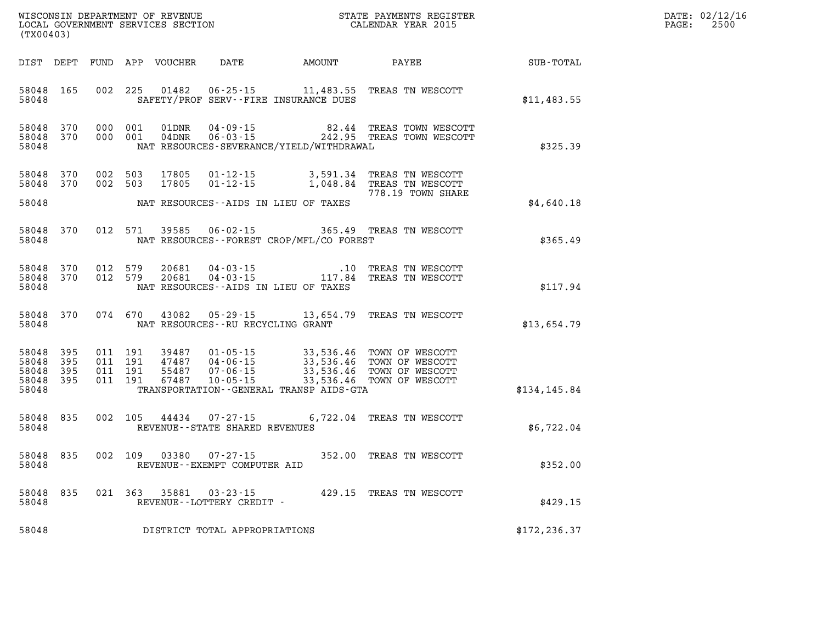| DATE: | 02/12/16 |
|-------|----------|
| PAGE: | 2500     |

| WISCONSIN DEPARTMENT OF REVENUE<br>LOCAL GOVERNMENT SERVICES SECTION<br>(TX00403) |                                                                                                                                                                | STATE PAYMENTS REGISTER<br>CALENDAR YEAR 2015                                                                    |                  | DATE: 02/12/1<br>PAGE:<br>2500 |
|-----------------------------------------------------------------------------------|----------------------------------------------------------------------------------------------------------------------------------------------------------------|------------------------------------------------------------------------------------------------------------------|------------------|--------------------------------|
| DIST DEPT FUND APP VOUCHER                                                        | DATE AMOUNT PAYEE                                                                                                                                              |                                                                                                                  | <b>SUB-TOTAL</b> |                                |
| 58048<br>165<br>58048                                                             | 002 225<br>01482<br>SAFETY/PROF SERV--FIRE INSURANCE DUES                                                                                                      | 06-25-15 11,483.55 TREAS TN WESCOTT                                                                              | \$11,483.55      |                                |
| 58048 370<br>58048 370<br>58048                                                   | 000 001<br>000 001<br>NAT RESOURCES-SEVERANCE/YIELD/WITHDRAWAL                                                                                                 |                                                                                                                  | \$325.39         |                                |
| 58048 370<br>58048<br>370<br>58048                                                | 002 503<br>17805<br>002 503<br>17805<br>$01 - 12 - 15$<br>NAT RESOURCES--AIDS IN LIEU OF TAXES                                                                 | 01-12-15 3,591.34 TREAS TN WESCOTT<br>1,048.84 TREAS TN WESCOTT<br>778.19 TOWN SHARE                             | \$4,640.18       |                                |
| 58048<br>370<br>58048                                                             | 012 571<br>39585<br>$06 - 02 - 15$<br>NAT RESOURCES--FOREST CROP/MFL/CO FOREST                                                                                 | 365.49 TREAS TN WESCOTT                                                                                          | \$365.49         |                                |
| 58048 370<br>58048 370<br>58048                                                   | 012 579<br>$04 - 03 - 15$<br>20681<br>012 579<br>20681<br>NAT RESOURCES--AIDS IN LIEU OF TAXES                                                                 |                                                                                                                  | \$117.94         |                                |
| 58048<br>370<br>58048                                                             | 074 670<br>43082<br>$05 - 29 - 15$<br>NAT RESOURCES -- RU RECYCLING GRANT                                                                                      | 13,654.79 TREAS TN WESCOTT                                                                                       | \$13,654.79      |                                |
| 58048 395<br>58048<br>395<br>58048<br>395<br>58048<br>395<br>58048                | 011 191<br>39487 01-05-15<br>47487 04-06-15<br>55487 07-06-15<br>011 191<br>011 191<br>011 191<br>67487<br>10-05-15<br>TRANSPORTATION--GENERAL TRANSP AIDS-GTA | 33,536.46 TOWN OF WESCOTT<br>33,536.46 TOWN OF WESCOTT<br>33,536.46 TOWN OF WESCOTT<br>33,536.46 TOWN OF WESCOTT | \$134, 145.84    |                                |
| 58048 835<br>58048                                                                | 002 105<br>44434 07-27-15<br>REVENUE - - STATE SHARED REVENUES                                                                                                 | 6,722.04 TREAS TN WESCOTT                                                                                        | \$6,722.04       |                                |
| 58048<br>835<br>58048                                                             | 002 109<br>03380<br>$07 - 27 - 15$<br>REVENUE--EXEMPT COMPUTER AID                                                                                             | 352.00 TREAS TN WESCOTT                                                                                          | \$352.00         |                                |
| 58048 835<br>58048                                                                | 021 363<br>35881 03-23-15<br>REVENUE - - LOTTERY CREDIT -                                                                                                      | 429.15 TREAS TN WESCOTT                                                                                          | \$429.15         |                                |
| 58048                                                                             | DISTRICT TOTAL APPROPRIATIONS                                                                                                                                  |                                                                                                                  | \$172, 236.37    |                                |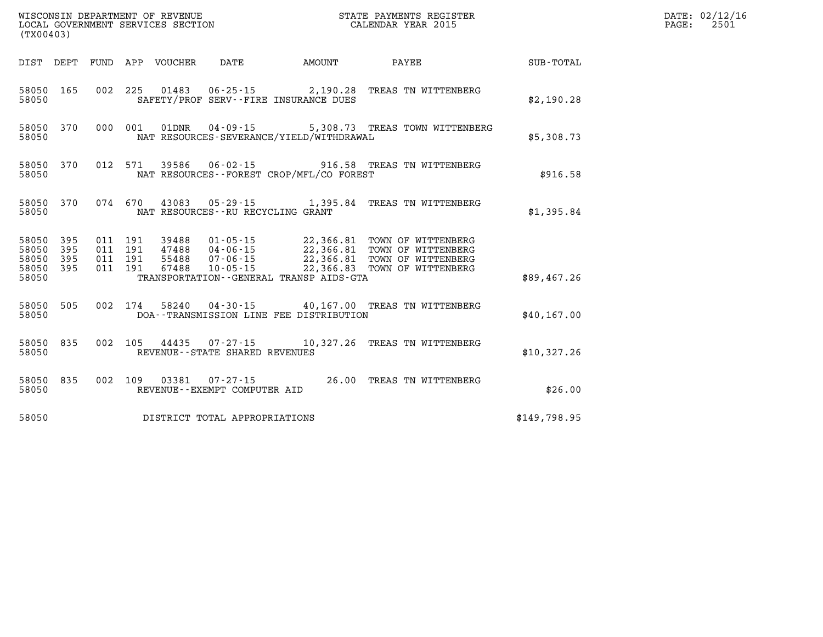|                                           | WISCONSIN DEPARTMENT OF REVENUE<br>STATE PAYMENTS REGISTER<br>LOCAL GOVERNMENT SERVICES SECTION<br>CALENDAR YEAR 2015<br>(TX00403) |                          |                          |                                  |                                                                |                                                                                             |                                                                                      |              |  |  |
|-------------------------------------------|------------------------------------------------------------------------------------------------------------------------------------|--------------------------|--------------------------|----------------------------------|----------------------------------------------------------------|---------------------------------------------------------------------------------------------|--------------------------------------------------------------------------------------|--------------|--|--|
| DIST                                      | DEPT                                                                                                                               | FUND                     |                          | APP VOUCHER                      | DATE                                                           | <b>EXAMPLE THE PROPERTY OF AMOUNT</b>                                                       | <b>PAYEE</b>                                                                         | SUB-TOTAL    |  |  |
| 58050<br>58050                            | 165                                                                                                                                | 002                      | 225                      | 01483                            |                                                                | $06 - 25 - 15$ 2,190.28<br>SAFETY/PROF SERV--FIRE INSURANCE DUES                            | TREAS TN WITTENBERG                                                                  | \$2,190.28   |  |  |
| 58050<br>58050                            | 370                                                                                                                                | 000                      | 001                      | 01DNR                            | $04 - 09 - 15$                                                 | NAT RESOURCES-SEVERANCE/YIELD/WITHDRAWAL                                                    | 5,308.73 TREAS TOWN WITTENBERG                                                       | \$5,308.73   |  |  |
| 58050<br>58050                            | 370                                                                                                                                | 012                      | 571                      | 39586                            | $06 - 02 - 15$                                                 | NAT RESOURCES - - FOREST CROP/MFL/CO FOREST                                                 | 916.58 TREAS TN WITTENBERG                                                           | \$916.58     |  |  |
| 58050<br>58050                            | 370                                                                                                                                | 074                      | 670                      | 43083                            | $05 - 29 - 15$<br>NAT RESOURCES - - RU RECYCLING GRANT         | 1,395.84                                                                                    | TREAS TN WITTENBERG                                                                  | \$1,395.84   |  |  |
| 58050<br>58050<br>58050<br>58050<br>58050 | 395<br>395<br>395<br>395                                                                                                           | 011<br>011<br>011<br>011 | 191<br>191<br>191<br>191 | 39488<br>47488<br>55488<br>67488 | $01 - 05 - 15$<br>$04 - 06 - 15$<br>$07 - 06 - 15$<br>10-05-15 | 22,366.81<br>22,366.81<br>22,366.81<br>22,366.83<br>TRANSPORTATION--GENERAL TRANSP AIDS-GTA | TOWN OF WITTENBERG<br>TOWN OF WITTENBERG<br>TOWN OF WITTENBERG<br>TOWN OF WITTENBERG | \$89,467.26  |  |  |
| 58050<br>58050                            | 505                                                                                                                                | 002                      | 174                      | 58240                            | 04-30-15                                                       | DOA--TRANSMISSION LINE FEE DISTRIBUTION                                                     | 40,167.00 TREAS TN WITTENBERG                                                        | \$40, 167.00 |  |  |
| 58050<br>58050                            | 835                                                                                                                                | 002                      | 105                      | 44435                            | $07 - 27 - 15$<br>REVENUE - - STATE SHARED REVENUES            | 10,327.26                                                                                   | TREAS TN WITTENBERG                                                                  | \$10,327.26  |  |  |
| 58050<br>58050                            | 835                                                                                                                                | 002                      | 109                      | 03381                            | $07 - 27 - 15$<br>REVENUE--EXEMPT COMPUTER AID                 | 26.00                                                                                       | TREAS TN WITTENBERG                                                                  | \$26.00      |  |  |
| 58050                                     |                                                                                                                                    |                          |                          |                                  | DISTRICT TOTAL APPROPRIATIONS                                  |                                                                                             |                                                                                      | \$149,798.95 |  |  |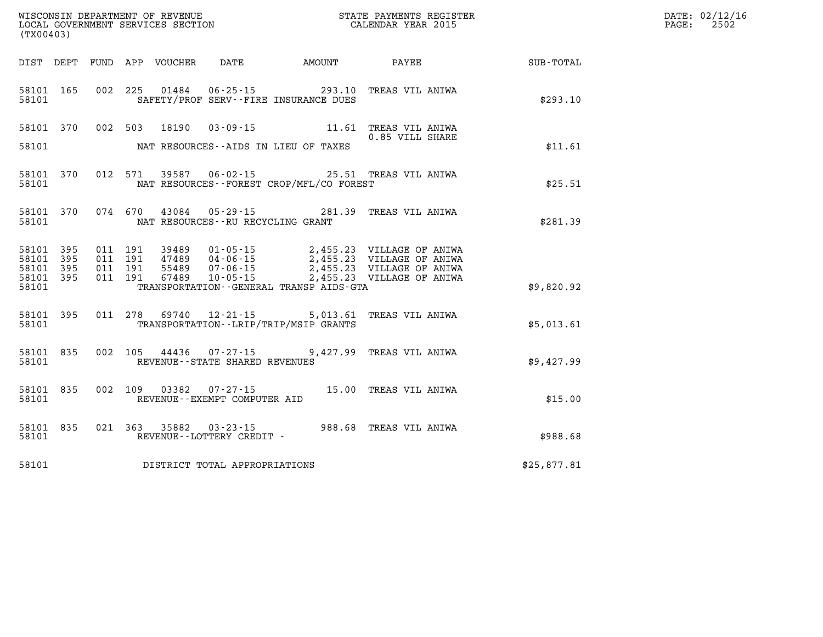| WISCONSIN DEPARTMENT OF REVENUE      | PAYMENTS REGISTER<br>3TATE | DATE: | 02/12/16 |
|--------------------------------------|----------------------------|-------|----------|
| GOVERNMENT SERVICES SECTION<br>LOCAL | CALENDAR YEAR 2015         | PAGE  | 2502     |

| (TX00403)                                                 |  |  |                                     | LOCAL GOVERNMENT SERVICES SECTION CALENDAR YEAR 2015 |                                                                                                                                                                                                                                                                                                                                             |                                                             | PAGE: | 2502 |
|-----------------------------------------------------------|--|--|-------------------------------------|------------------------------------------------------|---------------------------------------------------------------------------------------------------------------------------------------------------------------------------------------------------------------------------------------------------------------------------------------------------------------------------------------------|-------------------------------------------------------------|-------|------|
|                                                           |  |  |                                     |                                                      |                                                                                                                                                                                                                                                                                                                                             | DIST DEPT FUND APP VOUCHER DATE AMOUNT PAYEE PATE SUB-TOTAL |       |      |
| 58101 165<br>58101                                        |  |  |                                     | SAFETY/PROF SERV--FIRE INSURANCE DUES                | 002 225 01484 06-25-15 293.10 TREAS VIL ANIWA                                                                                                                                                                                                                                                                                               | \$293.10                                                    |       |      |
|                                                           |  |  |                                     | 58101 MAT RESOURCES--AIDS IN LIEU OF TAXES           | 58101 370 002 503 18190 03-09-15 11.61 TREAS VIL ANIWA<br>0.85 VILL SHARE                                                                                                                                                                                                                                                                   | \$11.61                                                     |       |      |
| 58101 370<br>58101                                        |  |  |                                     | NAT RESOURCES--FOREST CROP/MFL/CO FOREST             | 012 571 39587 06-02-15 25.51 TREAS VIL ANIWA                                                                                                                                                                                                                                                                                                | \$25.51                                                     |       |      |
| 58101 370<br>58101                                        |  |  |                                     | NAT RESOURCES--RU RECYCLING GRANT                    | 074 670 43084 05-29-15 281.39 TREAS VIL ANIWA                                                                                                                                                                                                                                                                                               | \$281.39                                                    |       |      |
| 58101 395<br>58101 395<br>58101 395<br>58101 395<br>58101 |  |  |                                     | TRANSPORTATION - - GENERAL TRANSP AIDS - GTA         | $\begin{array}{cccc} 011 & 191 & 39489 & 01\cdot 05\cdot 15 & 2,455.23 & \text{VILLAGE OF ANIWA} \\ 011 & 191 & 47489 & 04\cdot 06\cdot 15 & 2,455.23 & \text{VILLAGE OF ANIWA} \\ 011 & 191 & 55489 & 07\cdot 06\cdot 15 & 2,455.23 & \text{VILLAGE OF ANIWA} \\ 011 & 191 & 67489 & 10\cdot 05\cdot 15 & 2,455.23 & \text{VILLAGE OF ANI$ | \$9,820.92                                                  |       |      |
| 58101 395<br>58101                                        |  |  |                                     | TRANSPORTATION - - LRIP/TRIP/MSIP GRANTS             | 011 278 69740 12-21-15 5,013.61 TREAS VIL ANIWA                                                                                                                                                                                                                                                                                             | \$5,013.61                                                  |       |      |
| 58101 835<br>58101                                        |  |  |                                     | REVENUE--STATE SHARED REVENUES                       | 002 105 44436 07-27-15 9,427.99 TREAS VIL ANIWA                                                                                                                                                                                                                                                                                             | \$9,427.99                                                  |       |      |
| 58101 835<br>58101                                        |  |  | REVENUE--EXEMPT COMPUTER AID        |                                                      | 002 109 03382 07-27-15 15.00 TREAS VIL ANIWA                                                                                                                                                                                                                                                                                                | \$15.00                                                     |       |      |
| 58101 835<br>58101                                        |  |  |                                     |                                                      |                                                                                                                                                                                                                                                                                                                                             | \$988.68                                                    |       |      |
|                                                           |  |  | 58101 DISTRICT TOTAL APPROPRIATIONS |                                                      |                                                                                                                                                                                                                                                                                                                                             | \$25,877.81                                                 |       |      |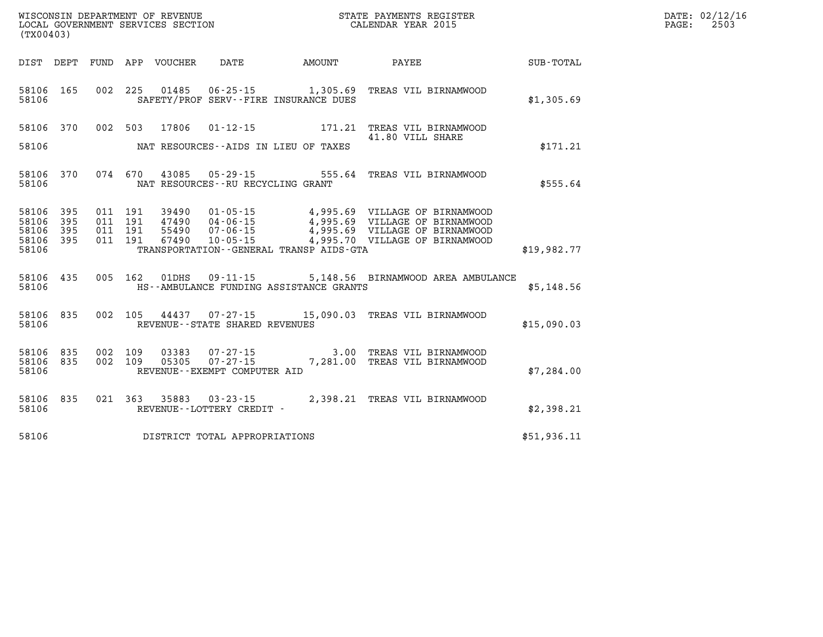| (TX00403)               |              |                    | WISCONSIN DEPARTMENT OF REVENUE<br>LOCAL GOVERNMENT SERVICES SECTION |                                   |                                         | STATE PAYMENTS REGISTER<br>CALENDAR YEAR 2015                                                                                                            |             | DATE: 02/12/16<br>$\mathtt{PAGE}$ :<br>2503 |
|-------------------------|--------------|--------------------|----------------------------------------------------------------------|-----------------------------------|-----------------------------------------|----------------------------------------------------------------------------------------------------------------------------------------------------------|-------------|---------------------------------------------|
|                         |              |                    | DIST DEPT FUND APP VOUCHER DATE                                      |                                   |                                         | AMOUNT PAYEE                                                                                                                                             | SUB-TOTAL   |                                             |
| 58106 165<br>58106      |              |                    | 002 225 01485                                                        |                                   | SAFETY/PROF SERV--FIRE INSURANCE DUES   | 06-25-15 1,305.69 TREAS VIL BIRNAMWOOD                                                                                                                   | \$1,305.69  |                                             |
|                         | 58106 370    |                    | 002 503 17806                                                        |                                   |                                         | 41.80 VILL SHARE                                                                                                                                         |             |                                             |
| 58106                   |              |                    |                                                                      |                                   | NAT RESOURCES--AIDS IN LIEU OF TAXES    |                                                                                                                                                          | \$171.21    |                                             |
| 58106                   | 58106 370    |                    |                                                                      | NAT RESOURCES--RU RECYCLING GRANT |                                         | 074 670 43085 05-29-15 555.64 TREAS VIL BIRNAMWOOD                                                                                                       | \$555.64    |                                             |
| 58106<br>58106          | 395<br>395   | 011 191<br>011 191 | 39490                                                                |                                   |                                         | 01-05-15 4,995.69 VILLAGE OF BIRNAMWOOD                                                                                                                  |             |                                             |
| 58106<br>58106<br>58106 | 395<br>- 395 | 011 191<br>011 191 |                                                                      |                                   | TRANSPORTATION--GENERAL TRANSP AIDS-GTA | 47490  04-06-15  4,995.69  VILLAGE OF BIRNAMWOOD<br>55490  07-06-15  4,995.69  VILLAGE OF BIRNAMWOOD<br>67490  10-05-15  4,995.70  VILLAGE OF BIRNAMWOOD | \$19,982.77 |                                             |
| 58106                   | 58106 435    |                    |                                                                      |                                   | HS--AMBULANCE FUNDING ASSISTANCE GRANTS | 005 162 01DHS 09-11-15 5,148.56 BIRNAMWOOD AREA AMBULANCE                                                                                                | \$5,148.56  |                                             |
| 58106                   | 58106 835    |                    |                                                                      | REVENUE--STATE SHARED REVENUES    |                                         | 002 105 44437 07-27-15 15,090.03 TREAS VIL BIRNAMWOOD                                                                                                    | \$15,090.03 |                                             |
| 58106 835<br>58106      | 58106 835    | 002 109<br>002 109 |                                                                      | REVENUE--EXEMPT COMPUTER AID      |                                         |                                                                                                                                                          | \$7,284.00  |                                             |
| 58106                   | 58106 835    |                    |                                                                      | REVENUE - - LOTTERY CREDIT -      |                                         | 021 363 35883 03-23-15 2,398.21 TREAS VIL BIRNAMWOOD                                                                                                     | \$2,398.21  |                                             |
| 58106                   |              |                    |                                                                      | DISTRICT TOTAL APPROPRIATIONS     |                                         |                                                                                                                                                          | \$51,936.11 |                                             |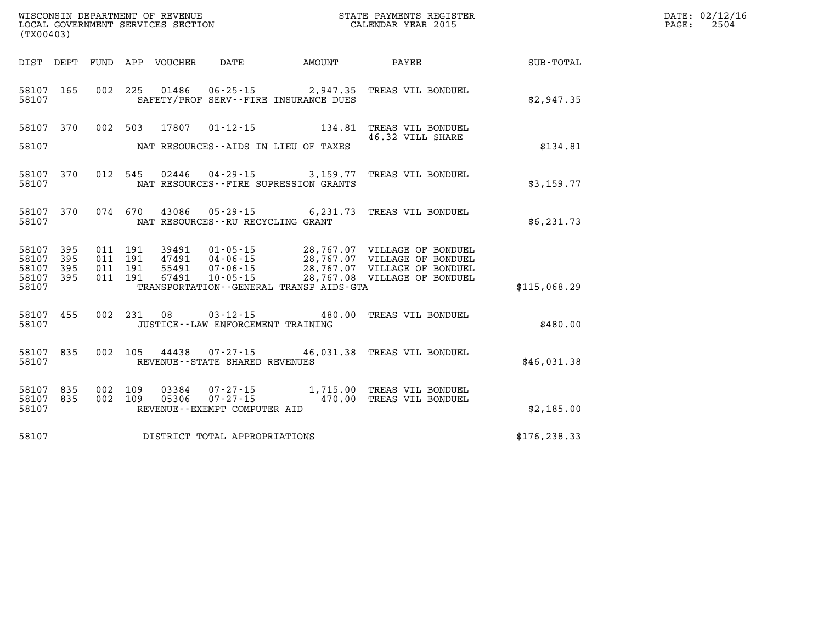| (TX00403)                       |           |                    |       |                                        |                                         | WISCONSIN DEPARTMENT OF REVENUE<br>LOCAL GOVERNMENT SERVICES SECTION CALENDAR YEAR 2015                                                                           |               | DATE: 02/12/16<br>$\mathtt{PAGE:}$<br>2504 |
|---------------------------------|-----------|--------------------|-------|----------------------------------------|-----------------------------------------|-------------------------------------------------------------------------------------------------------------------------------------------------------------------|---------------|--------------------------------------------|
|                                 |           |                    |       | DIST DEPT FUND APP VOUCHER DATE AMOUNT |                                         | <b>PAYEE</b>                                                                                                                                                      | SUB-TOTAL     |                                            |
| 58107 165<br>58107              |           |                    |       |                                        | SAFETY/PROF SERV--FIRE INSURANCE DUES   | 002 225 01486 06-25-15 2,947.35 TREAS VIL BONDUEL                                                                                                                 | \$2,947.35    |                                            |
|                                 | 58107 370 | 002 503            | 17807 |                                        |                                         | 01-12-15 134.81 TREAS VIL BONDUEL<br>46.32 VILL SHARE                                                                                                             |               |                                            |
| 58107                           |           |                    |       |                                        | NAT RESOURCES--AIDS IN LIEU OF TAXES    |                                                                                                                                                                   | \$134.81      |                                            |
| 58107                           | 58107 370 |                    |       |                                        | NAT RESOURCES -- FIRE SUPRESSION GRANTS | 012 545 02446 04-29-15 3,159.77 TREAS VIL BONDUEL                                                                                                                 | \$3,159.77    |                                            |
| 58107                           | 58107 370 |                    |       | NAT RESOURCES -- RU RECYCLING GRANT    |                                         | 074 670 43086 05-29-15 6,231.73 TREAS VIL BONDUEL                                                                                                                 | \$6,231.73    |                                            |
| 58107 395<br>58107              | 395       |                    |       |                                        |                                         | 011 191 39491 01-05-15 28,767.07 VILLAGE OF BONDUEL                                                                                                               |               |                                            |
| 58107 395<br>58107 395<br>58107 |           |                    |       |                                        | TRANSPORTATION--GENERAL TRANSP AIDS-GTA | 011 191 47491 04-06-15 28,767.07 VILLAGE OF BONDUEL<br>011 191 55491 07-06-15 28,767.07 VILLAGE OF BONDUEL<br>011 191 67491 10-05-15 28,767.08 VILLAGE OF BONDUEL | \$115,068.29  |                                            |
| 58107                           | 58107 455 |                    |       | JUSTICE -- LAW ENFORCEMENT TRAINING    |                                         | 002  231  08  03-12-15  480.00 TREAS VIL BONDUEL                                                                                                                  | \$480.00      |                                            |
| 58107 835<br>58107              |           |                    |       | REVENUE--STATE SHARED REVENUES         |                                         | 002 105 44438 07-27-15 46,031.38 TREAS VIL BONDUEL                                                                                                                | \$46,031.38   |                                            |
| 58107 835<br>58107              | 58107 835 | 002 109<br>002 109 |       | REVENUE--EXEMPT COMPUTER AID           |                                         | 03384  07-27-15  1,715.00 TREAS VIL BONDUEL<br>05306  07-27-15  470.00 TREAS VIL BONDUEL                                                                          | \$2,185.00    |                                            |
| 58107                           |           |                    |       | DISTRICT TOTAL APPROPRIATIONS          |                                         |                                                                                                                                                                   | \$176, 238.33 |                                            |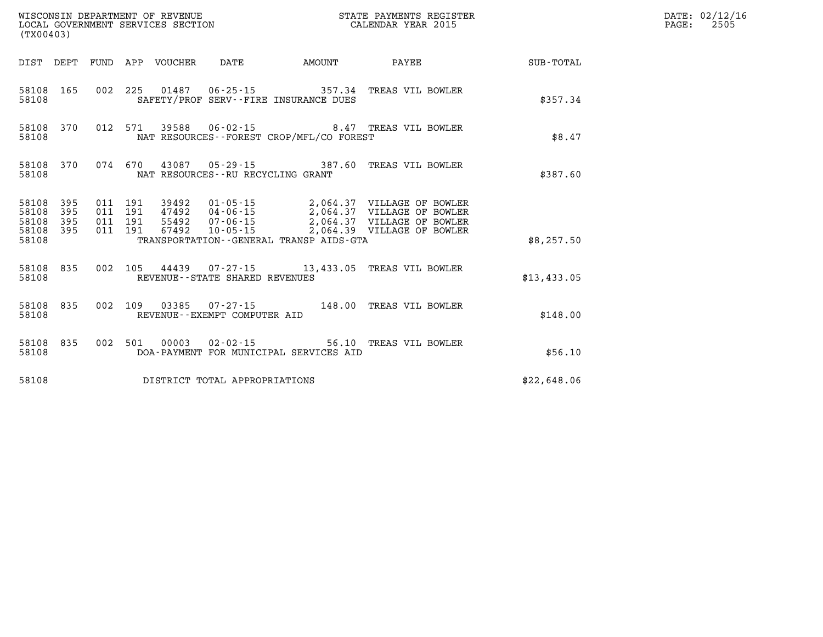| (TX00403)                                         |            |  |                                 |                                   |                                             | STATE PAYMENTS REGISTER                                                                                                                                                                                                                                                                                                                                 |             | DATE: 02/12/16<br>$\mathtt{PAGE:}$<br>2505 |
|---------------------------------------------------|------------|--|---------------------------------|-----------------------------------|---------------------------------------------|---------------------------------------------------------------------------------------------------------------------------------------------------------------------------------------------------------------------------------------------------------------------------------------------------------------------------------------------------------|-------------|--------------------------------------------|
|                                                   |            |  | DIST DEPT FUND APP VOUCHER DATE |                                   | AMOUNT                                      | <b>PAYEE</b>                                                                                                                                                                                                                                                                                                                                            | SUB-TOTAL   |                                            |
| 58108                                             | 58108 165  |  |                                 |                                   | SAFETY/PROF SERV--FIRE INSURANCE DUES       | 002 225 01487 06-25-15 357.34 TREAS VIL BOWLER                                                                                                                                                                                                                                                                                                          | \$357.34    |                                            |
| 58108                                             | 58108 370  |  |                                 |                                   | NAT RESOURCES - - FOREST CROP/MFL/CO FOREST | 012 571 39588 06-02-15 8.47 TREAS VIL BOWLER                                                                                                                                                                                                                                                                                                            | \$8.47      |                                            |
| 58108                                             | 58108 370  |  |                                 |                                   | NAT RESOURCES--RU RECYCLING GRANT           | 074 670 43087 05-29-15 387.60 TREAS VIL BOWLER                                                                                                                                                                                                                                                                                                          | \$387.60    |                                            |
| 58108 395<br>58108<br>58108<br>58108 395<br>58108 | 395<br>395 |  |                                 |                                   | TRANSPORTATION--GENERAL TRANSP AIDS-GTA     | $\begin{array}{cccc} 011 & 191 & 39492 & 01\cdot 05\cdot 15 & 2,064.37 & \text{VILLAGE OF BOWLER} \\ 011 & 191 & 47492 & 04\cdot 06\cdot 15 & 2,064.37 & \text{VILLAGE OF BOWLER} \\ 011 & 191 & 55492 & 07\cdot 06\cdot 15 & 2,064.37 & \text{VILLAGE OF BOWLER} \\ 011 & 191 & 67492 & 10\cdot 05\cdot 15 & 2,064.39 & \text{VILLAGE OF BOWLER} \end$ | \$8,257.50  |                                            |
| 58108                                             |            |  |                                 | REVENUE - - STATE SHARED REVENUES |                                             | 58108 835 002 105 44439 07-27-15 13,433.05 TREAS VIL BOWLER                                                                                                                                                                                                                                                                                             | \$13,433.05 |                                            |
| 58108                                             | 58108 835  |  |                                 | REVENUE--EXEMPT COMPUTER AID      |                                             | 002 109 03385 07-27-15 148.00 TREAS VIL BOWLER                                                                                                                                                                                                                                                                                                          | \$148.00    |                                            |
| 58108                                             | 58108 835  |  |                                 |                                   | DOA-PAYMENT FOR MUNICIPAL SERVICES AID      | 002 501 00003 02-02-15 56.10 TREAS VIL BOWLER                                                                                                                                                                                                                                                                                                           | \$56.10     |                                            |
| 58108                                             |            |  |                                 | DISTRICT TOTAL APPROPRIATIONS     |                                             |                                                                                                                                                                                                                                                                                                                                                         | \$22,648.06 |                                            |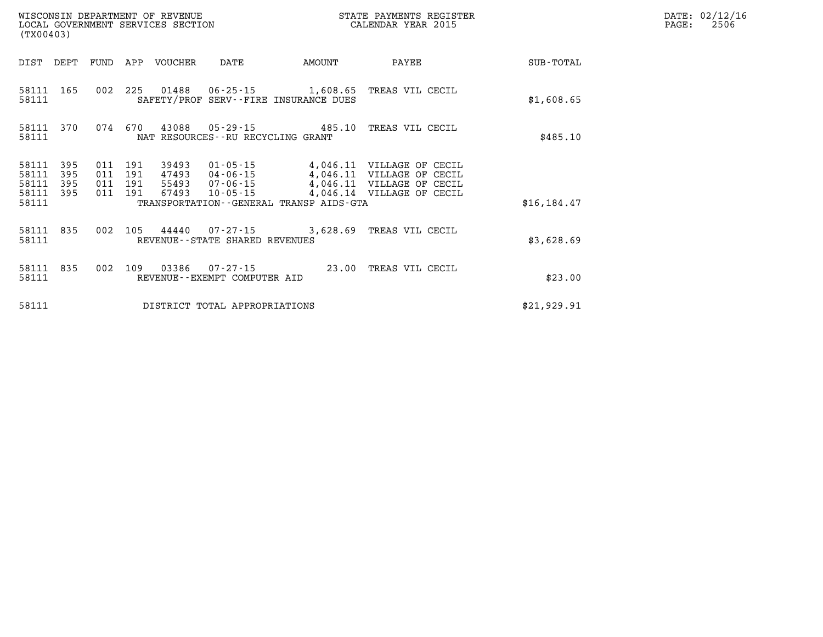| (TX00403)               |                   |                               |     | WISCONSIN DEPARTMENT OF REVENUE<br>LOCAL GOVERNMENT SERVICES SECTION |                                                 |                                         | STATE PAYMENTS REGISTER<br>CALENDAR YEAR 2015                                                                             |              | DATE: 02/12/16<br>2506<br>PAGE: |
|-------------------------|-------------------|-------------------------------|-----|----------------------------------------------------------------------|-------------------------------------------------|-----------------------------------------|---------------------------------------------------------------------------------------------------------------------------|--------------|---------------------------------|
|                         |                   |                               |     | DIST DEPT FUND APP VOUCHER                                           | DATE                                            | <b>AMOUNT</b>                           | PAYEE                                                                                                                     | SUB-TOTAL    |                                 |
| 58111 165<br>58111      |                   |                               |     |                                                                      |                                                 | SAFETY/PROF SERV--FIRE INSURANCE DUES   | 002 225 01488 06-25-15 1,608.65 TREAS VIL CECIL                                                                           | \$1,608.65   |                                 |
| 58111                   |                   |                               |     |                                                                      | NAT RESOURCES--RU RECYCLING GRANT               |                                         | 58111 370 074 670 43088 05-29-15 485.10 TREAS VIL CECIL                                                                   | \$485.10     |                                 |
| 58111<br>58111<br>58111 | 395<br>395<br>395 | 011 191<br>011 191<br>011 191 |     |                                                                      |                                                 |                                         | $4,046.11$ VILLAGE OF CECIL<br>47493  04-06-15  4,046.11  VILLAGE OF CECIL<br>55493  07-06-15  4,046.11  VILLAGE OF CECIL |              |                                 |
| 58111 395<br>58111      |                   | 011 191                       |     | 67493                                                                | 10-05-15                                        | TRANSPORTATION--GENERAL TRANSP AIDS-GTA | 4,046.14 VILLAGE OF CECIL                                                                                                 | \$16, 184.47 |                                 |
| 58111 835<br>58111      |                   | 002                           |     |                                                                      | REVENUE--STATE SHARED REVENUES                  |                                         | 105  44440  07-27-15  3,628.69  TREAS VIL CECIL                                                                           | \$3,628.69   |                                 |
| 58111 835<br>58111      |                   | 002                           | 109 |                                                                      | 03386  07-27-15<br>REVENUE--EXEMPT COMPUTER AID |                                         | 23.00 TREAS VIL CECIL                                                                                                     | \$23.00      |                                 |
| 58111                   |                   |                               |     |                                                                      | DISTRICT TOTAL APPROPRIATIONS                   |                                         |                                                                                                                           | \$21,929.91  |                                 |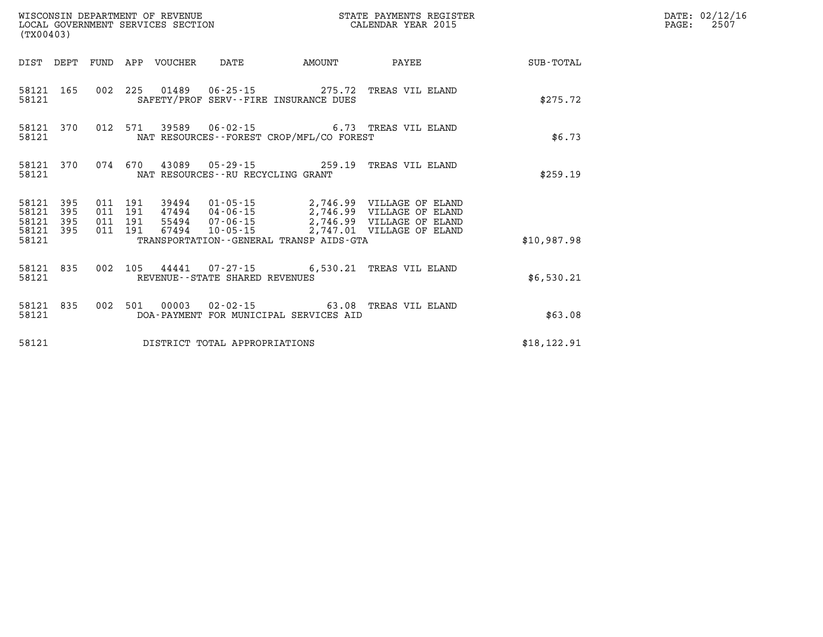| (TX00403)                           |           |         |                               |                                 |                                |                                             | WISCONSIN DEPARTMENT OF REVENUE                               STATE PAYMENTS REGIST LOCAL GOVERNMENT SERVICES SECTION                                   CALENDAR YEAR 2015<br>STATE PAYMENTS REGISTER |              |  |  |  |
|-------------------------------------|-----------|---------|-------------------------------|---------------------------------|--------------------------------|---------------------------------------------|-------------------------------------------------------------------------------------------------------------------------------------------------------------------------------------------------------|--------------|--|--|--|
|                                     |           |         |                               | DIST DEPT FUND APP VOUCHER DATE |                                | AMOUNT                                      | <b>PAYEE</b>                                                                                                                                                                                          | SUB-TOTAL    |  |  |  |
| 58121                               |           |         |                               |                                 |                                | SAFETY/PROF SERV--FIRE INSURANCE DUES       | 58121 165 002 225 01489 06-25-15 275.72 TREAS VIL ELAND                                                                                                                                               | \$275.72     |  |  |  |
| 58121                               | 58121 370 |         |                               |                                 |                                | NAT RESOURCES - - FOREST CROP/MFL/CO FOREST | 012 571 39589 06-02-15 6.73 TREAS VIL ELAND                                                                                                                                                           | \$6.73       |  |  |  |
| 58121                               | 58121 370 |         |                               |                                 |                                | NAT RESOURCES - - RU RECYCLING GRANT        | 074  670  43089  05-29-15  259.19  TREAS VIL ELAND                                                                                                                                                    | \$259.19     |  |  |  |
| 58121 395<br>58121 395<br>58121 395 |           | 011 191 | 011 191<br>011 191<br>011 191 |                                 |                                |                                             | 39494  01-05-15  2,746.99  VILLAGE OF ELAND                                                                                                                                                           |              |  |  |  |
| 58121 395<br>58121                  |           |         |                               |                                 |                                | TRANSPORTATION--GENERAL TRANSP AIDS-GTA     |                                                                                                                                                                                                       | \$10,987.98  |  |  |  |
| 58121                               | 58121 835 |         |                               |                                 | REVENUE--STATE SHARED REVENUES |                                             | 002 105 44441 07-27-15 6,530.21 TREAS VIL ELAND                                                                                                                                                       | \$6,530.21   |  |  |  |
| 58121                               | 58121 835 |         |                               |                                 |                                | DOA-PAYMENT FOR MUNICIPAL SERVICES AID      | 002 501 00003 02-02-15 63.08 TREAS VIL ELAND                                                                                                                                                          | \$63.08      |  |  |  |
| 58121                               |           |         |                               |                                 | DISTRICT TOTAL APPROPRIATIONS  |                                             |                                                                                                                                                                                                       | \$18, 122.91 |  |  |  |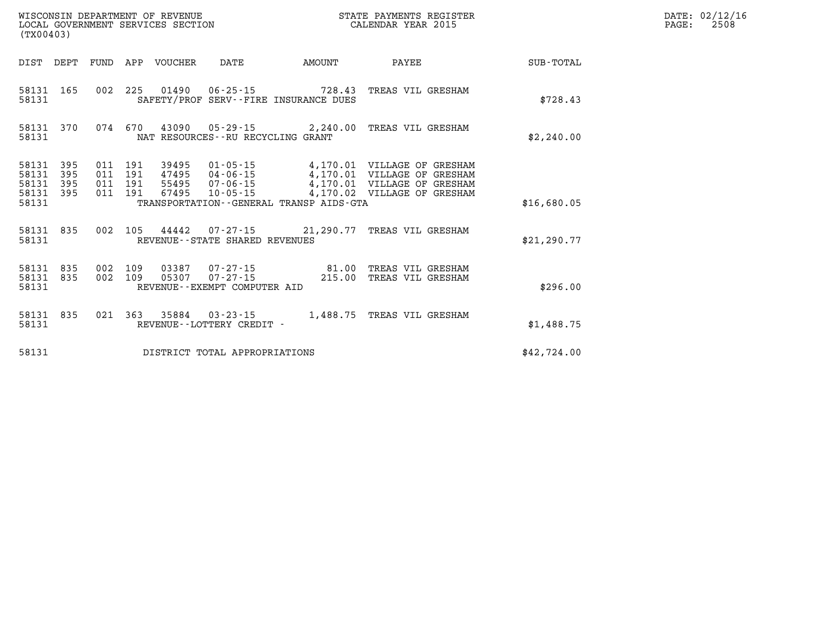| (TX00403)                                 | WISCONSIN DEPARTMENT OF REVENUE<br>LOCAL GOVERNMENT SERVICES SECTION |                          |                          |       |                                                 |                                                                        |                                                                                                                                                                                            |              |
|-------------------------------------------|----------------------------------------------------------------------|--------------------------|--------------------------|-------|-------------------------------------------------|------------------------------------------------------------------------|--------------------------------------------------------------------------------------------------------------------------------------------------------------------------------------------|--------------|
| DIST DEPT                                 |                                                                      | FUND                     | APP                      |       | VOUCHER DATE AMOUNT                             |                                                                        | PAYEE                                                                                                                                                                                      | SUB-TOTAL    |
| 58131<br>58131                            | 165                                                                  |                          |                          |       |                                                 | 002 225 01490 06-25-15 728.43<br>SAFETY/PROF SERV--FIRE INSURANCE DUES | TREAS VIL GRESHAM                                                                                                                                                                          | \$728.43     |
| 58131<br>58131                            |                                                                      | 370 074 670              |                          |       | NAT RESOURCES--RU RECYCLING GRANT               |                                                                        | 43090  05-29-15  2,240.00  TREAS VIL GRESHAM                                                                                                                                               | \$2,240.00   |
| 58131<br>58131<br>58131<br>58131<br>58131 | 395<br>395<br>395<br>395                                             | 011<br>011<br>011<br>011 | 191<br>191<br>191<br>191 | 67495 |                                                 | TRANSPORTATION--GENERAL TRANSP AIDS-GTA                                | 39495   01-05-15   4,170.01   VILLAGE OF GRESHAM<br>47495   04-06-15   4,170.01   VILLAGE OF GRESHAM<br>55495 07-06-15 4,170.01 VILLAGE OF GRESHAM<br>10-05-15 4,170.02 VILLAGE OF GRESHAM | \$16,680.05  |
| 58131                                     | 58131 835                                                            | 002                      |                          |       | REVENUE--STATE SHARED REVENUES                  |                                                                        | 105 44442  07-27-15  21,290.77 TREAS VIL GRESHAM                                                                                                                                           | \$21, 290.77 |
| 58131 835<br>58131<br>58131               | 835                                                                  | 002<br>002               | 109<br>109               |       | 05307 07-27-15<br>REVENUE--EXEMPT COMPUTER AID  | 03387  07-27-15  81.00<br>215.00                                       | TREAS VIL GRESHAM<br>TREAS VIL GRESHAM                                                                                                                                                     | \$296.00     |
| 58131<br>58131                            | 835                                                                  | 021                      |                          |       | 363 35884 03-23-15<br>REVENUE--LOTTERY CREDIT - |                                                                        | 1,488.75 TREAS VIL GRESHAM                                                                                                                                                                 | \$1,488.75   |
| 58131                                     |                                                                      |                          |                          |       | DISTRICT TOTAL APPROPRIATIONS                   |                                                                        |                                                                                                                                                                                            | \$42,724.00  |

**DATE: 02/12/16<br>PAGE: 2508**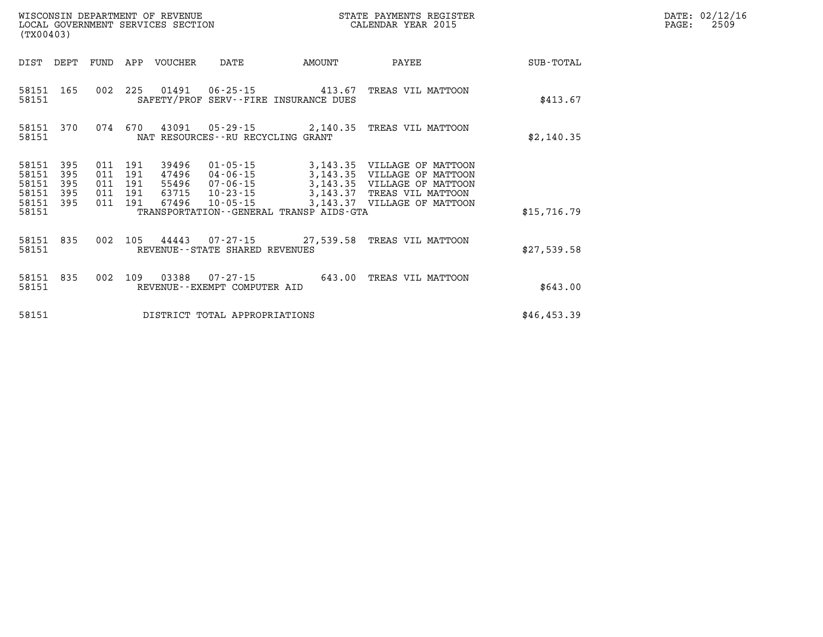| WISCONSIN DEPARTMENT OF REVENUE      | PAYMENTS REGISTER<br>3TATE | DATE: | 02/12/16 |
|--------------------------------------|----------------------------|-------|----------|
| GOVERNMENT SERVICES SECTION<br>LOCAL | CALENDAR YEAR 2015         | PAGE  | 2509     |

|                         | LOCAL GOVERNMENT SERVICES SECTION<br>(TX00403) |     |                           |                         |                                   |                                         | CALENDAR YEAR 2015                                                                                                                                            |             | PAGE: | 2509 |
|-------------------------|------------------------------------------------|-----|---------------------------|-------------------------|-----------------------------------|-----------------------------------------|---------------------------------------------------------------------------------------------------------------------------------------------------------------|-------------|-------|------|
| DIST                    | DEPT                                           |     |                           | FUND APP VOUCHER        | DATE                              | AMOUNT                                  | PAYEE                                                                                                                                                         | SUB-TOTAL   |       |      |
| 58151 165<br>58151      |                                                |     |                           |                         |                                   | SAFETY/PROF SERV--FIRE INSURANCE DUES   | 002 225 01491 06-25-15 413.67 TREAS VIL MATTOON                                                                                                               | \$413.67    |       |      |
| 58151<br>58151          | 370                                            |     |                           |                         | NAT RESOURCES--RU RECYCLING GRANT |                                         | 074 670 43091 05-29-15 2,140.35 TREAS VIL MATTOON                                                                                                             | \$2,140.35  |       |      |
| 58151<br>58151<br>58151 | 395<br>395<br>395                              | 011 | 011 191<br>011 191<br>191 | 39496<br>47496<br>55496 |                                   |                                         | 01-05-15 3,143.35 VILLAGE OF MATTOON<br>04-06-15<br>04-06-15<br>07-06-15<br>07-06-15<br>07-06-15<br>07-06-15<br>03,143.37<br>07-23-15<br>07-23-15<br>07-23-15 |             |       |      |
| 58151<br>58151<br>58151 | 395<br>395                                     |     | 011 191<br>011 191        | 63715<br>67496          | $10 - 23 - 15$<br>10-05-15        | TRANSPORTATION--GENERAL TRANSP AIDS-GTA | 3,143.37 VILLAGE OF MATTOON                                                                                                                                   | \$15,716.79 |       |      |
| 58151 835<br>58151      |                                                |     |                           |                         | REVENUE--STATE SHARED REVENUES    |                                         | 002 105 44443 07-27-15 27,539.58 TREAS VIL MATTOON                                                                                                            | \$27,539.58 |       |      |
| 58151<br>58151          | 835                                            |     |                           |                         | REVENUE--EXEMPT COMPUTER AID      |                                         | 002 109 03388 07-27-15 643.00 TREAS VIL MATTOON                                                                                                               | \$643.00    |       |      |
| 58151                   |                                                |     |                           |                         | DISTRICT TOTAL APPROPRIATIONS     |                                         |                                                                                                                                                               | \$46,453.39 |       |      |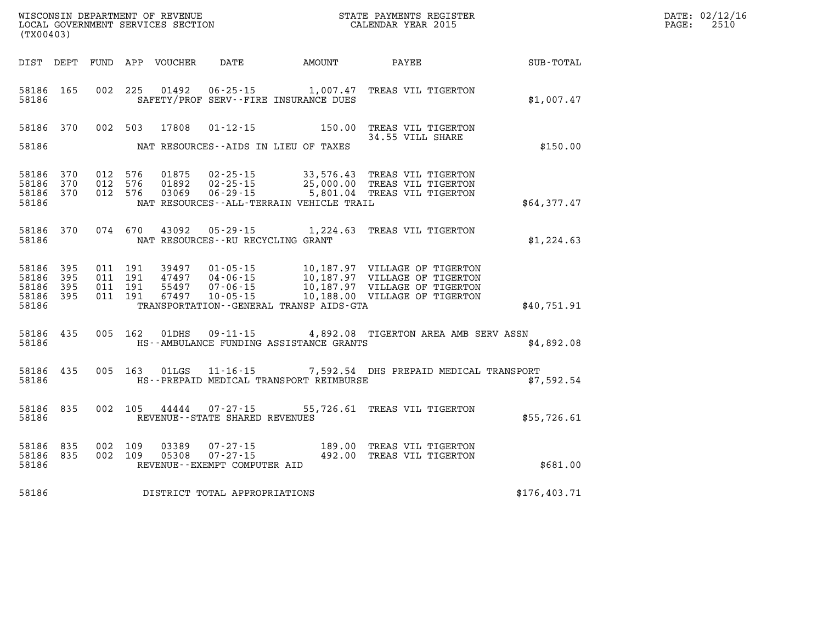| (TX00403)                       |         |         | WISCONSIN DEPARTMENT OF REVENUE<br>LOCAL GOVERNMENT SERVICES SECTION |                                                            | STATE PAYMENTS REGISTER<br>CALENDAR YEAR 2015                                                                  |                                               |                                                               | DATE: 02/12/16<br>PAGE:<br>2510 |
|---------------------------------|---------|---------|----------------------------------------------------------------------|------------------------------------------------------------|----------------------------------------------------------------------------------------------------------------|-----------------------------------------------|---------------------------------------------------------------|---------------------------------|
|                                 |         |         | DIST DEPT FUND APP VOUCHER                                           | DATE                                                       | <b>AMOUNT</b>                                                                                                  | PAYEE                                         | SUB-TOTAL                                                     |                                 |
| 58186 165<br>58186              |         |         | 002 225 01492                                                        |                                                            | 06-25-15 1,007.47<br>SAFETY/PROF SERV--FIRE INSURANCE DUES                                                     | TREAS VIL TIGERTON                            | \$1,007.47                                                    |                                 |
| 58186 370                       |         | 002 503 | 17808                                                                | $01 - 12 - 15$                                             |                                                                                                                | 150.00 TREAS VIL TIGERTON<br>34.55 VILL SHARE |                                                               |                                 |
| 58186                           |         |         |                                                                      |                                                            | NAT RESOURCES--AIDS IN LIEU OF TAXES                                                                           |                                               | \$150.00                                                      |                                 |
| 58186 370<br>58186 370          | 012 576 | 012 576 | 01875<br>01892                                                       |                                                            |                                                                                                                |                                               |                                                               |                                 |
| 58186 370<br>58186              | 012 576 |         | 03069                                                                |                                                            | 06-29-15 5,801.04 TREAS VIL TIGERTON<br>NAT RESOURCES - - ALL - TERRAIN VEHICLE TRAIL                          |                                               | \$64,377.47                                                   |                                 |
| 58186 370<br>58186              |         | 074 670 | 43092                                                                | 05-29-15<br>NAT RESOURCES--RU RECYCLING GRANT              | 1,224.63 TREAS VIL TIGERTON                                                                                    |                                               | \$1,224.63                                                    |                                 |
| 58186 395<br>58186 395          | 011 191 | 011 191 | 39497<br>47497                                                       |                                                            | 01-05-15 10,187.97 VILLAGE OF TIGERTON<br>04-06-15 10,187.97 VILLAGE OF TIGERTON                               |                                               |                                                               |                                 |
| 58186 395<br>58186 395<br>58186 | 011 191 | 011 191 | 55497<br>67497                                                       | $07 - 06 - 15$<br>10-05-15                                 | 10,187.97 VILLAGE OF TIGERTON<br>10,188.00 VILLAGE OF TIGERTON<br>TRANSPORTATION - - GENERAL TRANSP AIDS - GTA |                                               | \$40,751.91                                                   |                                 |
|                                 |         |         |                                                                      |                                                            |                                                                                                                |                                               |                                                               |                                 |
| 58186 435<br>58186              |         | 005 162 | 01DHS                                                                | $09 - 11 - 15$                                             | HS--AMBULANCE FUNDING ASSISTANCE GRANTS                                                                        |                                               | 4,892.08 TIGERTON AREA AMB SERV ASSN<br>\$4,892.08            |                                 |
| 58186 435<br>58186              |         | 005 163 | 01LGS                                                                |                                                            | HS--PREPAID MEDICAL TRANSPORT REIMBURSE                                                                        |                                               | 11-16-15 7,592.54 DHS PREPAID MEDICAL TRANSPORT<br>\$7,592.54 |                                 |
| 58186 835<br>58186              |         | 002 105 |                                                                      | 44444 07-27-15<br>REVENUE - - STATE SHARED REVENUES        |                                                                                                                | 55,726.61 TREAS VIL TIGERTON                  | \$55,726.61                                                   |                                 |
| 58186 835<br>58186 835<br>58186 | 002 109 | 002 109 | 03389<br>05308                                                       | 07-27-15<br>$07 - 27 - 15$<br>REVENUE--EXEMPT COMPUTER AID | 189.00 TREAS VIL TIGERTON<br>492.00 TREAS VIL TIGERTON                                                         |                                               | \$681.00                                                      |                                 |
| 58186                           |         |         |                                                                      | DISTRICT TOTAL APPROPRIATIONS                              |                                                                                                                |                                               | \$176,403.71                                                  |                                 |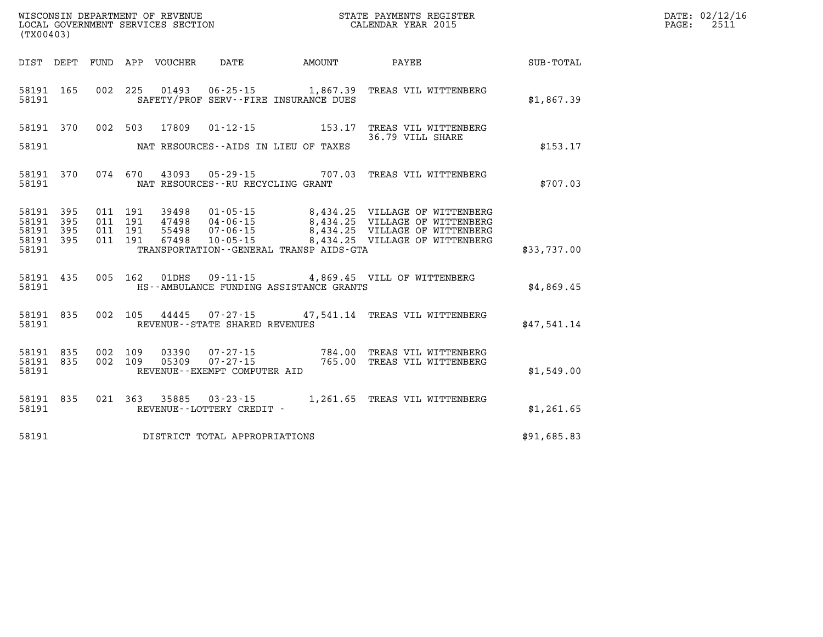| (TX00403) |  |  |                                         |                                                  |                                                                                                                                                                                                                                         |             | DATE: 02/12/16<br>PAGE: 2511 |
|-----------|--|--|-----------------------------------------|--------------------------------------------------|-----------------------------------------------------------------------------------------------------------------------------------------------------------------------------------------------------------------------------------------|-------------|------------------------------|
|           |  |  |                                         |                                                  | DIST DEPT FUND APP VOUCHER DATE AMOUNT PAYEE PAYER SUB-TOTAL                                                                                                                                                                            |             |                              |
|           |  |  |                                         | 58191 SAFETY/PROF SERV--FIRE INSURANCE DUES      | 58191 165 002 225 01493 06-25-15 1,867.39 TREAS VIL WITTENBERG                                                                                                                                                                          | \$1,867.39  |                              |
|           |  |  |                                         |                                                  | 58191 370 002 503 17809 01-12-15 153.17 TREAS VIL WITTENBERG<br>36.79 VILL SHARE                                                                                                                                                        |             |                              |
|           |  |  |                                         | 58191 NAT RESOURCES--AIDS IN LIEU OF TAXES       |                                                                                                                                                                                                                                         | \$153.17    |                              |
|           |  |  | 58191 NAT RESOURCES--RU RECYCLING GRANT |                                                  | 58191 370 074 670 43093 05-29-15 707.03 TREAS VIL WITTENBERG                                                                                                                                                                            | \$707.03    |                              |
|           |  |  |                                         |                                                  | 58191 395 011 191 39498 01-05-15 8,434.25 VILLAGE OF WITTENBERG<br>58191 395 011 191 47498 04-06-15 8,434.25 VILLAGE OF WITTENBERG<br>58191 395 011 191 55498 07-06-15 8,434.25 VILLAGE OF WITTENBERG<br>58191 395 011 191 67498 10-05- |             |                              |
|           |  |  |                                         | 58191 TRANSPORTATION - GENERAL TRANSP AIDS - GTA |                                                                                                                                                                                                                                         | \$33,737.00 |                              |
|           |  |  |                                         | 58191 HS--AMBULANCE FUNDING ASSISTANCE GRANTS    | 58191 435 005 162 01DHS 09-11-15 4,869.45 VILL OF WITTENBERG                                                                                                                                                                            | \$4,869.45  |                              |
|           |  |  | 58191 REVENUE - - STATE SHARED REVENUES |                                                  | 58191 835 002 105 44445 07-27-15 47,541.14 TREAS VIL WITTENBERG                                                                                                                                                                         | \$47,541.14 |                              |
|           |  |  |                                         |                                                  | 58191 835 002 109 03390 07-27-15 784.00 TREAS VIL WITTENBERG<br>58191 835 002 109 05309 07-27-15 765.00 TREAS VIL WITTENBERG<br>58191     REVENUE--EXEMPT COMPUTER AID                                                                  | \$1,549.00  |                              |
|           |  |  |                                         |                                                  |                                                                                                                                                                                                                                         | \$1,261.65  |                              |
|           |  |  | 58191 DISTRICT TOTAL APPROPRIATIONS     |                                                  |                                                                                                                                                                                                                                         | \$91,685.83 |                              |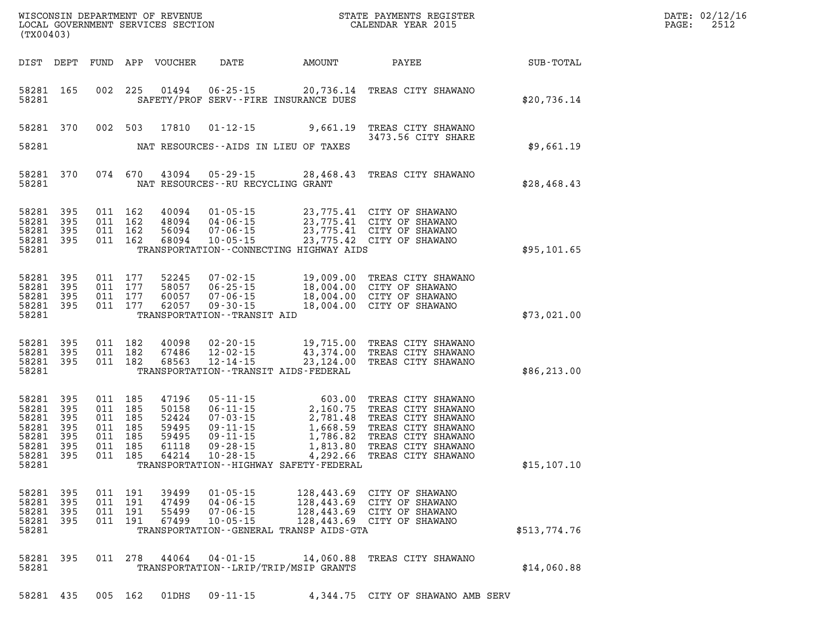| DATE: | 02/12/16 |
|-------|----------|
| PAGE: | 2512     |

|                                                                          | LOCAL GOVERNMENT SERVICES SECTION<br>(TX00403) |                                                                           |                    |                                                             |                                                                                                                 |           | CALENDAR YEAR 2015                                                                                                                                                                                                                       |              | PAGE: | 2512 |
|--------------------------------------------------------------------------|------------------------------------------------|---------------------------------------------------------------------------|--------------------|-------------------------------------------------------------|-----------------------------------------------------------------------------------------------------------------|-----------|------------------------------------------------------------------------------------------------------------------------------------------------------------------------------------------------------------------------------------------|--------------|-------|------|
| DIST DEPT                                                                |                                                |                                                                           |                    | FUND APP VOUCHER                                            | <b>DATE</b>                                                                                                     |           |                                                                                                                                                                                                                                          |              |       |      |
| 58281 165<br>58281                                                       |                                                |                                                                           | 002 225            |                                                             | SAFETY/PROF SERV--FIRE INSURANCE DUES                                                                           |           | 01494  06-25-15  20,736.14  TREAS CITY SHAWANO                                                                                                                                                                                           | \$20,736.14  |       |      |
| 58281 370                                                                |                                                |                                                                           | 002 503            | 17810                                                       |                                                                                                                 |           | 01-12-15 9,661.19 TREAS CITY SHAWANO<br>3473.56 CITY SHARE                                                                                                                                                                               |              |       |      |
| 58281                                                                    |                                                |                                                                           |                    |                                                             | NAT RESOURCES--AIDS IN LIEU OF TAXES                                                                            |           |                                                                                                                                                                                                                                          | \$9,661.19   |       |      |
| 58281 370<br>58281                                                       |                                                |                                                                           | 074 670            |                                                             | NAT RESOURCES - - RU RECYCLING GRANT                                                                            |           | 43094  05-29-15  28,468.43  TREAS CITY SHAWANO                                                                                                                                                                                           | \$28,468.43  |       |      |
| 58281<br>58281<br>58281<br>58281 395<br>58281                            | 395<br>395<br>395                              | 011 162<br>011 162<br>011 162                                             | 011 162            | 40094<br>48094<br>56094<br>68094                            | TRANSPORTATION -- CONNECTING HIGHWAY AIDS                                                                       |           | 01-05-15 23,775.41 CITY OF SHAWANO<br>04-06-15 23,775.41 CITY OF SHAWANO<br>07-06-15 23,775.41 CITY OF SHAWANO<br>10-05-15 23,775.42 CITY OF SHAWANO                                                                                     | \$95,101.65  |       |      |
| 58281<br>58281<br>58281<br>58281 395<br>58281                            | 395<br>395<br>395                              | 011 177<br>011 177                                                        | 011 177<br>011 177 | 52245<br>58057<br>60057<br>62057                            | TRANSPORTATION - - TRANSIT AID                                                                                  |           | 07-02-15 19,009.00 TREAS CITY SHAWANO<br>06-25-15 18,004.00 CITY OF SHAWANO<br>07-06-15 18,004.00 CITY OF SHAWANO<br>09-30-15 18,004.00 CITY OF SHAWANO                                                                                  | \$73,021.00  |       |      |
| 58281 395<br>58281<br>58281 395<br>58281                                 | 395                                            | 011 182<br>011 182                                                        | 011 182            | 40098<br>67486<br>68563                                     | $12 - 02 - 15$<br>$12 - 14 - 15$<br>TRANSPORTATION - - TRANSIT AIDS - FEDERAL                                   |           | 02-20-15 19,715.00 TREAS CITY SHAWANO<br>--,.------ IREAS CITY SHAWANO<br>43,374.00 TREAS CITY SHAWANO<br>23.124 00 TREAS CITY GUALLARS<br>23,124.00 TREAS CITY SHAWANO                                                                  | \$86, 213.00 |       |      |
| 58281<br>58281<br>58281<br>58281<br>58281<br>58281<br>58281 395<br>58281 | 395<br>395<br>395<br>395<br>395<br>395         | 011 185<br>011 185<br>011 185<br>011 185<br>011 185<br>011 185<br>011 185 |                    | 47196<br>50158<br>52424<br>59495<br>59495<br>61118<br>64214 | TRANSPORTATION - - HIGHWAY SAFETY - FEDERAL                                                                     |           | 05-11-15 603.00 TREAS CITY SHAWANO<br>06-11-15 2,160.75 TREAS CITY SHAWANO<br>07-03-15 2,781.48 TREAS CITY SHAWANO<br>09-11-15 1,668.59 TREAS CITY SHAWANO<br>09-11-15 1,786.82 TREAS CITY SHAWANO<br>09-28-15 1,813.80 TREAS CITY SHAWA | \$15, 107.10 |       |      |
| 58281 395<br>58281<br>58281<br>58281<br>58281                            | 395<br>395<br>395                              | 011 191<br>011<br>011 191<br>011 191                                      | 191                | 39499<br>47499<br>55499<br>67499                            | $01 - 05 - 15$<br>$04 - 06 - 15$<br>$07 - 06 - 15$<br>$10 - 05 - 15$<br>TRANSPORTATION--GENERAL TRANSP AIDS-GTA |           | 128,443.69 CITY OF SHAWANO<br>128,443.69 CITY OF SHAWANO<br>128,443.69 CITY OF SHAWANO<br>128,443.69 CITY OF SHAWANO                                                                                                                     | \$513,774.76 |       |      |
| 58281 395<br>58281                                                       |                                                |                                                                           | 011 278            | 44064                                                       | $04 - 01 - 15$<br>TRANSPORTATION - - LRIP/TRIP/MSIP GRANTS                                                      | 14,060.88 | TREAS CITY SHAWANO                                                                                                                                                                                                                       | \$14,060.88  |       |      |
| 58281 435                                                                |                                                | 005 162                                                                   |                    | 01DHS                                                       | $09 - 11 - 15$                                                                                                  |           | 4,344.75 CITY OF SHAWANO AMB SERV                                                                                                                                                                                                        |              |       |      |

WISCONSIN DEPARTMENT OF REVENUE **STATE PAYMENTS REGISTER**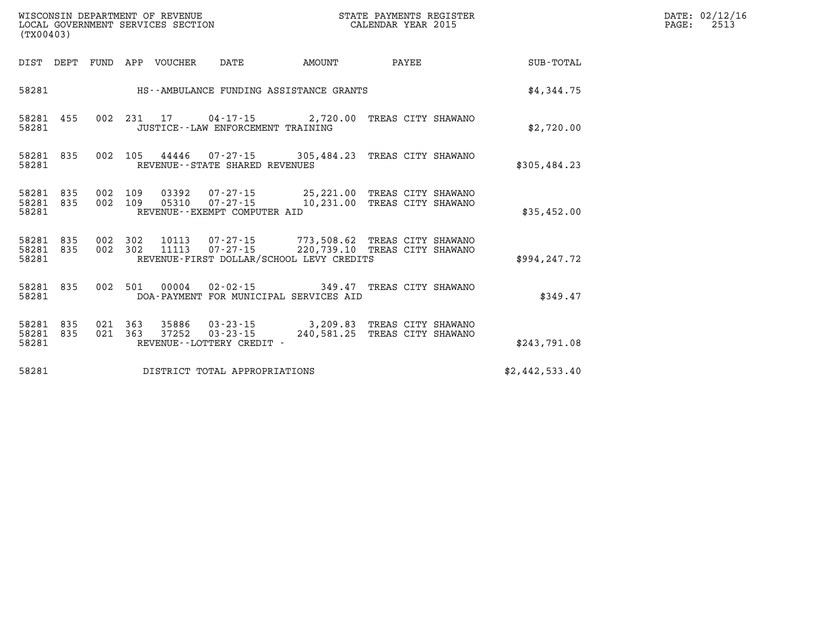| (TX00403) |                        |                   |                    | WISCONSIN DEPARTMENT OF REVENUE | LOCAL GOVERNMENT SERVICES SECTION    |                                                                                                                                                          | STATE PAYMENTS REGISTER<br>CALENDAR YEAR 2015 |  | DATE: 02/12/16<br>2513<br>$\mathtt{PAGE:}$ |  |  |
|-----------|------------------------|-------------------|--------------------|---------------------------------|--------------------------------------|----------------------------------------------------------------------------------------------------------------------------------------------------------|-----------------------------------------------|--|--------------------------------------------|--|--|
|           |                        |                   |                    | DIST DEPT FUND APP VOUCHER DATE |                                      | <b>EXAMOUNT</b>                                                                                                                                          | PAYEE                                         |  | SUB-TOTAL                                  |  |  |
| 58281     |                        |                   |                    |                                 |                                      | HS--AMBULANCE FUNDING ASSISTANCE GRANTS                                                                                                                  |                                               |  | \$4,344.75                                 |  |  |
| 58281     | 58281 455              |                   |                    |                                 | JUSTICE - - LAW ENFORCEMENT TRAINING | 002 231 17 04-17-15 2,720.00 TREAS CITY SHAWANO                                                                                                          |                                               |  | \$2,720.00                                 |  |  |
| 58281     | 58281 835              |                   |                    |                                 | REVENUE - - STATE SHARED REVENUES    | 002 105 44446 07-27-15 305,484.23 TREAS CITY SHAWANO                                                                                                     |                                               |  | \$305,484.23                               |  |  |
| 58281     | 58281 835<br>58281 835 | 002 109           |                    |                                 | REVENUE - - EXEMPT COMPUTER AID      | 03392  07-27-15  25,221.00 TREAS CITY SHAWANO<br>002 109 05310 07-27-15 10,231.00 TREAS CITY SHAWANO                                                     |                                               |  | \$35,452.00                                |  |  |
| 58281     | 58281 835              | 58281 835 002 302 |                    |                                 |                                      | 002 302 10113 07-27-15 773,508.62 TREAS CITY SHAWANO<br>002 302 11113 07-27-15 220,739.10 TREAS CITY SHAWANO<br>REVENUE-FIRST DOLLAR/SCHOOL LEVY CREDITS |                                               |  | \$994,247.72                               |  |  |
| 58281     | 58281 835              |                   |                    |                                 |                                      | 002 501 00004 02-02-15 349.47 TREAS CITY SHAWANO<br>DOA-PAYMENT FOR MUNICIPAL SERVICES AID                                                               |                                               |  | \$349.47                                   |  |  |
| 58281     | 58281 835<br>58281 835 |                   | 021 363<br>021 363 |                                 | REVENUE--LOTTERY CREDIT -            | 35886 03-23-15 3,209.83 TREAS CITY SHAWANO<br>37252  03-23-15  240,581.25  TREAS CITY SHAWANO                                                            |                                               |  | \$243,791.08                               |  |  |
| 58281     |                        |                   |                    |                                 | DISTRICT TOTAL APPROPRIATIONS        |                                                                                                                                                          |                                               |  | \$2,442,533.40                             |  |  |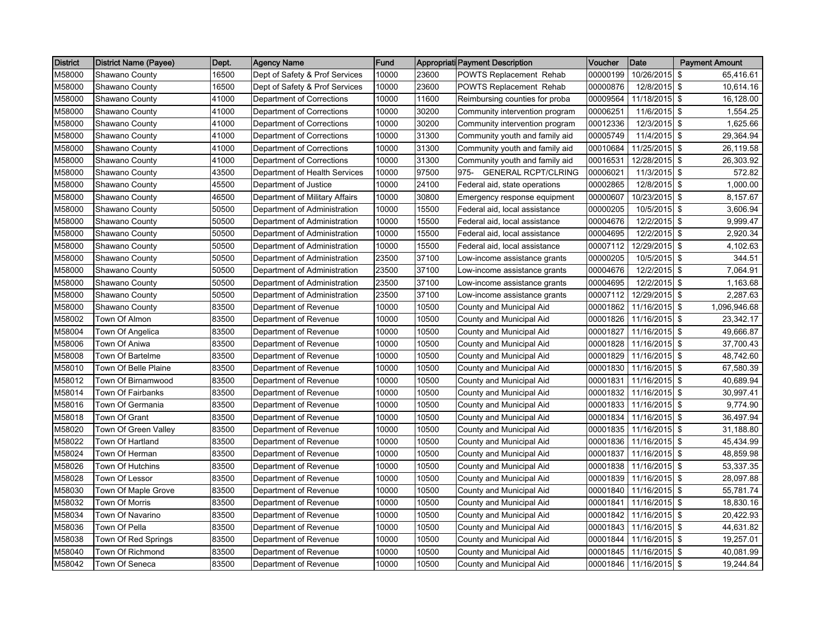| <b>District</b> | District Name (Payee) | Dept. | Agency Name                    | <b>Fund</b> |       | <b>Appropriati Payment Description</b> | <b>Voucher</b> | <b>Date</b>     | <b>Payment Amount</b> |
|-----------------|-----------------------|-------|--------------------------------|-------------|-------|----------------------------------------|----------------|-----------------|-----------------------|
| M58000          | Shawano County        | 16500 | Dept of Safety & Prof Services | 10000       | 23600 | POWTS Replacement Rehab                | 00000199       | 10/26/2015 \$   | 65,416.61             |
| M58000          | Shawano County        | 16500 | Dept of Safety & Prof Services | 10000       | 23600 | POWTS Replacement Rehab                | 00000876       | 12/8/2015 \$    | 10,614.16             |
| M58000          | Shawano County        | 41000 | Department of Corrections      | 10000       | 11600 | Reimbursing counties for proba         | 00009564       | 11/18/2015 \$   | 16,128.00             |
| M58000          | Shawano County        | 41000 | Department of Corrections      | 10000       | 30200 | Community intervention program         | 00006251       | 11/6/2015 \$    | 1,554.25              |
| M58000          | Shawano County        | 41000 | Department of Corrections      | 10000       | 30200 | Community intervention program         | 00012336       | 12/3/2015 \$    | 1,625.66              |
| M58000          | Shawano County        | 41000 | Department of Corrections      | 10000       | 31300 | Community youth and family aid         | 00005749       | 11/4/2015 \$    | 29,364.94             |
| M58000          | Shawano County        | 41000 | Department of Corrections      | 10000       | 31300 | Community youth and family aid         | 00010684       | 11/25/2015 \$   | 26,119.58             |
| M58000          | Shawano County        | 41000 | Department of Corrections      | 10000       | 31300 | Community youth and family aid         | 00016531       | 12/28/2015 \$   | 26,303.92             |
| M58000          | Shawano County        | 43500 | Department of Health Services  | 10000       | 97500 | <b>GENERAL RCPT/CLRING</b><br>975-     | 00006021       | $11/3/2015$ \$  | 572.82                |
| M58000          | Shawano County        | 45500 | Department of Justice          | 10000       | 24100 | Federal aid, state operations          | 00002865       | 12/8/2015 \$    | 1,000.00              |
| M58000          | Shawano County        | 46500 | Department of Military Affairs | 10000       | 30800 | Emergency response equipment           | 00000607       | 10/23/2015 \$   | 8,157.67              |
| M58000          | Shawano County        | 50500 | Department of Administration   | 10000       | 15500 | Federal aid, local assistance          | 00000205       | 10/5/2015 \$    | 3,606.94              |
| M58000          | Shawano County        | 50500 | Department of Administration   | 10000       | 15500 | Federal aid, local assistance          | 00004676       | 12/2/2015 \$    | 9,999.47              |
| M58000          | Shawano County        | 50500 | Department of Administration   | 10000       | 15500 | Federal aid, local assistance          | 00004695       | 12/2/2015 \$    | 2,920.34              |
| M58000          | Shawano County        | 50500 | Department of Administration   | 10000       | 15500 | Federal aid, local assistance          | 00007112       | 12/29/2015 \$   | $\overline{4,}102.63$ |
| M58000          | Shawano County        | 50500 | Department of Administration   | 23500       | 37100 | Low-income assistance grants           | 00000205       | 10/5/2015 \$    | 344.51                |
| M58000          | Shawano County        | 50500 | Department of Administration   | 23500       | 37100 | Low-income assistance grants           | 00004676       | 12/2/2015 \$    | 7,064.91              |
| M58000          | Shawano County        | 50500 | Department of Administration   | 23500       | 37100 | Low-income assistance grants           | 00004695       | 12/2/2015 \$    | 1,163.68              |
| M58000          | Shawano County        | 50500 | Department of Administration   | 23500       | 37100 | Low-income assistance grants           | 00007112       | 12/29/2015 \$   | 2,287.63              |
| M58000          | Shawano County        | 83500 | Department of Revenue          | 10000       | 10500 | County and Municipal Aid               | 00001862       | 11/16/2015 \$   | 1,096,946.68          |
| M58002          | Town Of Almon         | 83500 | Department of Revenue          | 10000       | 10500 | County and Municipal Aid               | 00001826       | 11/16/2015 \$   | 23,342.17             |
| M58004          | Town Of Angelica      | 83500 | Department of Revenue          | 10000       | 10500 | County and Municipal Aid               | 00001827       | 11/16/2015 \$   | 49,666.87             |
| M58006          | Town Of Aniwa         | 83500 | Department of Revenue          | 10000       | 10500 | County and Municipal Aid               | 00001828       | 11/16/2015 \$   | 37,700.43             |
| M58008          | Town Of Bartelme      | 83500 | Department of Revenue          | 10000       | 10500 | County and Municipal Aid               | 00001829       | 11/16/2015 \$   | 48,742.60             |
| M58010          | Town Of Belle Plaine  | 83500 | Department of Revenue          | 10000       | 10500 | County and Municipal Aid               | 00001830       | 11/16/2015 \$   | 67,580.39             |
| M58012          | Town Of Birnamwood    | 83500 | Department of Revenue          | 10000       | 10500 | County and Municipal Aid               | 00001831       | 11/16/2015 \$   | 40,689.94             |
| M58014          | Town Of Fairbanks     | 83500 | Department of Revenue          | 10000       | 10500 | County and Municipal Aid               | 00001832       | 11/16/2015 \$   | 30,997.41             |
| M58016          | Town Of Germania      | 83500 | Department of Revenue          | 10000       | 10500 | County and Municipal Aid               | 00001833       | $11/16/2015$ \$ | 9,774.90              |
| M58018          | Town Of Grant         | 83500 | Department of Revenue          | 10000       | 10500 | County and Municipal Aid               | 00001834       | 11/16/2015 \$   | 36,497.94             |
| M58020          | Town Of Green Vallev  | 83500 | Department of Revenue          | 10000       | 10500 | County and Municipal Aid               | 00001835       | 11/16/2015 \$   | 31,188.80             |
| M58022          | Town Of Hartland      | 83500 | Department of Revenue          | 10000       | 10500 | County and Municipal Aid               | 00001836       | 11/16/2015 \$   | 45,434.99             |
| M58024          | Town Of Herman        | 83500 | Department of Revenue          | 10000       | 10500 | County and Municipal Aid               | 00001837       | 11/16/2015 \$   | 48,859.98             |
| M58026          | Town Of Hutchins      | 83500 | Department of Revenue          | 10000       | 10500 | County and Municipal Aid               | 00001838       | 11/16/2015 \$   | 53,337.35             |
| M58028          | Town Of Lessor        | 83500 | Department of Revenue          | 10000       | 10500 | County and Municipal Aid               | 00001839       | 11/16/2015 \$   | 28,097.88             |
| M58030          | Town Of Maple Grove   | 83500 | Department of Revenue          | 10000       | 10500 | County and Municipal Aid               | 00001840       | 11/16/2015 \$   | 55,781.74             |
| M58032          | Town Of Morris        | 83500 | Department of Revenue          | 10000       | 10500 | County and Municipal Aid               | 00001841       | 11/16/2015 \$   | 18,830.16             |
| M58034          | Town Of Navarino      | 83500 | Department of Revenue          | 10000       | 10500 | County and Municipal Aid               | 00001842       | $11/16/2015$ \$ | 20,422.93             |
| M58036          | Town Of Pella         | 83500 | Department of Revenue          | 10000       | 10500 | County and Municipal Aid               | 00001843       | 11/16/2015 \$   | 44,631.82             |
| M58038          | Town Of Red Springs   | 83500 | Department of Revenue          | 10000       | 10500 | County and Municipal Aid               | 00001844       | 11/16/2015 \$   | 19,257.01             |
| M58040          | Town Of Richmond      | 83500 | Department of Revenue          | 10000       | 10500 | County and Municipal Aid               | 00001845       | $11/16/2015$ \$ | 40,081.99             |
| M58042          | Town Of Seneca        | 83500 | Department of Revenue          | 10000       | 10500 | County and Municipal Aid               | 00001846       | 11/16/2015 \$   | 19,244.84             |